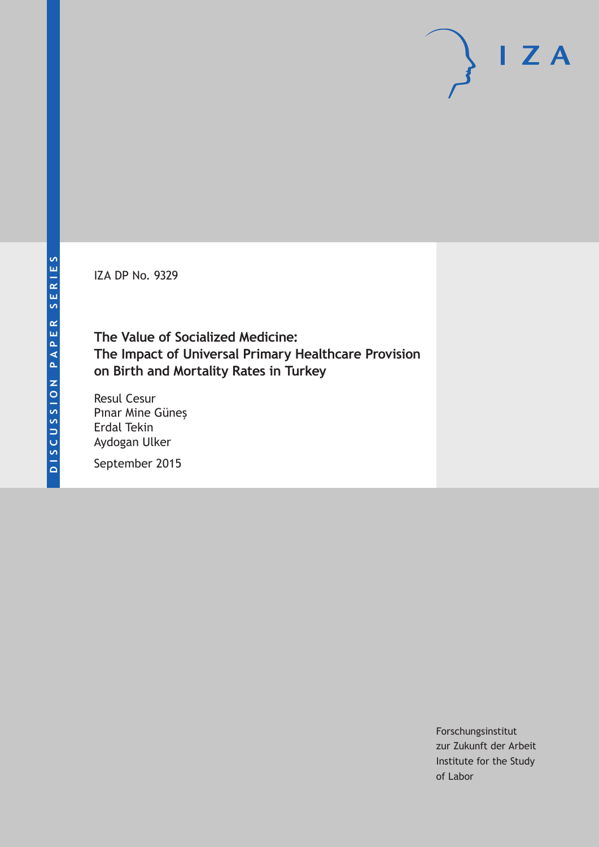IZA DP No. 9329

# **The Value of Socialized Medicine: The Impact of Universal Primary Healthcare Provision on Birth and Mortality Rates in Turkey**

Resul Cesur Pınar Mine Güneş Erdal Tekin Aydogan Ulker

September 2015

Forschungsinstitut zur Zukunft der Arbeit Institute for the Study of Labor

 $I Z A$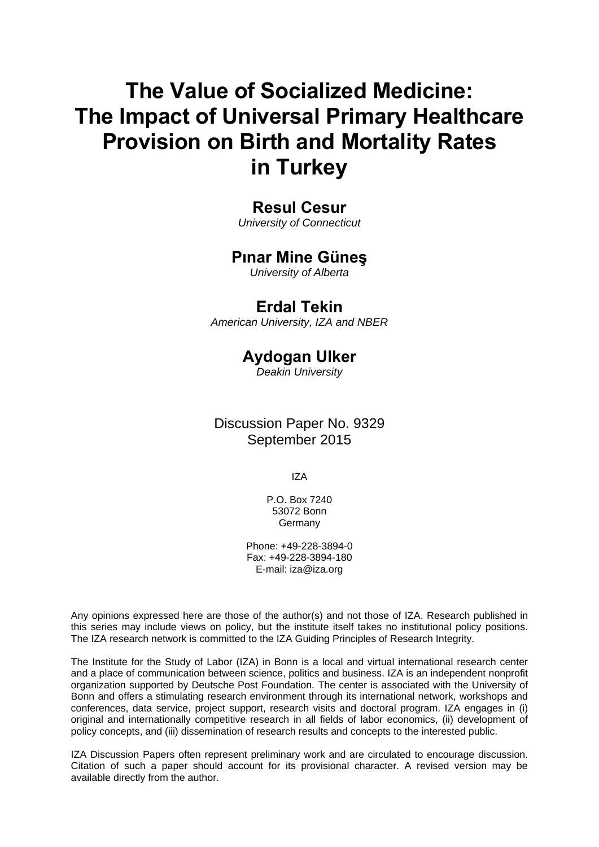# **The Value of Socialized Medicine: The Impact of Universal Primary Healthcare Provision on Birth and Mortality Rates in Turkey**

# **Resul Cesur**

*University of Connecticut* 

# **Pınar Mine Güneş**

*University of Alberta* 

# **Erdal Tekin**

*American University, IZA and NBER*

# **Aydogan Ulker**

*Deakin University* 

Discussion Paper No. 9329 September 2015

IZA

P.O. Box 7240 53072 Bonn **Germany** 

Phone: +49-228-3894-0 Fax: +49-228-3894-180 E-mail: iza@iza.org

Any opinions expressed here are those of the author(s) and not those of IZA. Research published in this series may include views on policy, but the institute itself takes no institutional policy positions. The IZA research network is committed to the IZA Guiding Principles of Research Integrity.

The Institute for the Study of Labor (IZA) in Bonn is a local and virtual international research center and a place of communication between science, politics and business. IZA is an independent nonprofit organization supported by Deutsche Post Foundation. The center is associated with the University of Bonn and offers a stimulating research environment through its international network, workshops and conferences, data service, project support, research visits and doctoral program. IZA engages in (i) original and internationally competitive research in all fields of labor economics, (ii) development of policy concepts, and (iii) dissemination of research results and concepts to the interested public.

IZA Discussion Papers often represent preliminary work and are circulated to encourage discussion. Citation of such a paper should account for its provisional character. A revised version may be available directly from the author.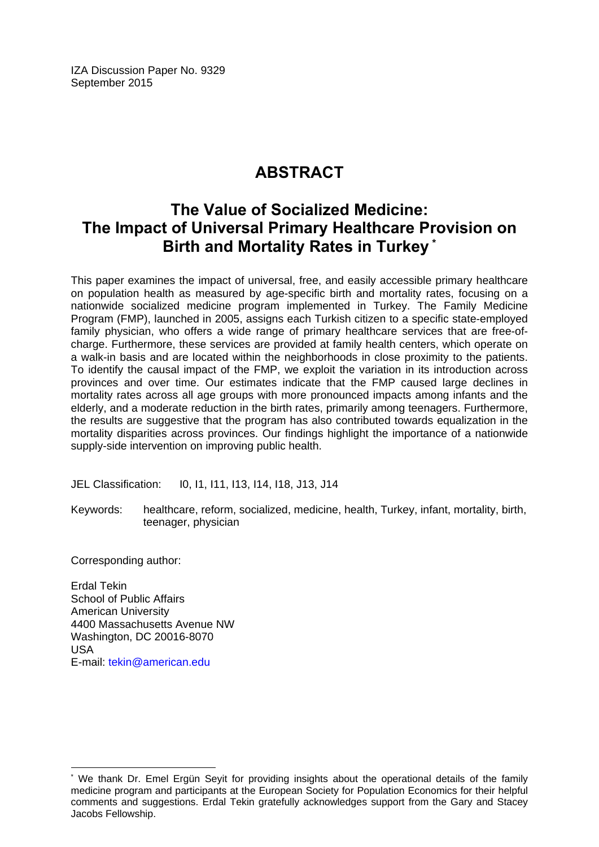IZA Discussion Paper No. 9329 September 2015

# **ABSTRACT**

# **The Value of Socialized Medicine: The Impact of Universal Primary Healthcare Provision on Birth and Mortality Rates in Turkey \***

This paper examines the impact of universal, free, and easily accessible primary healthcare on population health as measured by age-specific birth and mortality rates, focusing on a nationwide socialized medicine program implemented in Turkey. The Family Medicine Program (FMP), launched in 2005, assigns each Turkish citizen to a specific state-employed family physician, who offers a wide range of primary healthcare services that are free-ofcharge. Furthermore, these services are provided at family health centers, which operate on a walk-in basis and are located within the neighborhoods in close proximity to the patients. To identify the causal impact of the FMP, we exploit the variation in its introduction across provinces and over time. Our estimates indicate that the FMP caused large declines in mortality rates across all age groups with more pronounced impacts among infants and the elderly, and a moderate reduction in the birth rates, primarily among teenagers. Furthermore, the results are suggestive that the program has also contributed towards equalization in the mortality disparities across provinces. Our findings highlight the importance of a nationwide supply-side intervention on improving public health.

JEL Classification: I0, I1, I11, I13, I14, I18, J13, J14

Keywords: healthcare, reform, socialized, medicine, health, Turkey, infant, mortality, birth, teenager, physician

Corresponding author:

 $\overline{\phantom{a}}$ 

Erdal Tekin School of Public Affairs American University 4400 Massachusetts Avenue NW Washington, DC 20016-8070 USA E-mail: tekin@american.edu

<sup>\*</sup> We thank Dr. Emel Ergün Sevit for providing insights about the operational details of the family medicine program and participants at the European Society for Population Economics for their helpful comments and suggestions. Erdal Tekin gratefully acknowledges support from the Gary and Stacey Jacobs Fellowship.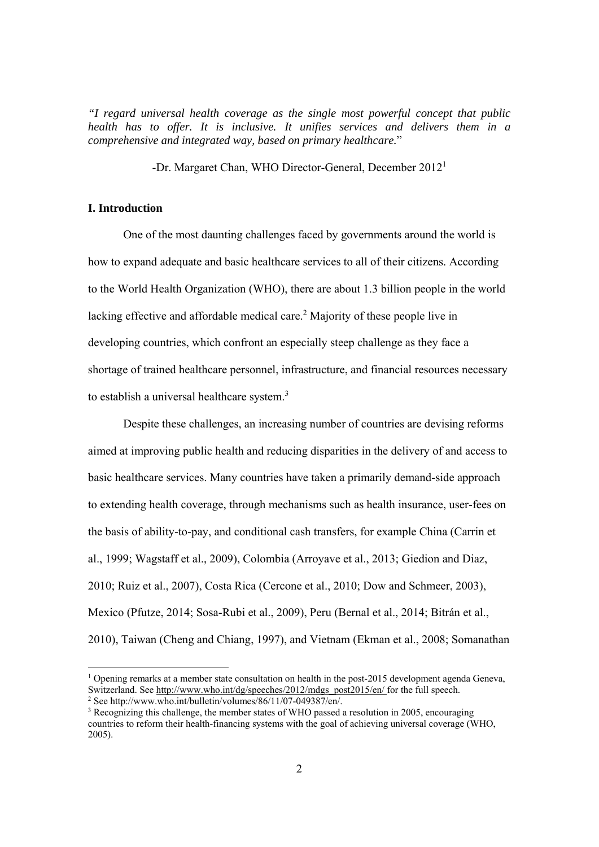*"I regard universal health coverage as the single most powerful concept that public health has to offer. It is inclusive. It unifies services and delivers them in a comprehensive and integrated way, based on primary healthcare.*"

-Dr. Margaret Chan, WHO Director-General, December 2012<sup>1</sup>

### **I. Introduction**

 One of the most daunting challenges faced by governments around the world is how to expand adequate and basic healthcare services to all of their citizens. According to the World Health Organization (WHO), there are about 1.3 billion people in the world lacking effective and affordable medical care.<sup>2</sup> Majority of these people live in developing countries, which confront an especially steep challenge as they face a shortage of trained healthcare personnel, infrastructure, and financial resources necessary to establish a universal healthcare system.<sup>3</sup>

Despite these challenges, an increasing number of countries are devising reforms aimed at improving public health and reducing disparities in the delivery of and access to basic healthcare services. Many countries have taken a primarily demand-side approach to extending health coverage, through mechanisms such as health insurance, user-fees on the basis of ability-to-pay, and conditional cash transfers, for example China (Carrin et al., 1999; Wagstaff et al., 2009), Colombia (Arroyave et al., 2013; Giedion and Diaz, 2010; Ruiz et al., 2007), Costa Rica (Cercone et al., 2010; Dow and Schmeer, 2003), Mexico (Pfutze, 2014; Sosa-Rubi et al., 2009), Peru (Bernal et al., 2014; Bitrán et al., 2010), Taiwan (Cheng and Chiang, 1997), and Vietnam (Ekman et al., 2008; Somanathan

<sup>&</sup>lt;sup>1</sup> Opening remarks at a member state consultation on health in the post-2015 development agenda Geneva, Switzerland. See http://www.who.int/dg/speeches/2012/mdgs\_post2015/en/ for the full speech.

<sup>2</sup> See http://www.who.int/bulletin/volumes/86/11/07-049387/en/.

<sup>&</sup>lt;sup>3</sup> Recognizing this challenge, the member states of WHO passed a resolution in 2005, encouraging countries to reform their health-financing systems with the goal of achieving universal coverage (WHO, 2005).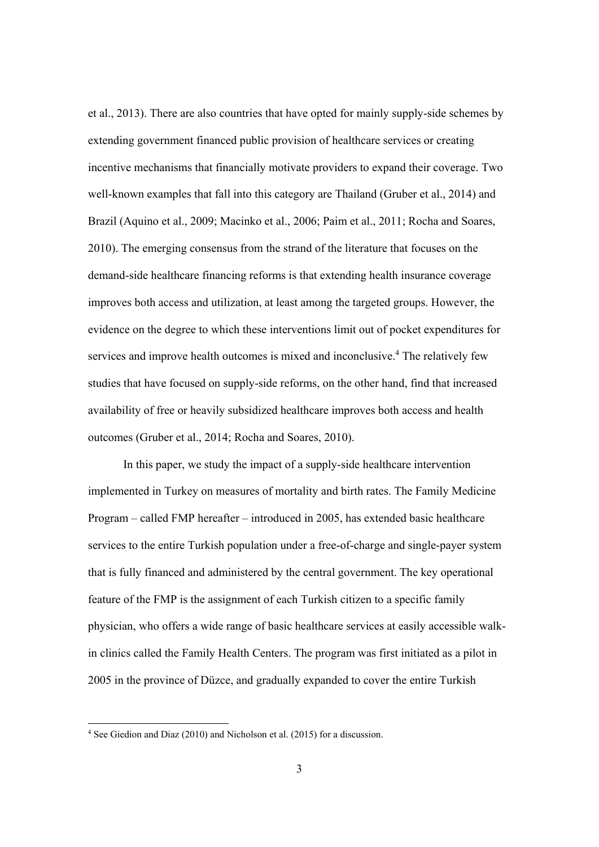et al., 2013). There are also countries that have opted for mainly supply-side schemes by extending government financed public provision of healthcare services or creating incentive mechanisms that financially motivate providers to expand their coverage. Two well-known examples that fall into this category are Thailand (Gruber et al., 2014) and Brazil (Aquino et al., 2009; Macinko et al., 2006; Paim et al., 2011; Rocha and Soares, 2010). The emerging consensus from the strand of the literature that focuses on the demand-side healthcare financing reforms is that extending health insurance coverage improves both access and utilization, at least among the targeted groups. However, the evidence on the degree to which these interventions limit out of pocket expenditures for services and improve health outcomes is mixed and inconclusive.<sup>4</sup> The relatively few studies that have focused on supply-side reforms, on the other hand, find that increased availability of free or heavily subsidized healthcare improves both access and health outcomes (Gruber et al., 2014; Rocha and Soares, 2010).

In this paper, we study the impact of a supply-side healthcare intervention implemented in Turkey on measures of mortality and birth rates. The Family Medicine Program – called FMP hereafter – introduced in 2005, has extended basic healthcare services to the entire Turkish population under a free-of-charge and single-payer system that is fully financed and administered by the central government. The key operational feature of the FMP is the assignment of each Turkish citizen to a specific family physician, who offers a wide range of basic healthcare services at easily accessible walkin clinics called the Family Health Centers. The program was first initiated as a pilot in 2005 in the province of Düzce, and gradually expanded to cover the entire Turkish

 $\overline{a}$ 

<sup>4</sup> See Giedion and Diaz (2010) and Nicholson et al. (2015) for a discussion.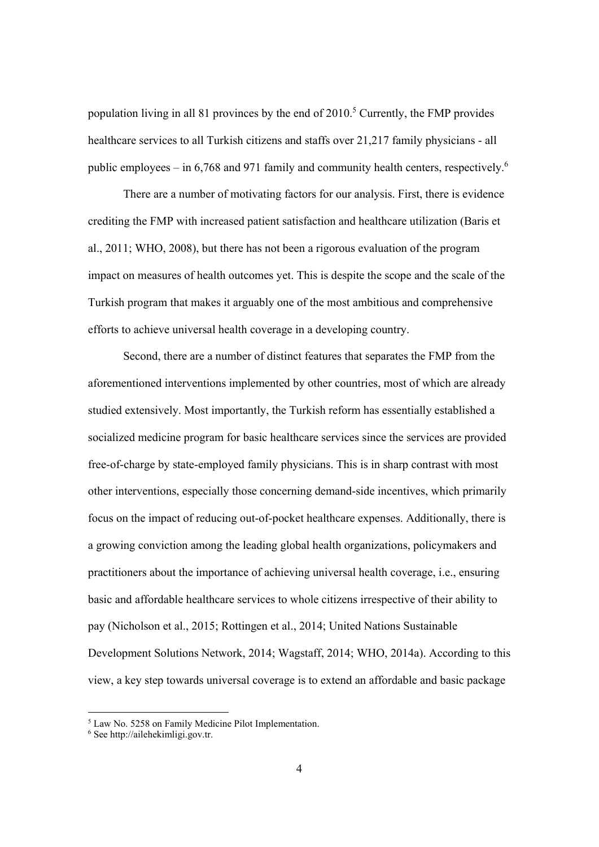population living in all 81 provinces by the end of  $2010<sup>5</sup>$  Currently, the FMP provides healthcare services to all Turkish citizens and staffs over 21,217 family physicians - all public employees – in 6,768 and 971 family and community health centers, respectively.<sup>6</sup>

 There are a number of motivating factors for our analysis. First, there is evidence crediting the FMP with increased patient satisfaction and healthcare utilization (Baris et al., 2011; WHO, 2008), but there has not been a rigorous evaluation of the program impact on measures of health outcomes yet. This is despite the scope and the scale of the Turkish program that makes it arguably one of the most ambitious and comprehensive efforts to achieve universal health coverage in a developing country.

Second, there are a number of distinct features that separates the FMP from the aforementioned interventions implemented by other countries, most of which are already studied extensively. Most importantly, the Turkish reform has essentially established a socialized medicine program for basic healthcare services since the services are provided free-of-charge by state-employed family physicians. This is in sharp contrast with most other interventions, especially those concerning demand-side incentives, which primarily focus on the impact of reducing out-of-pocket healthcare expenses. Additionally, there is a growing conviction among the leading global health organizations, policymakers and practitioners about the importance of achieving universal health coverage, i.e., ensuring basic and affordable healthcare services to whole citizens irrespective of their ability to pay (Nicholson et al., 2015; Rottingen et al., 2014; United Nations Sustainable Development Solutions Network, 2014; Wagstaff, 2014; WHO, 2014a). According to this view, a key step towards universal coverage is to extend an affordable and basic package

<sup>5</sup> Law No. 5258 on Family Medicine Pilot Implementation.

<sup>6</sup> See http://ailehekimligi.gov.tr.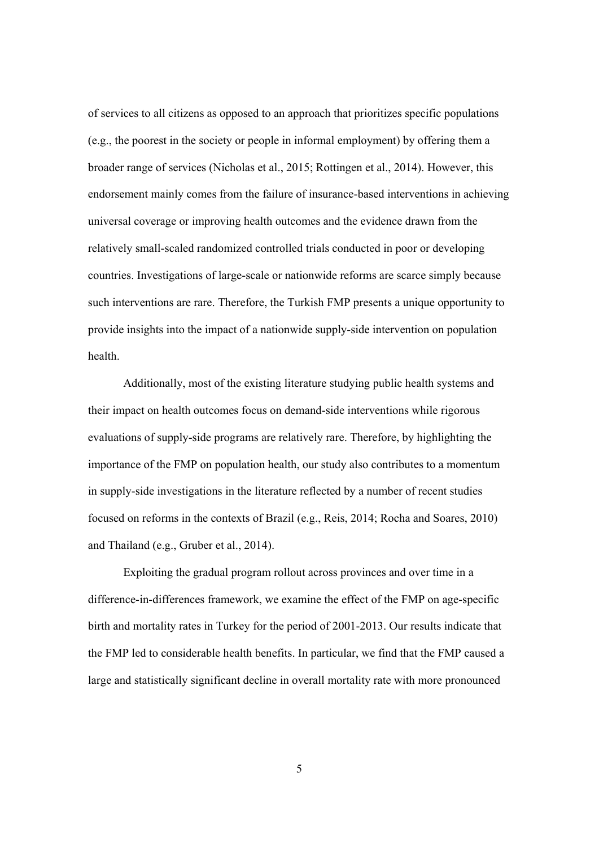of services to all citizens as opposed to an approach that prioritizes specific populations (e.g., the poorest in the society or people in informal employment) by offering them a broader range of services (Nicholas et al., 2015; Rottingen et al., 2014). However, this endorsement mainly comes from the failure of insurance-based interventions in achieving universal coverage or improving health outcomes and the evidence drawn from the relatively small-scaled randomized controlled trials conducted in poor or developing countries. Investigations of large-scale or nationwide reforms are scarce simply because such interventions are rare. Therefore, the Turkish FMP presents a unique opportunity to provide insights into the impact of a nationwide supply-side intervention on population health.

Additionally, most of the existing literature studying public health systems and their impact on health outcomes focus on demand-side interventions while rigorous evaluations of supply-side programs are relatively rare. Therefore, by highlighting the importance of the FMP on population health, our study also contributes to a momentum in supply-side investigations in the literature reflected by a number of recent studies focused on reforms in the contexts of Brazil (e.g., Reis, 2014; Rocha and Soares, 2010) and Thailand (e.g., Gruber et al., 2014).

Exploiting the gradual program rollout across provinces and over time in a difference-in-differences framework, we examine the effect of the FMP on age-specific birth and mortality rates in Turkey for the period of 2001-2013. Our results indicate that the FMP led to considerable health benefits. In particular, we find that the FMP caused a large and statistically significant decline in overall mortality rate with more pronounced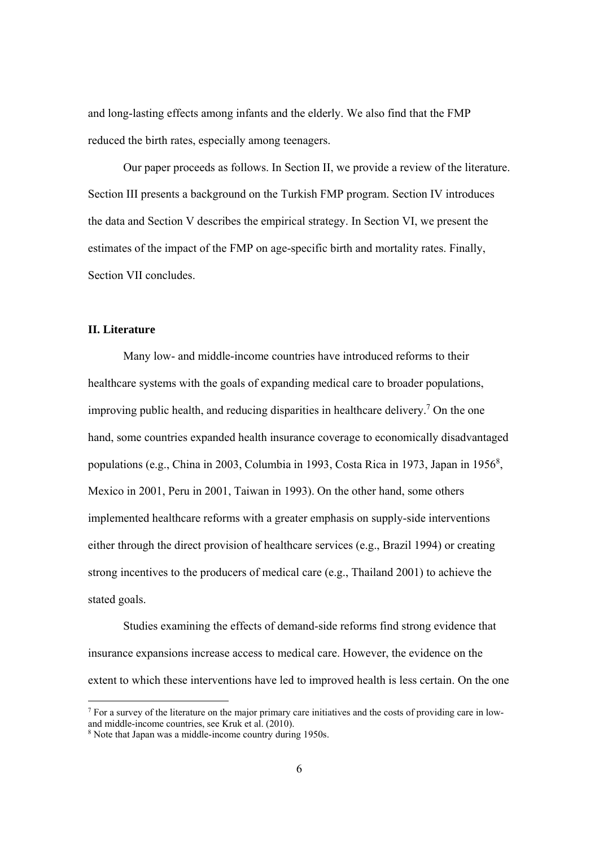and long-lasting effects among infants and the elderly. We also find that the FMP reduced the birth rates, especially among teenagers.

Our paper proceeds as follows. In Section II, we provide a review of the literature. Section III presents a background on the Turkish FMP program. Section IV introduces the data and Section V describes the empirical strategy. In Section VI, we present the estimates of the impact of the FMP on age-specific birth and mortality rates. Finally, Section VII concludes.

#### **II. Literature**

Many low- and middle-income countries have introduced reforms to their healthcare systems with the goals of expanding medical care to broader populations, improving public health, and reducing disparities in healthcare delivery.7 On the one hand, some countries expanded health insurance coverage to economically disadvantaged populations (e.g., China in 2003, Columbia in 1993, Costa Rica in 1973, Japan in 1956<sup>8</sup>, Mexico in 2001, Peru in 2001, Taiwan in 1993). On the other hand, some others implemented healthcare reforms with a greater emphasis on supply-side interventions either through the direct provision of healthcare services (e.g., Brazil 1994) or creating strong incentives to the producers of medical care (e.g., Thailand 2001) to achieve the stated goals.

 Studies examining the effects of demand-side reforms find strong evidence that insurance expansions increase access to medical care. However, the evidence on the extent to which these interventions have led to improved health is less certain. On the one

<sup>&</sup>lt;sup>7</sup> For a survey of the literature on the major primary care initiatives and the costs of providing care in lowand middle-income countries, see Kruk et al. (2010).

<sup>&</sup>lt;sup>8</sup> Note that Japan was a middle-income country during 1950s.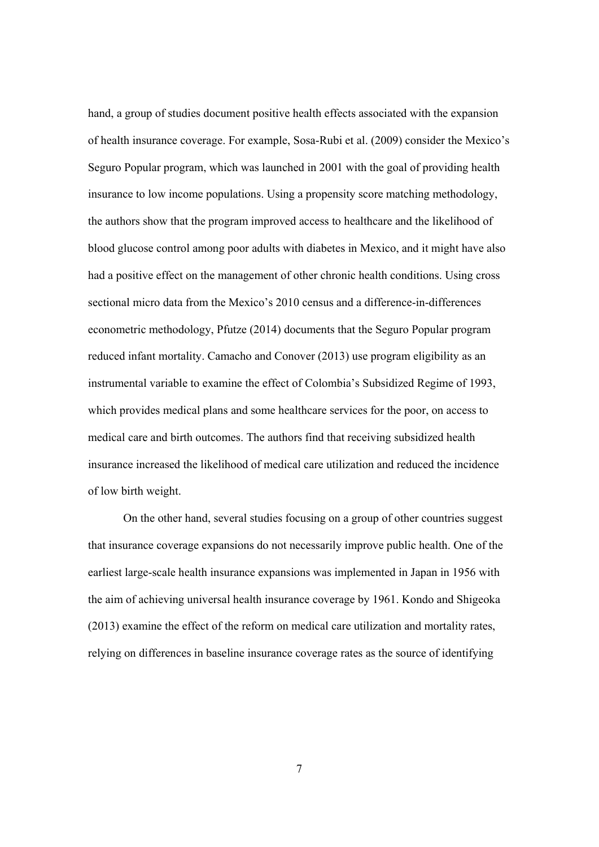hand, a group of studies document positive health effects associated with the expansion of health insurance coverage. For example, Sosa-Rubi et al. (2009) consider the Mexico's Seguro Popular program, which was launched in 2001 with the goal of providing health insurance to low income populations. Using a propensity score matching methodology, the authors show that the program improved access to healthcare and the likelihood of blood glucose control among poor adults with diabetes in Mexico, and it might have also had a positive effect on the management of other chronic health conditions. Using cross sectional micro data from the Mexico's 2010 census and a difference-in-differences econometric methodology, Pfutze (2014) documents that the Seguro Popular program reduced infant mortality. Camacho and Conover (2013) use program eligibility as an instrumental variable to examine the effect of Colombia's Subsidized Regime of 1993, which provides medical plans and some healthcare services for the poor, on access to medical care and birth outcomes. The authors find that receiving subsidized health insurance increased the likelihood of medical care utilization and reduced the incidence of low birth weight.

On the other hand, several studies focusing on a group of other countries suggest that insurance coverage expansions do not necessarily improve public health. One of the earliest large-scale health insurance expansions was implemented in Japan in 1956 with the aim of achieving universal health insurance coverage by 1961. Kondo and Shigeoka (2013) examine the effect of the reform on medical care utilization and mortality rates, relying on differences in baseline insurance coverage rates as the source of identifying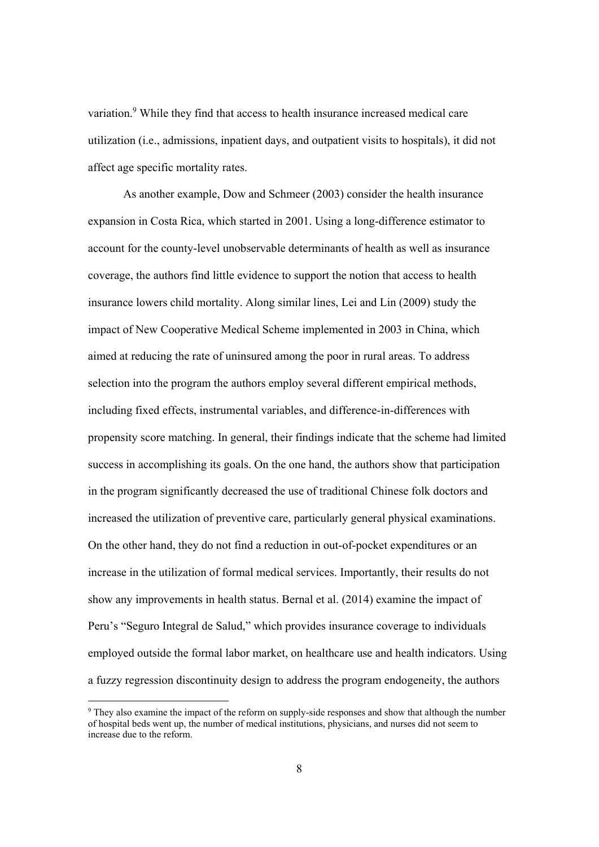variation.9 While they find that access to health insurance increased medical care utilization (i.e., admissions, inpatient days, and outpatient visits to hospitals), it did not affect age specific mortality rates.

As another example, Dow and Schmeer (2003) consider the health insurance expansion in Costa Rica, which started in 2001. Using a long-difference estimator to account for the county-level unobservable determinants of health as well as insurance coverage, the authors find little evidence to support the notion that access to health insurance lowers child mortality. Along similar lines, Lei and Lin (2009) study the impact of New Cooperative Medical Scheme implemented in 2003 in China, which aimed at reducing the rate of uninsured among the poor in rural areas. To address selection into the program the authors employ several different empirical methods, including fixed effects, instrumental variables, and difference-in-differences with propensity score matching. In general, their findings indicate that the scheme had limited success in accomplishing its goals. On the one hand, the authors show that participation in the program significantly decreased the use of traditional Chinese folk doctors and increased the utilization of preventive care, particularly general physical examinations. On the other hand, they do not find a reduction in out-of-pocket expenditures or an increase in the utilization of formal medical services. Importantly, their results do not show any improvements in health status. Bernal et al. (2014) examine the impact of Peru's "Seguro Integral de Salud," which provides insurance coverage to individuals employed outside the formal labor market, on healthcare use and health indicators. Using a fuzzy regression discontinuity design to address the program endogeneity, the authors

<sup>&</sup>lt;sup>9</sup> They also examine the impact of the reform on supply-side responses and show that although the number of hospital beds went up, the number of medical institutions, physicians, and nurses did not seem to increase due to the reform.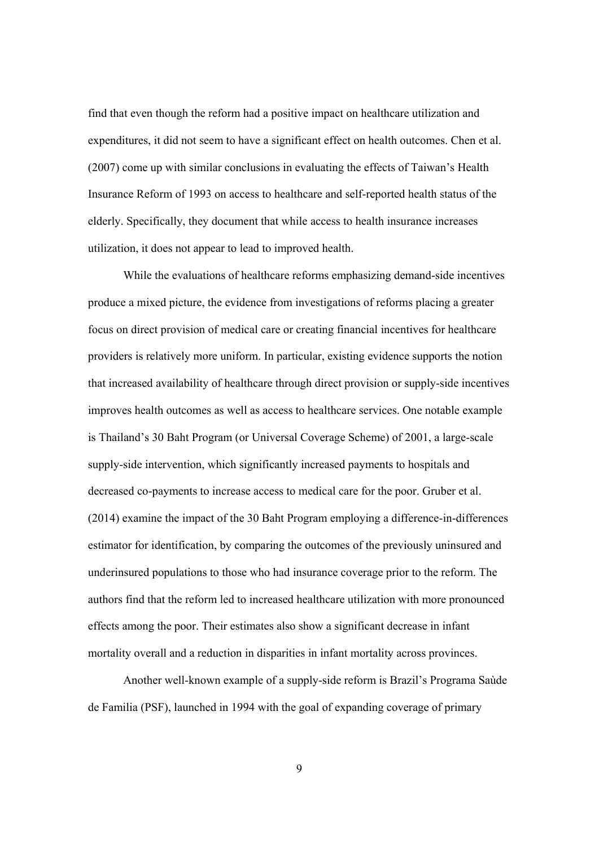find that even though the reform had a positive impact on healthcare utilization and expenditures, it did not seem to have a significant effect on health outcomes. Chen et al. (2007) come up with similar conclusions in evaluating the effects of Taiwan's Health Insurance Reform of 1993 on access to healthcare and self-reported health status of the elderly. Specifically, they document that while access to health insurance increases utilization, it does not appear to lead to improved health.

While the evaluations of healthcare reforms emphasizing demand-side incentives produce a mixed picture, the evidence from investigations of reforms placing a greater focus on direct provision of medical care or creating financial incentives for healthcare providers is relatively more uniform. In particular, existing evidence supports the notion that increased availability of healthcare through direct provision or supply-side incentives improves health outcomes as well as access to healthcare services. One notable example is Thailand's 30 Baht Program (or Universal Coverage Scheme) of 2001, a large-scale supply-side intervention, which significantly increased payments to hospitals and decreased co-payments to increase access to medical care for the poor. Gruber et al. (2014) examine the impact of the 30 Baht Program employing a difference-in-differences estimator for identification, by comparing the outcomes of the previously uninsured and underinsured populations to those who had insurance coverage prior to the reform. The authors find that the reform led to increased healthcare utilization with more pronounced effects among the poor. Their estimates also show a significant decrease in infant mortality overall and a reduction in disparities in infant mortality across provinces.

Another well-known example of a supply-side reform is Brazil's Programa Saùde de Familia (PSF), launched in 1994 with the goal of expanding coverage of primary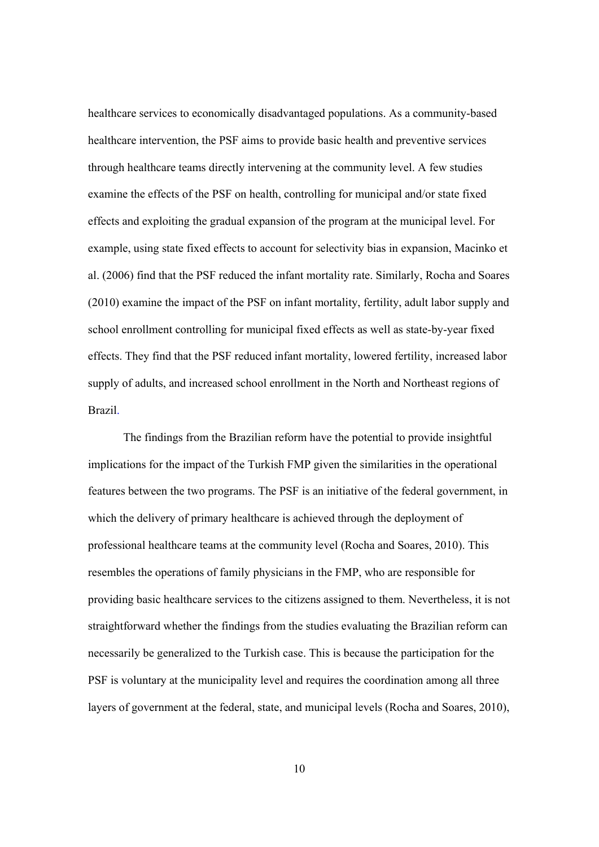healthcare services to economically disadvantaged populations. As a community-based healthcare intervention, the PSF aims to provide basic health and preventive services through healthcare teams directly intervening at the community level. A few studies examine the effects of the PSF on health, controlling for municipal and/or state fixed effects and exploiting the gradual expansion of the program at the municipal level. For example, using state fixed effects to account for selectivity bias in expansion, Macinko et al. (2006) find that the PSF reduced the infant mortality rate. Similarly, Rocha and Soares (2010) examine the impact of the PSF on infant mortality, fertility, adult labor supply and school enrollment controlling for municipal fixed effects as well as state-by-year fixed effects. They find that the PSF reduced infant mortality, lowered fertility, increased labor supply of adults, and increased school enrollment in the North and Northeast regions of Brazil.

The findings from the Brazilian reform have the potential to provide insightful implications for the impact of the Turkish FMP given the similarities in the operational features between the two programs. The PSF is an initiative of the federal government, in which the delivery of primary healthcare is achieved through the deployment of professional healthcare teams at the community level (Rocha and Soares, 2010). This resembles the operations of family physicians in the FMP, who are responsible for providing basic healthcare services to the citizens assigned to them. Nevertheless, it is not straightforward whether the findings from the studies evaluating the Brazilian reform can necessarily be generalized to the Turkish case. This is because the participation for the PSF is voluntary at the municipality level and requires the coordination among all three layers of government at the federal, state, and municipal levels (Rocha and Soares, 2010),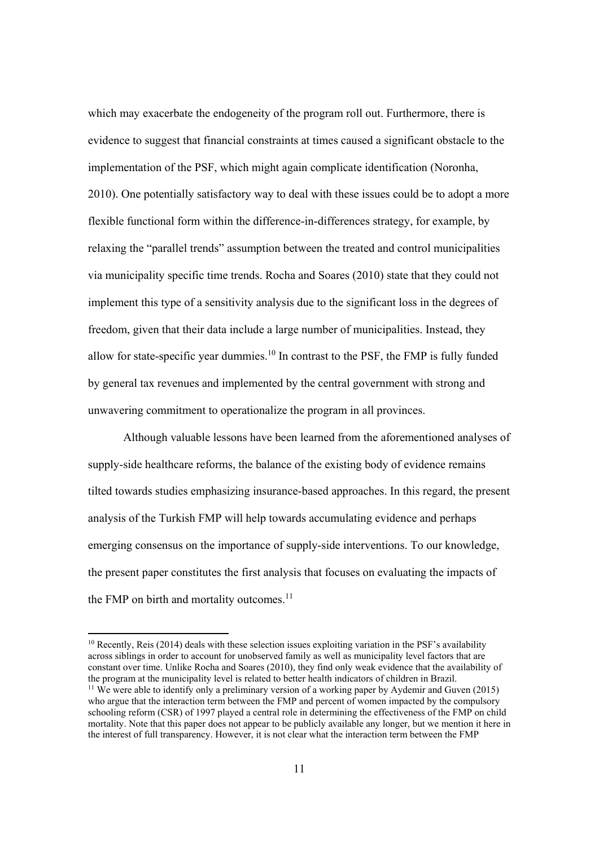which may exacerbate the endogeneity of the program roll out. Furthermore, there is evidence to suggest that financial constraints at times caused a significant obstacle to the implementation of the PSF, which might again complicate identification (Noronha, 2010). One potentially satisfactory way to deal with these issues could be to adopt a more flexible functional form within the difference-in-differences strategy, for example, by relaxing the "parallel trends" assumption between the treated and control municipalities via municipality specific time trends. Rocha and Soares (2010) state that they could not implement this type of a sensitivity analysis due to the significant loss in the degrees of freedom, given that their data include a large number of municipalities. Instead, they allow for state-specific year dummies.<sup>10</sup> In contrast to the PSF, the FMP is fully funded by general tax revenues and implemented by the central government with strong and unwavering commitment to operationalize the program in all provinces.

Although valuable lessons have been learned from the aforementioned analyses of supply-side healthcare reforms, the balance of the existing body of evidence remains tilted towards studies emphasizing insurance-based approaches. In this regard, the present analysis of the Turkish FMP will help towards accumulating evidence and perhaps emerging consensus on the importance of supply-side interventions. To our knowledge, the present paper constitutes the first analysis that focuses on evaluating the impacts of the FMP on birth and mortality outcomes.<sup>11</sup>

 $10$  Recently, Reis (2014) deals with these selection issues exploiting variation in the PSF's availability across siblings in order to account for unobserved family as well as municipality level factors that are constant over time. Unlike Rocha and Soares (2010), they find only weak evidence that the availability of the program at the municipality level is related to better health indicators of children in Brazil.

<sup>&</sup>lt;sup>11</sup> We were able to identify only a preliminary version of a working paper by Aydemir and Guven (2015) who argue that the interaction term between the FMP and percent of women impacted by the compulsory schooling reform (CSR) of 1997 played a central role in determining the effectiveness of the FMP on child mortality. Note that this paper does not appear to be publicly available any longer, but we mention it here in the interest of full transparency. However, it is not clear what the interaction term between the FMP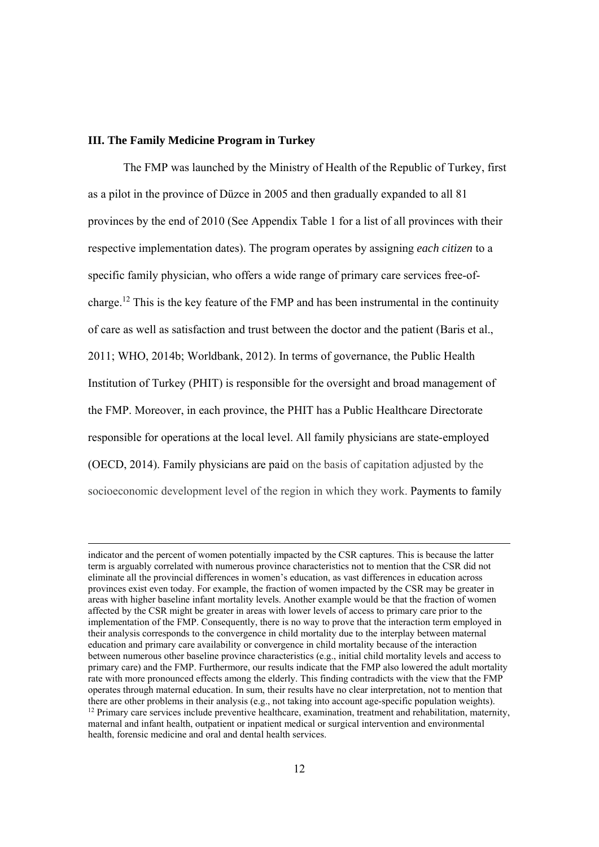#### **III. The Family Medicine Program in Turkey**

The FMP was launched by the Ministry of Health of the Republic of Turkey, first as a pilot in the province of Düzce in 2005 and then gradually expanded to all 81 provinces by the end of 2010 (See Appendix Table 1 for a list of all provinces with their respective implementation dates). The program operates by assigning *each citizen* to a specific family physician, who offers a wide range of primary care services free-ofcharge.12 This is the key feature of the FMP and has been instrumental in the continuity of care as well as satisfaction and trust between the doctor and the patient (Baris et al., 2011; WHO, 2014b; Worldbank, 2012). In terms of governance, the Public Health Institution of Turkey (PHIT) is responsible for the oversight and broad management of the FMP. Moreover, in each province, the PHIT has a Public Healthcare Directorate responsible for operations at the local level. All family physicians are state-employed (OECD, 2014). Family physicians are paid on the basis of capitation adjusted by the socioeconomic development level of the region in which they work. Payments to family

indicator and the percent of women potentially impacted by the CSR captures. This is because the latter term is arguably correlated with numerous province characteristics not to mention that the CSR did not eliminate all the provincial differences in women's education, as vast differences in education across provinces exist even today. For example, the fraction of women impacted by the CSR may be greater in areas with higher baseline infant mortality levels. Another example would be that the fraction of women affected by the CSR might be greater in areas with lower levels of access to primary care prior to the implementation of the FMP. Consequently, there is no way to prove that the interaction term employed in their analysis corresponds to the convergence in child mortality due to the interplay between maternal education and primary care availability or convergence in child mortality because of the interaction between numerous other baseline province characteristics (e.g., initial child mortality levels and access to primary care) and the FMP. Furthermore, our results indicate that the FMP also lowered the adult mortality rate with more pronounced effects among the elderly. This finding contradicts with the view that the FMP operates through maternal education. In sum, their results have no clear interpretation, not to mention that there are other problems in their analysis (e.g., not taking into account age-specific population weights). <sup>12</sup> Primary care services include preventive healthcare, examination, treatment and rehabilitation, maternity, maternal and infant health, outpatient or inpatient medical or surgical intervention and environmental health, forensic medicine and oral and dental health services.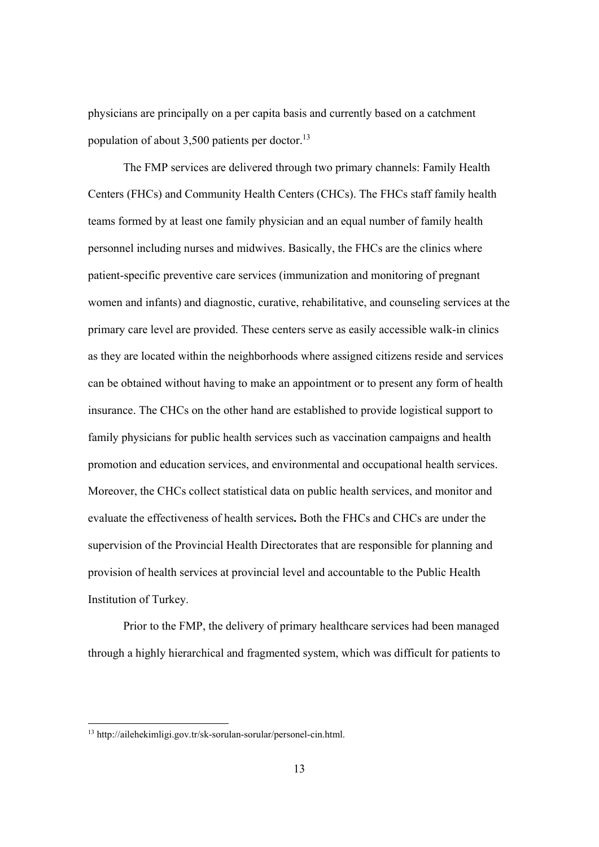physicians are principally on a per capita basis and currently based on a catchment population of about  $3,500$  patients per doctor.<sup>13</sup>

The FMP services are delivered through two primary channels: Family Health Centers (FHCs) and Community Health Centers (CHCs). The FHCs staff family health teams formed by at least one family physician and an equal number of family health personnel including nurses and midwives. Basically, the FHCs are the clinics where patient-specific preventive care services (immunization and monitoring of pregnant women and infants) and diagnostic, curative, rehabilitative, and counseling services at the primary care level are provided. These centers serve as easily accessible walk-in clinics as they are located within the neighborhoods where assigned citizens reside and services can be obtained without having to make an appointment or to present any form of health insurance. The CHCs on the other hand are established to provide logistical support to family physicians for public health services such as vaccination campaigns and health promotion and education services, and environmental and occupational health services. Moreover, the CHCs collect statistical data on public health services, and monitor and evaluate the effectiveness of health services**.** Both the FHCs and CHCs are under the supervision of the Provincial Health Directorates that are responsible for planning and provision of health services at provincial level and accountable to the Public Health Institution of Turkey.

Prior to the FMP, the delivery of primary healthcare services had been managed through a highly hierarchical and fragmented system, which was difficult for patients to

 $\overline{a}$ 

<sup>13</sup> http://ailehekimligi.gov.tr/sk-sorulan-sorular/personel-cin.html.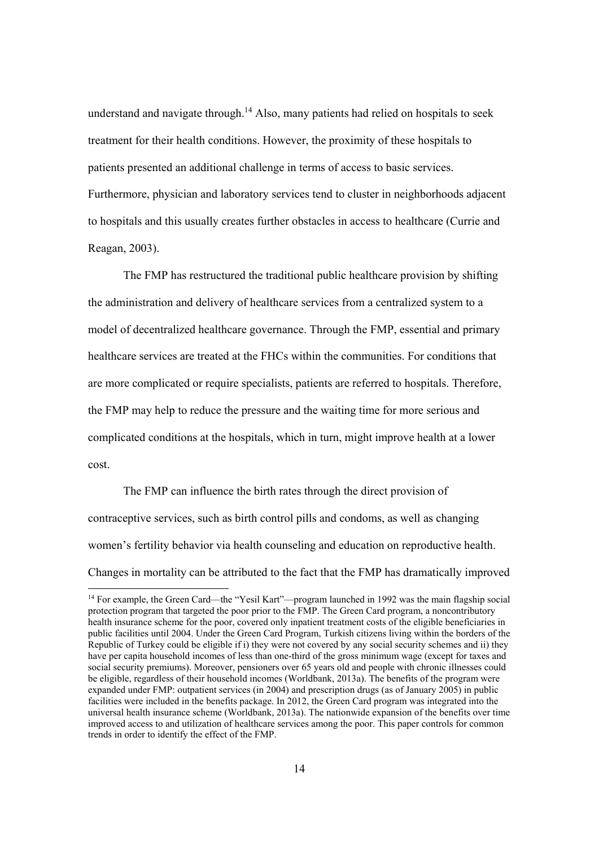understand and navigate through.<sup>14</sup> Also, many patients had relied on hospitals to seek treatment for their health conditions. However, the proximity of these hospitals to patients presented an additional challenge in terms of access to basic services. Furthermore, physician and laboratory services tend to cluster in neighborhoods adjacent to hospitals and this usually creates further obstacles in access to healthcare (Currie and Reagan, 2003).

The FMP has restructured the traditional public healthcare provision by shifting the administration and delivery of healthcare services from a centralized system to a model of decentralized healthcare governance. Through the FMP, essential and primary healthcare services are treated at the FHCs within the communities. For conditions that are more complicated or require specialists, patients are referred to hospitals. Therefore, the FMP may help to reduce the pressure and the waiting time for more serious and complicated conditions at the hospitals, which in turn, might improve health at a lower cost.

 The FMP can influence the birth rates through the direct provision of contraceptive services, such as birth control pills and condoms, as well as changing women's fertility behavior via health counseling and education on reproductive health. Changes in mortality can be attributed to the fact that the FMP has dramatically improved

<sup>&</sup>lt;sup>14</sup> For example, the Green Card—the "Yesil Kart"—program launched in 1992 was the main flagship social protection program that targeted the poor prior to the FMP. The Green Card program, a noncontributory health insurance scheme for the poor, covered only inpatient treatment costs of the eligible beneficiaries in public facilities until 2004. Under the Green Card Program, Turkish citizens living within the borders of the Republic of Turkey could be eligible if i) they were not covered by any social security schemes and ii) they have per capita household incomes of less than one-third of the gross minimum wage (except for taxes and social security premiums). Moreover, pensioners over 65 years old and people with chronic illnesses could be eligible, regardless of their household incomes (Worldbank, 2013a). The benefits of the program were expanded under FMP: outpatient services (in 2004) and prescription drugs (as of January 2005) in public facilities were included in the benefits package. In 2012, the Green Card program was integrated into the universal health insurance scheme (Worldbank, 2013a). The nationwide expansion of the benefits over time improved access to and utilization of healthcare services among the poor. This paper controls for common trends in order to identify the effect of the FMP.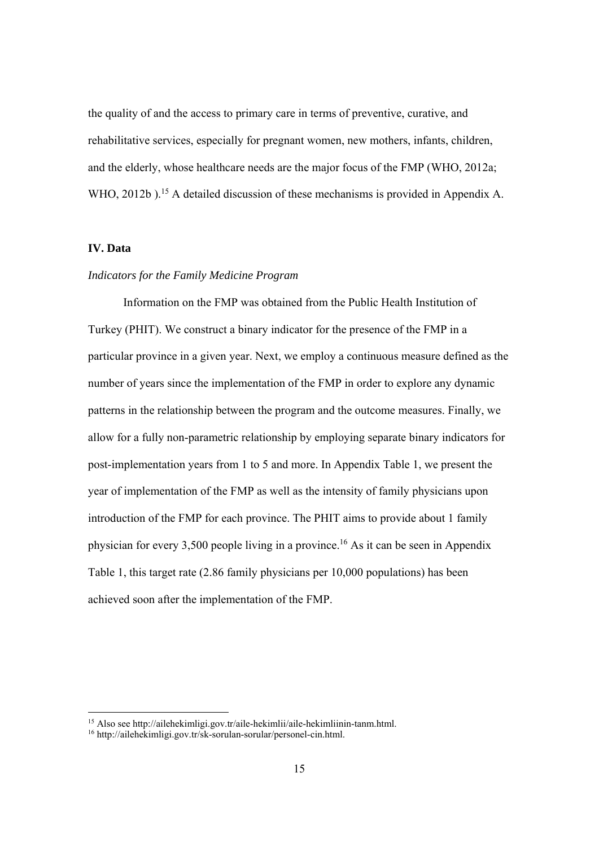the quality of and the access to primary care in terms of preventive, curative, and rehabilitative services, especially for pregnant women, new mothers, infants, children, and the elderly, whose healthcare needs are the major focus of the FMP (WHO, 2012a; WHO, 2012b).<sup>15</sup> A detailed discussion of these mechanisms is provided in Appendix A.

# **IV. Data**

#### *Indicators for the Family Medicine Program*

Information on the FMP was obtained from the Public Health Institution of Turkey (PHIT). We construct a binary indicator for the presence of the FMP in a particular province in a given year. Next, we employ a continuous measure defined as the number of years since the implementation of the FMP in order to explore any dynamic patterns in the relationship between the program and the outcome measures. Finally, we allow for a fully non-parametric relationship by employing separate binary indicators for post-implementation years from 1 to 5 and more. In Appendix Table 1, we present the year of implementation of the FMP as well as the intensity of family physicians upon introduction of the FMP for each province. The PHIT aims to provide about 1 family physician for every 3,500 people living in a province.<sup>16</sup> As it can be seen in Appendix Table 1, this target rate (2.86 family physicians per 10,000 populations) has been achieved soon after the implementation of the FMP.

<sup>15</sup> Also see http://ailehekimligi.gov.tr/aile-hekimlii/aile-hekimliinin-tanm.html.

<sup>16</sup> http://ailehekimligi.gov.tr/sk-sorulan-sorular/personel-cin.html.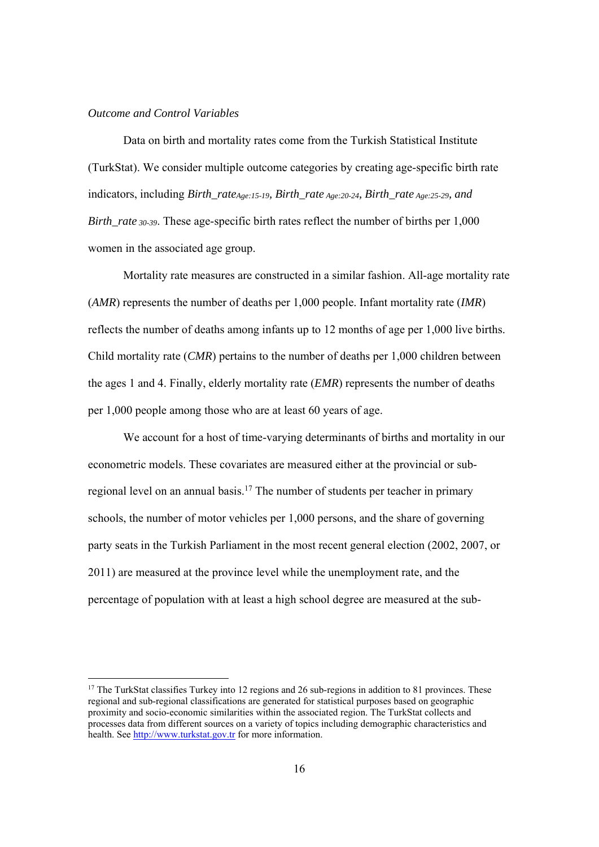#### *Outcome and Control Variables*

 Data on birth and mortality rates come from the Turkish Statistical Institute (TurkStat). We consider multiple outcome categories by creating age-specific birth rate indicators, including *Birth\_rate<sub>Age:15-19</sub>, Birth\_rate <sub>Age:20-24</sub>, Birth\_rate <sub>Age:25-29</sub>, and Birth rate 30-39.* These age-specific birth rates reflect the number of births per 1,000 women in the associated age group.

Mortality rate measures are constructed in a similar fashion. All-age mortality rate (*AMR*) represents the number of deaths per 1,000 people. Infant mortality rate (*IMR*) reflects the number of deaths among infants up to 12 months of age per 1,000 live births. Child mortality rate (*CMR*) pertains to the number of deaths per 1,000 children between the ages 1 and 4. Finally, elderly mortality rate (*EMR*) represents the number of deaths per 1,000 people among those who are at least 60 years of age.

We account for a host of time-varying determinants of births and mortality in our econometric models. These covariates are measured either at the provincial or subregional level on an annual basis.17 The number of students per teacher in primary schools, the number of motor vehicles per 1,000 persons, and the share of governing party seats in the Turkish Parliament in the most recent general election (2002, 2007, or 2011) are measured at the province level while the unemployment rate, and the percentage of population with at least a high school degree are measured at the sub-

<sup>&</sup>lt;sup>17</sup> The TurkStat classifies Turkey into 12 regions and 26 sub-regions in addition to 81 provinces. These regional and sub-regional classifications are generated for statistical purposes based on geographic proximity and socio-economic similarities within the associated region. The TurkStat collects and processes data from different sources on a variety of topics including demographic characteristics and health. See http://www.turkstat.gov.tr for more information.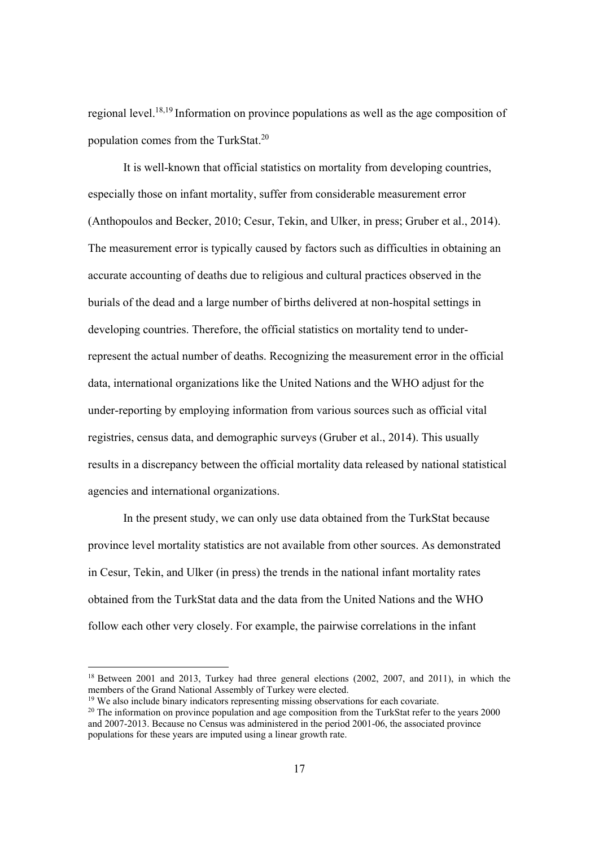regional level.18,19 Information on province populations as well as the age composition of population comes from the TurkStat.20

It is well-known that official statistics on mortality from developing countries, especially those on infant mortality, suffer from considerable measurement error (Anthopoulos and Becker, 2010; Cesur, Tekin, and Ulker, in press; Gruber et al., 2014). The measurement error is typically caused by factors such as difficulties in obtaining an accurate accounting of deaths due to religious and cultural practices observed in the burials of the dead and a large number of births delivered at non-hospital settings in developing countries. Therefore, the official statistics on mortality tend to underrepresent the actual number of deaths. Recognizing the measurement error in the official data, international organizations like the United Nations and the WHO adjust for the under-reporting by employing information from various sources such as official vital registries, census data, and demographic surveys (Gruber et al., 2014). This usually results in a discrepancy between the official mortality data released by national statistical agencies and international organizations.

In the present study, we can only use data obtained from the TurkStat because province level mortality statistics are not available from other sources. As demonstrated in Cesur, Tekin, and Ulker (in press) the trends in the national infant mortality rates obtained from the TurkStat data and the data from the United Nations and the WHO follow each other very closely. For example, the pairwise correlations in the infant

<sup>&</sup>lt;sup>18</sup> Between 2001 and 2013, Turkey had three general elections (2002, 2007, and 2011), in which the members of the Grand National Assembly of Turkey were elected.

<sup>&</sup>lt;sup>19</sup> We also include binary indicators representing missing observations for each covariate.

<sup>&</sup>lt;sup>20</sup> The information on province population and age composition from the TurkStat refer to the years 2000 and 2007-2013. Because no Census was administered in the period 2001-06, the associated province populations for these years are imputed using a linear growth rate.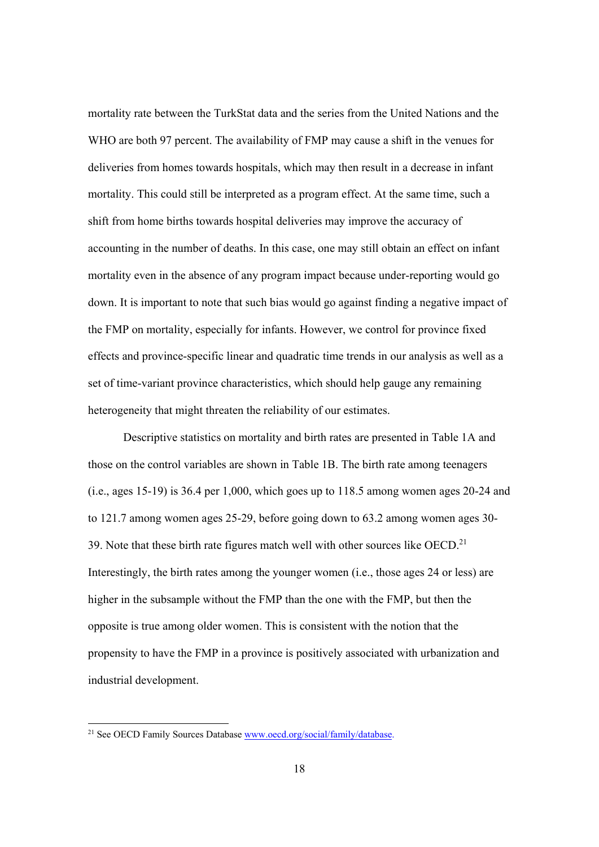mortality rate between the TurkStat data and the series from the United Nations and the WHO are both 97 percent. The availability of FMP may cause a shift in the venues for deliveries from homes towards hospitals, which may then result in a decrease in infant mortality. This could still be interpreted as a program effect. At the same time, such a shift from home births towards hospital deliveries may improve the accuracy of accounting in the number of deaths. In this case, one may still obtain an effect on infant mortality even in the absence of any program impact because under-reporting would go down. It is important to note that such bias would go against finding a negative impact of the FMP on mortality, especially for infants. However, we control for province fixed effects and province-specific linear and quadratic time trends in our analysis as well as a set of time-variant province characteristics, which should help gauge any remaining heterogeneity that might threaten the reliability of our estimates.

Descriptive statistics on mortality and birth rates are presented in Table 1A and those on the control variables are shown in Table 1B. The birth rate among teenagers (i.e., ages 15-19) is 36.4 per 1,000, which goes up to 118.5 among women ages 20-24 and to 121.7 among women ages 25-29, before going down to 63.2 among women ages 30- 39. Note that these birth rate figures match well with other sources like OECD.<sup>21</sup> Interestingly, the birth rates among the younger women (i.e., those ages 24 or less) are higher in the subsample without the FMP than the one with the FMP, but then the opposite is true among older women. This is consistent with the notion that the propensity to have the FMP in a province is positively associated with urbanization and industrial development.

 $\overline{a}$ 

<sup>&</sup>lt;sup>21</sup> See OECD Family Sources Database www.oecd.org/social/family/database.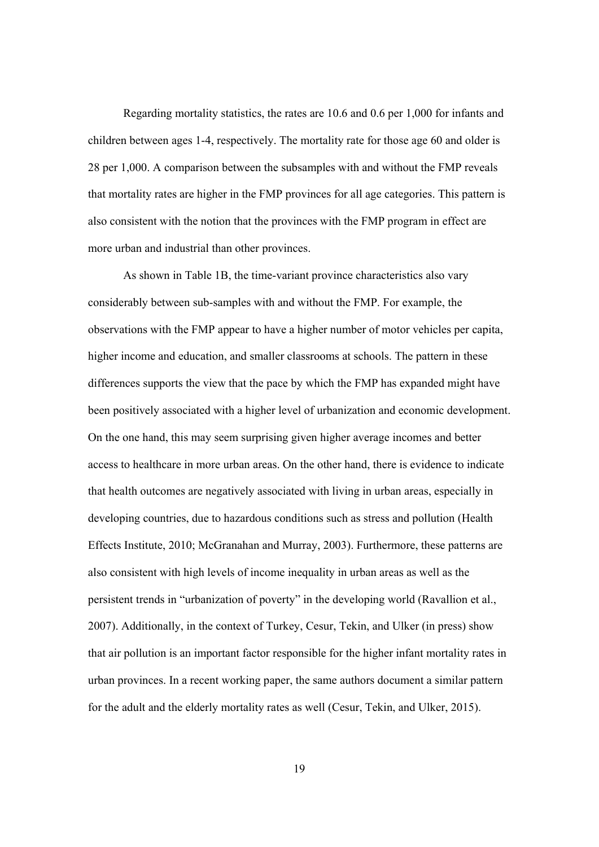Regarding mortality statistics, the rates are 10.6 and 0.6 per 1,000 for infants and children between ages 1-4, respectively. The mortality rate for those age 60 and older is 28 per 1,000. A comparison between the subsamples with and without the FMP reveals that mortality rates are higher in the FMP provinces for all age categories. This pattern is also consistent with the notion that the provinces with the FMP program in effect are more urban and industrial than other provinces.

As shown in Table 1B, the time-variant province characteristics also vary considerably between sub-samples with and without the FMP. For example, the observations with the FMP appear to have a higher number of motor vehicles per capita, higher income and education, and smaller classrooms at schools. The pattern in these differences supports the view that the pace by which the FMP has expanded might have been positively associated with a higher level of urbanization and economic development. On the one hand, this may seem surprising given higher average incomes and better access to healthcare in more urban areas. On the other hand, there is evidence to indicate that health outcomes are negatively associated with living in urban areas, especially in developing countries, due to hazardous conditions such as stress and pollution (Health Effects Institute, 2010; McGranahan and Murray, 2003). Furthermore, these patterns are also consistent with high levels of income inequality in urban areas as well as the persistent trends in "urbanization of poverty" in the developing world (Ravallion et al., 2007). Additionally, in the context of Turkey, Cesur, Tekin, and Ulker (in press) show that air pollution is an important factor responsible for the higher infant mortality rates in urban provinces. In a recent working paper, the same authors document a similar pattern for the adult and the elderly mortality rates as well (Cesur, Tekin, and Ulker, 2015).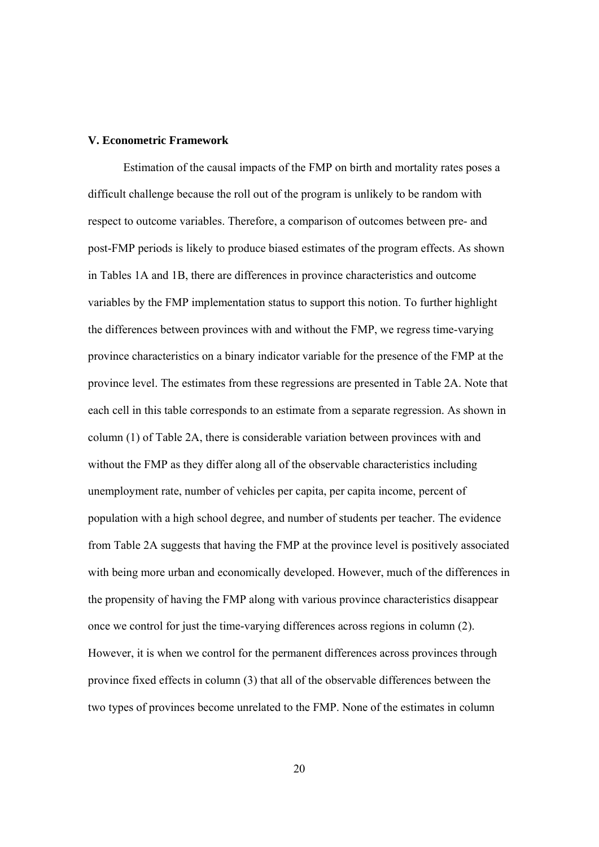#### **V. Econometric Framework**

Estimation of the causal impacts of the FMP on birth and mortality rates poses a difficult challenge because the roll out of the program is unlikely to be random with respect to outcome variables. Therefore, a comparison of outcomes between pre- and post-FMP periods is likely to produce biased estimates of the program effects. As shown in Tables 1A and 1B, there are differences in province characteristics and outcome variables by the FMP implementation status to support this notion. To further highlight the differences between provinces with and without the FMP, we regress time-varying province characteristics on a binary indicator variable for the presence of the FMP at the province level. The estimates from these regressions are presented in Table 2A. Note that each cell in this table corresponds to an estimate from a separate regression. As shown in column (1) of Table 2A, there is considerable variation between provinces with and without the FMP as they differ along all of the observable characteristics including unemployment rate, number of vehicles per capita, per capita income, percent of population with a high school degree, and number of students per teacher. The evidence from Table 2A suggests that having the FMP at the province level is positively associated with being more urban and economically developed. However, much of the differences in the propensity of having the FMP along with various province characteristics disappear once we control for just the time-varying differences across regions in column (2). However, it is when we control for the permanent differences across provinces through province fixed effects in column (3) that all of the observable differences between the two types of provinces become unrelated to the FMP. None of the estimates in column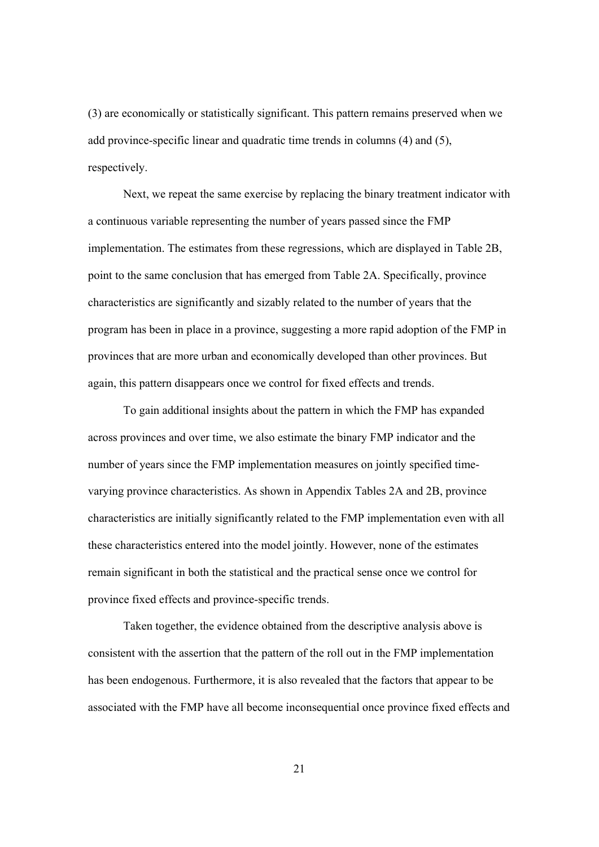(3) are economically or statistically significant. This pattern remains preserved when we add province-specific linear and quadratic time trends in columns (4) and (5), respectively.

Next, we repeat the same exercise by replacing the binary treatment indicator with a continuous variable representing the number of years passed since the FMP implementation. The estimates from these regressions, which are displayed in Table 2B, point to the same conclusion that has emerged from Table 2A. Specifically, province characteristics are significantly and sizably related to the number of years that the program has been in place in a province, suggesting a more rapid adoption of the FMP in provinces that are more urban and economically developed than other provinces. But again, this pattern disappears once we control for fixed effects and trends.

To gain additional insights about the pattern in which the FMP has expanded across provinces and over time, we also estimate the binary FMP indicator and the number of years since the FMP implementation measures on jointly specified timevarying province characteristics. As shown in Appendix Tables 2A and 2B, province characteristics are initially significantly related to the FMP implementation even with all these characteristics entered into the model jointly. However, none of the estimates remain significant in both the statistical and the practical sense once we control for province fixed effects and province-specific trends.

Taken together, the evidence obtained from the descriptive analysis above is consistent with the assertion that the pattern of the roll out in the FMP implementation has been endogenous. Furthermore, it is also revealed that the factors that appear to be associated with the FMP have all become inconsequential once province fixed effects and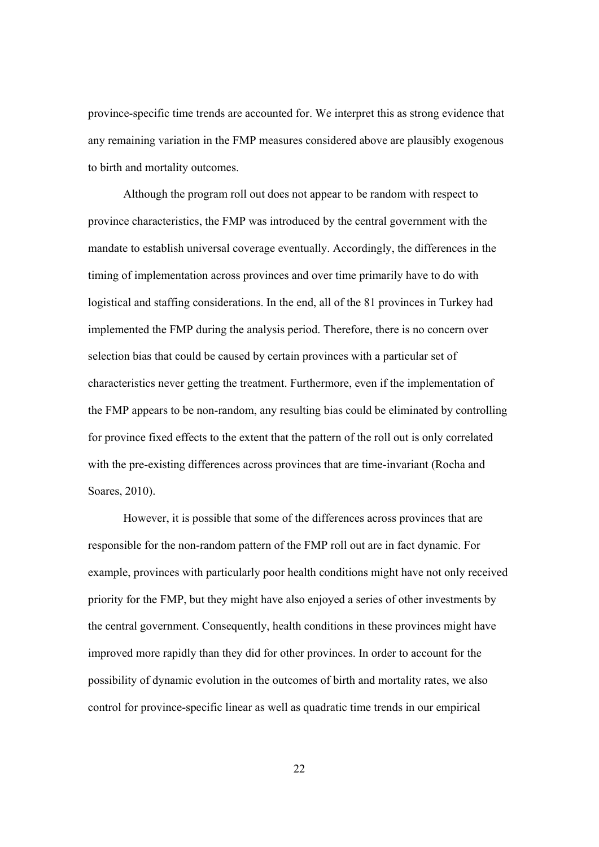province-specific time trends are accounted for. We interpret this as strong evidence that any remaining variation in the FMP measures considered above are plausibly exogenous to birth and mortality outcomes.

Although the program roll out does not appear to be random with respect to province characteristics, the FMP was introduced by the central government with the mandate to establish universal coverage eventually. Accordingly, the differences in the timing of implementation across provinces and over time primarily have to do with logistical and staffing considerations. In the end, all of the 81 provinces in Turkey had implemented the FMP during the analysis period. Therefore, there is no concern over selection bias that could be caused by certain provinces with a particular set of characteristics never getting the treatment. Furthermore, even if the implementation of the FMP appears to be non-random, any resulting bias could be eliminated by controlling for province fixed effects to the extent that the pattern of the roll out is only correlated with the pre-existing differences across provinces that are time-invariant (Rocha and Soares, 2010).

However, it is possible that some of the differences across provinces that are responsible for the non-random pattern of the FMP roll out are in fact dynamic. For example, provinces with particularly poor health conditions might have not only received priority for the FMP, but they might have also enjoyed a series of other investments by the central government. Consequently, health conditions in these provinces might have improved more rapidly than they did for other provinces. In order to account for the possibility of dynamic evolution in the outcomes of birth and mortality rates, we also control for province-specific linear as well as quadratic time trends in our empirical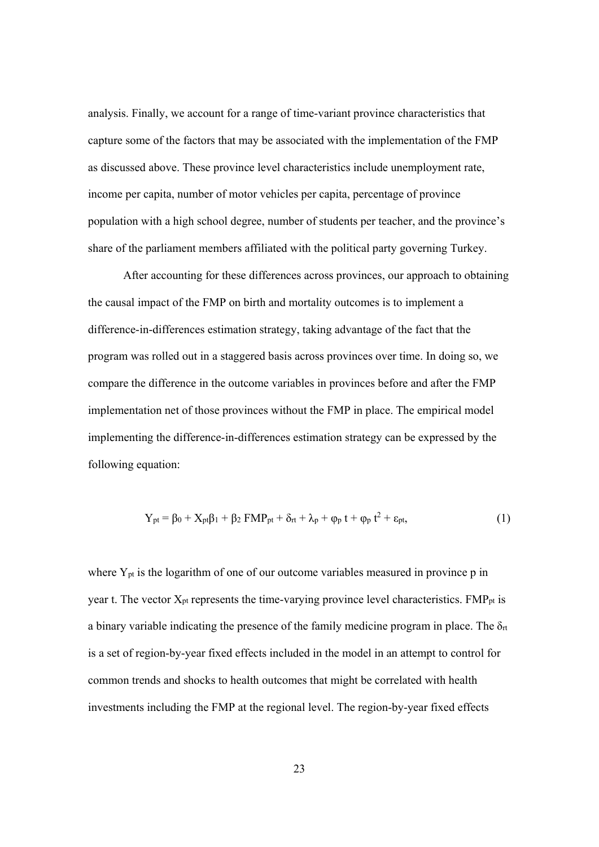analysis. Finally, we account for a range of time-variant province characteristics that capture some of the factors that may be associated with the implementation of the FMP as discussed above. These province level characteristics include unemployment rate, income per capita, number of motor vehicles per capita, percentage of province population with a high school degree, number of students per teacher, and the province's share of the parliament members affiliated with the political party governing Turkey.

After accounting for these differences across provinces, our approach to obtaining the causal impact of the FMP on birth and mortality outcomes is to implement a difference-in-differences estimation strategy, taking advantage of the fact that the program was rolled out in a staggered basis across provinces over time. In doing so, we compare the difference in the outcome variables in provinces before and after the FMP implementation net of those provinces without the FMP in place. The empirical model implementing the difference-in-differences estimation strategy can be expressed by the following equation:

$$
Y_{pt} = \beta_0 + X_{pt}\beta_1 + \beta_2 FMP_{pt} + \delta_{rt} + \lambda_p + \varphi_p t + \varphi_p t^2 + \varepsilon_{pt},
$$
<sup>(1)</sup>

where Y<sub>pt</sub> is the logarithm of one of our outcome variables measured in province p in year t. The vector  $X_{pt}$  represents the time-varying province level characteristics.  $FMP_{pt}$  is a binary variable indicating the presence of the family medicine program in place. The  $\delta_{rt}$ is a set of region-by-year fixed effects included in the model in an attempt to control for common trends and shocks to health outcomes that might be correlated with health investments including the FMP at the regional level. The region-by-year fixed effects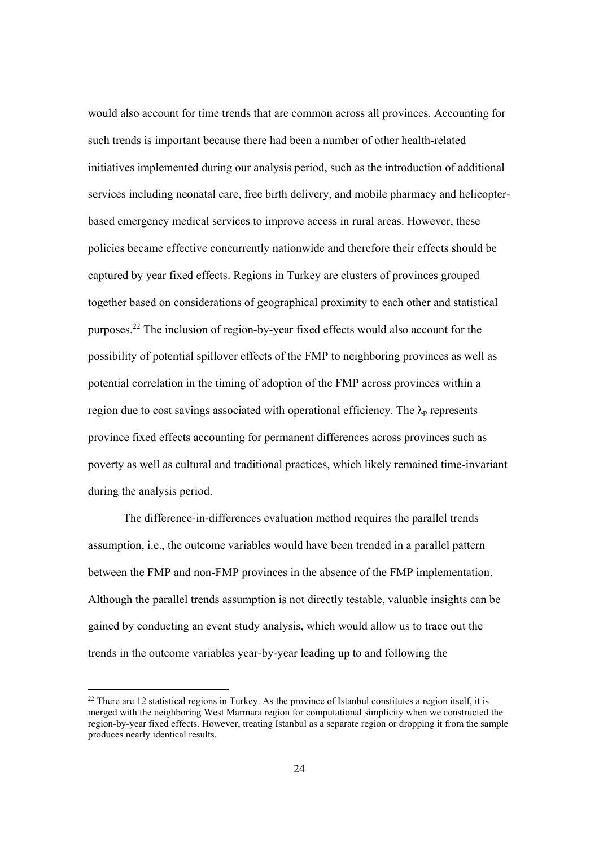would also account for time trends that are common across all provinces. Accounting for such trends is important because there had been a number of other health-related initiatives implemented during our analysis period, such as the introduction of additional services including neonatal care, free birth delivery, and mobile pharmacy and helicopterbased emergency medical services to improve access in rural areas. However, these policies became effective concurrently nationwide and therefore their effects should be captured by year fixed effects. Regions in Turkey are clusters of provinces grouped together based on considerations of geographical proximity to each other and statistical purposes.22 The inclusion of region-by-year fixed effects would also account for the possibility of potential spillover effects of the FMP to neighboring provinces as well as potential correlation in the timing of adoption of the FMP across provinces within a region due to cost savings associated with operational efficiency. The  $\lambda_p$  represents province fixed effects accounting for permanent differences across provinces such as poverty as well as cultural and traditional practices, which likely remained time-invariant during the analysis period.

The difference-in-differences evaluation method requires the parallel trends assumption, i.e., the outcome variables would have been trended in a parallel pattern between the FMP and non-FMP provinces in the absence of the FMP implementation. Although the parallel trends assumption is not directly testable, valuable insights can be gained by conducting an event study analysis, which would allow us to trace out the trends in the outcome variables year-by-year leading up to and following the

 $^{22}$  There are 12 statistical regions in Turkey. As the province of Istanbul constitutes a region itself, it is merged with the neighboring West Marmara region for computational simplicity when we constructed the region-by-year fixed effects. However, treating Istanbul as a separate region or dropping it from the sample produces nearly identical results.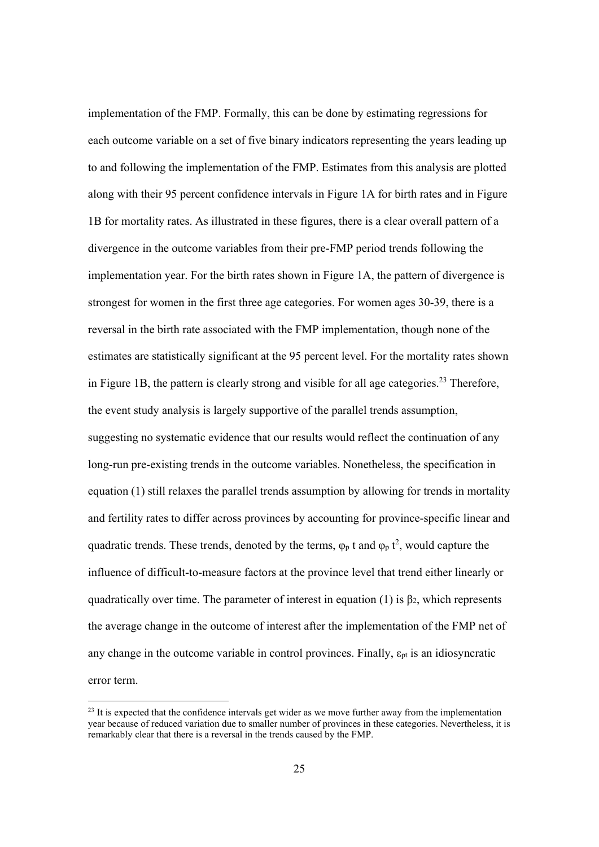implementation of the FMP. Formally, this can be done by estimating regressions for each outcome variable on a set of five binary indicators representing the years leading up to and following the implementation of the FMP. Estimates from this analysis are plotted along with their 95 percent confidence intervals in Figure 1A for birth rates and in Figure 1B for mortality rates. As illustrated in these figures, there is a clear overall pattern of a divergence in the outcome variables from their pre-FMP period trends following the implementation year. For the birth rates shown in Figure 1A, the pattern of divergence is strongest for women in the first three age categories. For women ages 30-39, there is a reversal in the birth rate associated with the FMP implementation, though none of the estimates are statistically significant at the 95 percent level. For the mortality rates shown in Figure 1B, the pattern is clearly strong and visible for all age categories.<sup>23</sup> Therefore, the event study analysis is largely supportive of the parallel trends assumption, suggesting no systematic evidence that our results would reflect the continuation of any long-run pre-existing trends in the outcome variables. Nonetheless, the specification in equation (1) still relaxes the parallel trends assumption by allowing for trends in mortality and fertility rates to differ across provinces by accounting for province-specific linear and quadratic trends. These trends, denoted by the terms,  $\varphi_p$  t and  $\varphi_p$  t<sup>2</sup>, would capture the influence of difficult-to-measure factors at the province level that trend either linearly or quadratically over time. The parameter of interest in equation (1) is  $\beta_2$ , which represents the average change in the outcome of interest after the implementation of the FMP net of any change in the outcome variable in control provinces. Finally,  $\varepsilon_{pt}$  is an idiosyncratic error term.

 $^{23}$  It is expected that the confidence intervals get wider as we move further away from the implementation year because of reduced variation due to smaller number of provinces in these categories. Nevertheless, it is remarkably clear that there is a reversal in the trends caused by the FMP.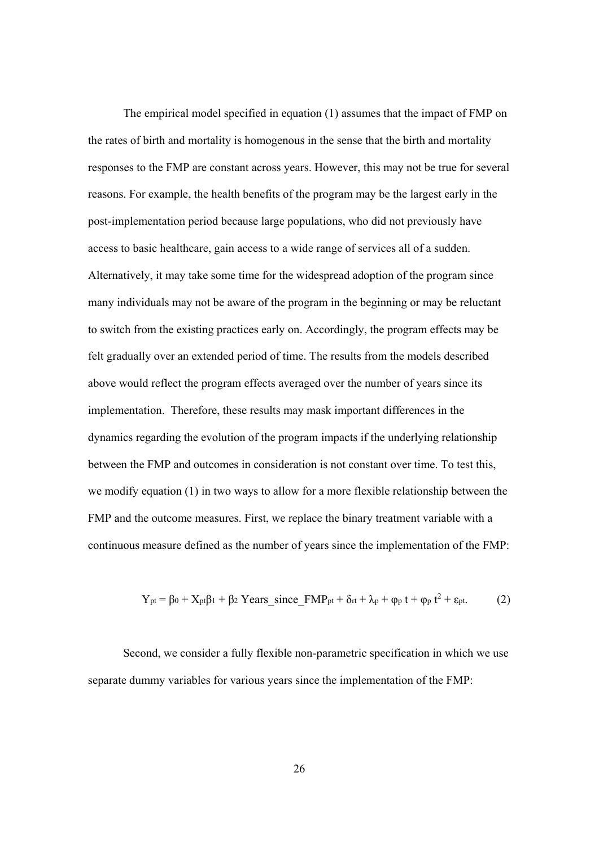The empirical model specified in equation (1) assumes that the impact of FMP on the rates of birth and mortality is homogenous in the sense that the birth and mortality responses to the FMP are constant across years. However, this may not be true for several reasons. For example, the health benefits of the program may be the largest early in the post-implementation period because large populations, who did not previously have access to basic healthcare, gain access to a wide range of services all of a sudden. Alternatively, it may take some time for the widespread adoption of the program since many individuals may not be aware of the program in the beginning or may be reluctant to switch from the existing practices early on. Accordingly, the program effects may be felt gradually over an extended period of time. The results from the models described above would reflect the program effects averaged over the number of years since its implementation. Therefore, these results may mask important differences in the dynamics regarding the evolution of the program impacts if the underlying relationship between the FMP and outcomes in consideration is not constant over time. To test this, we modify equation (1) in two ways to allow for a more flexible relationship between the FMP and the outcome measures. First, we replace the binary treatment variable with a continuous measure defined as the number of years since the implementation of the FMP:

$$
Y_{pt} = \beta_0 + X_{pt}\beta_1 + \beta_2 \text{ Years\_since\_FMP_{pt} + \delta_{rt} + \lambda_p + \varphi_p \ t + \varphi_p \ t^2 + \epsilon_{pt}. \tag{2}
$$

Second, we consider a fully flexible non-parametric specification in which we use separate dummy variables for various years since the implementation of the FMP: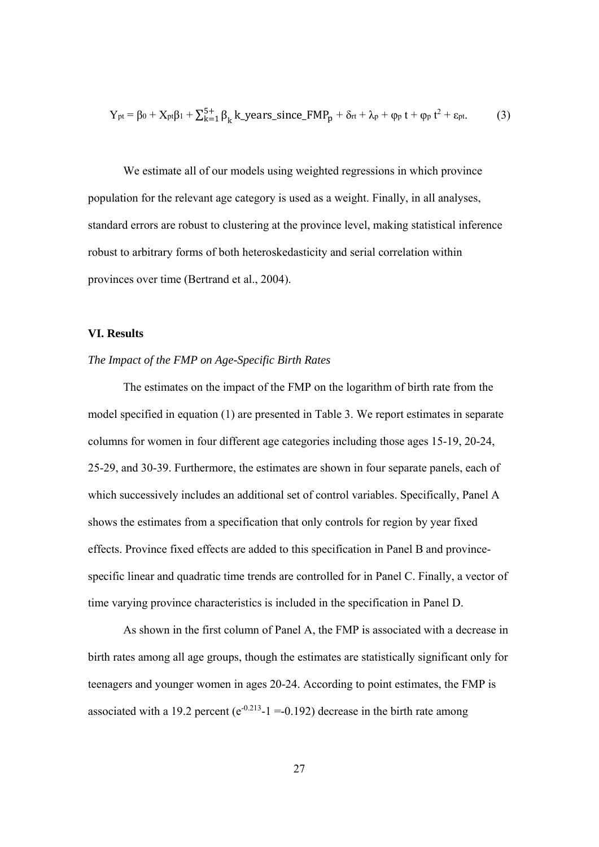$$
Y_{pt} = \beta_0 + X_{pt}\beta_1 + \sum_{k=1}^{5+} \beta_k k\_years\_since\_FMP_p + \delta_{rt} + \lambda_p + \varphi_p t + \varphi_p t^2 + \epsilon_{pt}. \tag{3}
$$

We estimate all of our models using weighted regressions in which province population for the relevant age category is used as a weight. Finally, in all analyses, standard errors are robust to clustering at the province level, making statistical inference robust to arbitrary forms of both heteroskedasticity and serial correlation within provinces over time (Bertrand et al., 2004).

#### **VI. Results**

#### *The Impact of the FMP on Age-Specific Birth Rates*

 The estimates on the impact of the FMP on the logarithm of birth rate from the model specified in equation (1) are presented in Table 3. We report estimates in separate columns for women in four different age categories including those ages 15-19, 20-24, 25-29, and 30-39. Furthermore, the estimates are shown in four separate panels, each of which successively includes an additional set of control variables. Specifically, Panel A shows the estimates from a specification that only controls for region by year fixed effects. Province fixed effects are added to this specification in Panel B and provincespecific linear and quadratic time trends are controlled for in Panel C. Finally, a vector of time varying province characteristics is included in the specification in Panel D.

 As shown in the first column of Panel A, the FMP is associated with a decrease in birth rates among all age groups, though the estimates are statistically significant only for teenagers and younger women in ages 20-24. According to point estimates, the FMP is associated with a 19.2 percent ( $e^{-0.213}$ -1 = -0.192) decrease in the birth rate among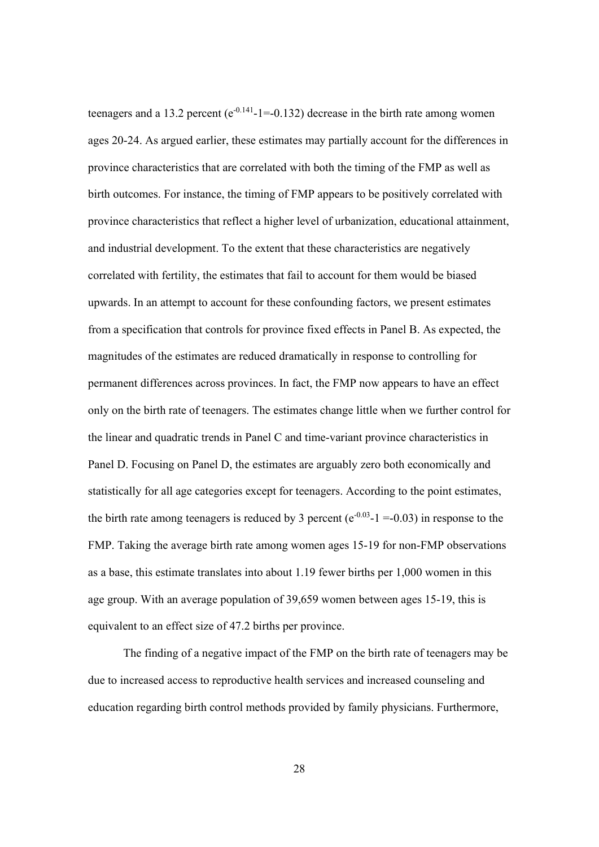teenagers and a 13.2 percent ( $e^{-0.141}$ -1=-0.132) decrease in the birth rate among women ages 20-24. As argued earlier, these estimates may partially account for the differences in province characteristics that are correlated with both the timing of the FMP as well as birth outcomes. For instance, the timing of FMP appears to be positively correlated with province characteristics that reflect a higher level of urbanization, educational attainment, and industrial development. To the extent that these characteristics are negatively correlated with fertility, the estimates that fail to account for them would be biased upwards. In an attempt to account for these confounding factors, we present estimates from a specification that controls for province fixed effects in Panel B. As expected, the magnitudes of the estimates are reduced dramatically in response to controlling for permanent differences across provinces. In fact, the FMP now appears to have an effect only on the birth rate of teenagers. The estimates change little when we further control for the linear and quadratic trends in Panel C and time-variant province characteristics in Panel D. Focusing on Panel D, the estimates are arguably zero both economically and statistically for all age categories except for teenagers. According to the point estimates, the birth rate among teenagers is reduced by 3 percent ( $e^{-0.03}$ -1 =-0.03) in response to the FMP. Taking the average birth rate among women ages 15-19 for non-FMP observations as a base, this estimate translates into about 1.19 fewer births per 1,000 women in this age group. With an average population of 39,659 women between ages 15-19, this is equivalent to an effect size of 47.2 births per province.

The finding of a negative impact of the FMP on the birth rate of teenagers may be due to increased access to reproductive health services and increased counseling and education regarding birth control methods provided by family physicians. Furthermore,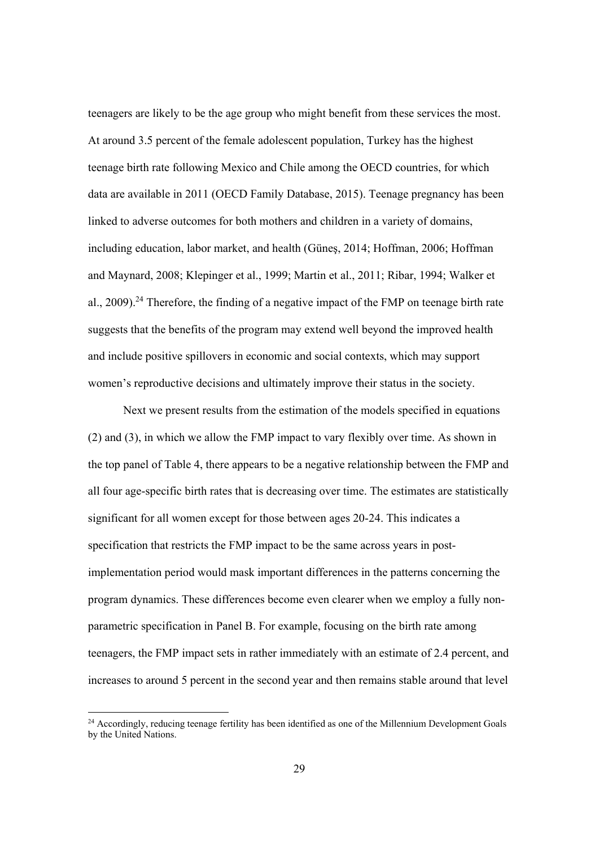teenagers are likely to be the age group who might benefit from these services the most. At around 3.5 percent of the female adolescent population, Turkey has the highest teenage birth rate following Mexico and Chile among the OECD countries, for which data are available in 2011 (OECD Family Database, 2015). Teenage pregnancy has been linked to adverse outcomes for both mothers and children in a variety of domains, including education, labor market, and health (Güneş, 2014; Hoffman, 2006; Hoffman and Maynard, 2008; Klepinger et al., 1999; Martin et al., 2011; Ribar, 1994; Walker et al.,  $2009$ ).<sup>24</sup> Therefore, the finding of a negative impact of the FMP on teenage birth rate suggests that the benefits of the program may extend well beyond the improved health and include positive spillovers in economic and social contexts, which may support women's reproductive decisions and ultimately improve their status in the society.

Next we present results from the estimation of the models specified in equations (2) and (3), in which we allow the FMP impact to vary flexibly over time. As shown in the top panel of Table 4, there appears to be a negative relationship between the FMP and all four age-specific birth rates that is decreasing over time. The estimates are statistically significant for all women except for those between ages 20-24. This indicates a specification that restricts the FMP impact to be the same across years in postimplementation period would mask important differences in the patterns concerning the program dynamics. These differences become even clearer when we employ a fully nonparametric specification in Panel B. For example, focusing on the birth rate among teenagers, the FMP impact sets in rather immediately with an estimate of 2.4 percent, and increases to around 5 percent in the second year and then remains stable around that level

 $24$  Accordingly, reducing teenage fertility has been identified as one of the Millennium Development Goals by the United Nations.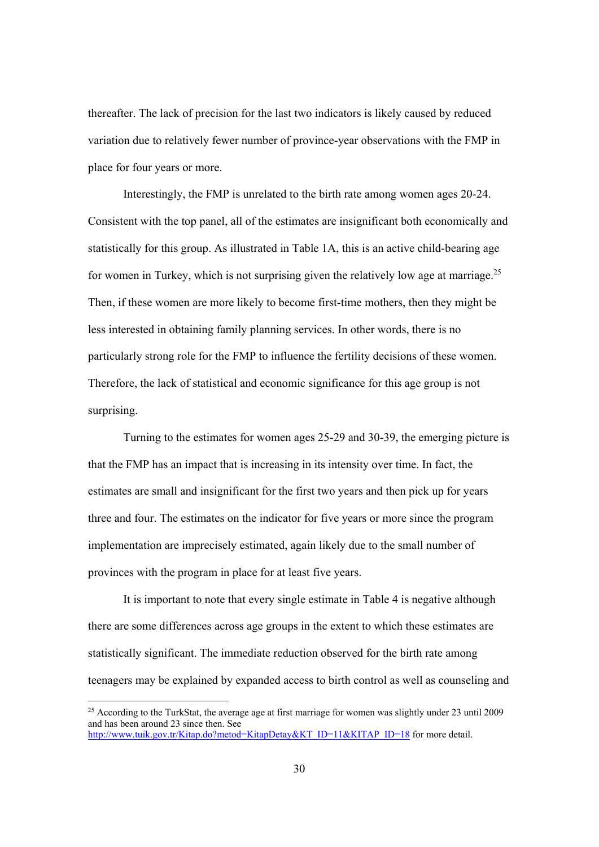thereafter. The lack of precision for the last two indicators is likely caused by reduced variation due to relatively fewer number of province-year observations with the FMP in place for four years or more.

Interestingly, the FMP is unrelated to the birth rate among women ages 20-24. Consistent with the top panel, all of the estimates are insignificant both economically and statistically for this group. As illustrated in Table 1A, this is an active child-bearing age for women in Turkey, which is not surprising given the relatively low age at marriage.<sup>25</sup> Then, if these women are more likely to become first-time mothers, then they might be less interested in obtaining family planning services. In other words, there is no particularly strong role for the FMP to influence the fertility decisions of these women. Therefore, the lack of statistical and economic significance for this age group is not surprising.

Turning to the estimates for women ages 25-29 and 30-39, the emerging picture is that the FMP has an impact that is increasing in its intensity over time. In fact, the estimates are small and insignificant for the first two years and then pick up for years three and four. The estimates on the indicator for five years or more since the program implementation are imprecisely estimated, again likely due to the small number of provinces with the program in place for at least five years.

It is important to note that every single estimate in Table 4 is negative although there are some differences across age groups in the extent to which these estimates are statistically significant. The immediate reduction observed for the birth rate among teenagers may be explained by expanded access to birth control as well as counseling and

<sup>&</sup>lt;sup>25</sup> According to the TurkStat, the average age at first marriage for women was slightly under 23 until 2009 and has been around 23 since then. See http://www.tuik.gov.tr/Kitap.do?metod=KitapDetay&KT\_ID=11&KITAP\_ID=18 for more detail.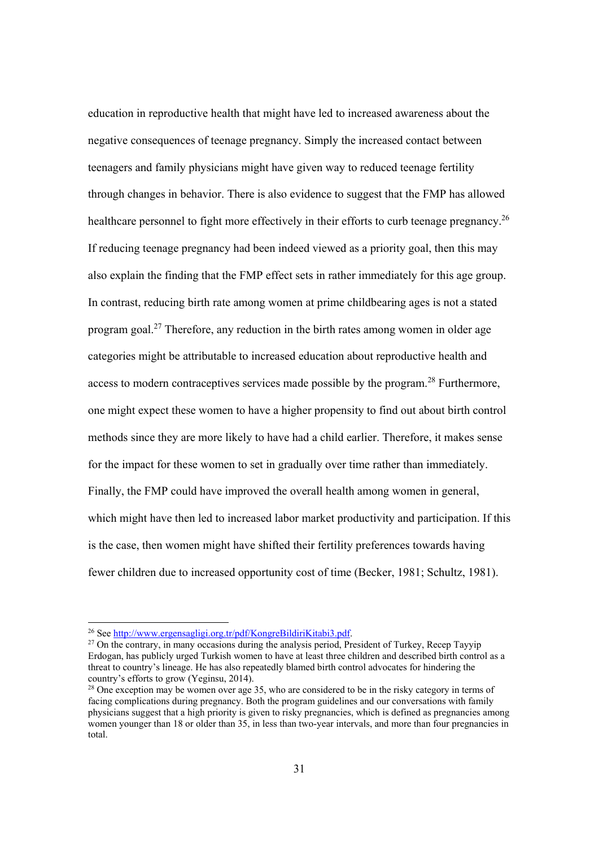education in reproductive health that might have led to increased awareness about the negative consequences of teenage pregnancy. Simply the increased contact between teenagers and family physicians might have given way to reduced teenage fertility through changes in behavior. There is also evidence to suggest that the FMP has allowed healthcare personnel to fight more effectively in their efforts to curb teenage pregnancy.<sup>26</sup> If reducing teenage pregnancy had been indeed viewed as a priority goal, then this may also explain the finding that the FMP effect sets in rather immediately for this age group. In contrast, reducing birth rate among women at prime childbearing ages is not a stated program goal.27 Therefore, any reduction in the birth rates among women in older age categories might be attributable to increased education about reproductive health and access to modern contraceptives services made possible by the program.<sup>28</sup> Furthermore, one might expect these women to have a higher propensity to find out about birth control methods since they are more likely to have had a child earlier. Therefore, it makes sense for the impact for these women to set in gradually over time rather than immediately. Finally, the FMP could have improved the overall health among women in general, which might have then led to increased labor market productivity and participation. If this is the case, then women might have shifted their fertility preferences towards having fewer children due to increased opportunity cost of time (Becker, 1981; Schultz, 1981).

<sup>&</sup>lt;sup>26</sup> See http://www.ergensagligi.org.tr/pdf/KongreBildiriKitabi3.pdf.<br><sup>27</sup> On the contrary, in many occasions during the analysis period, President of Turkey, Recep Tayyip Erdogan, has publicly urged Turkish women to have at least three children and described birth control as a threat to country's lineage. He has also repeatedly blamed birth control advocates for hindering the country's efforts to grow (Yeginsu, 2014).

<sup>&</sup>lt;sup>28</sup> One exception may be women over age 35, who are considered to be in the risky category in terms of facing complications during pregnancy. Both the program guidelines and our conversations with family physicians suggest that a high priority is given to risky pregnancies, which is defined as pregnancies among women younger than 18 or older than 35, in less than two-year intervals, and more than four pregnancies in total.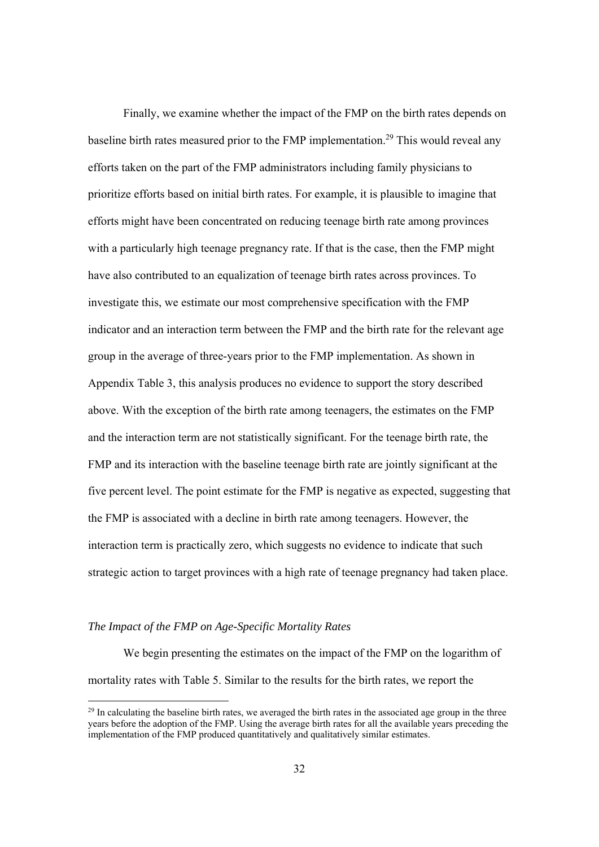Finally, we examine whether the impact of the FMP on the birth rates depends on baseline birth rates measured prior to the FMP implementation.<sup>29</sup> This would reveal any efforts taken on the part of the FMP administrators including family physicians to prioritize efforts based on initial birth rates. For example, it is plausible to imagine that efforts might have been concentrated on reducing teenage birth rate among provinces with a particularly high teenage pregnancy rate. If that is the case, then the FMP might have also contributed to an equalization of teenage birth rates across provinces. To investigate this, we estimate our most comprehensive specification with the FMP indicator and an interaction term between the FMP and the birth rate for the relevant age group in the average of three-years prior to the FMP implementation. As shown in Appendix Table 3, this analysis produces no evidence to support the story described above. With the exception of the birth rate among teenagers, the estimates on the FMP and the interaction term are not statistically significant. For the teenage birth rate, the FMP and its interaction with the baseline teenage birth rate are jointly significant at the five percent level. The point estimate for the FMP is negative as expected, suggesting that the FMP is associated with a decline in birth rate among teenagers. However, the interaction term is practically zero, which suggests no evidence to indicate that such strategic action to target provinces with a high rate of teenage pregnancy had taken place.

### *The Impact of the FMP on Age-Specific Mortality Rates*

 We begin presenting the estimates on the impact of the FMP on the logarithm of mortality rates with Table 5. Similar to the results for the birth rates, we report the

<sup>&</sup>lt;sup>29</sup> In calculating the baseline birth rates, we averaged the birth rates in the associated age group in the three years before the adoption of the FMP. Using the average birth rates for all the available years preceding the implementation of the FMP produced quantitatively and qualitatively similar estimates.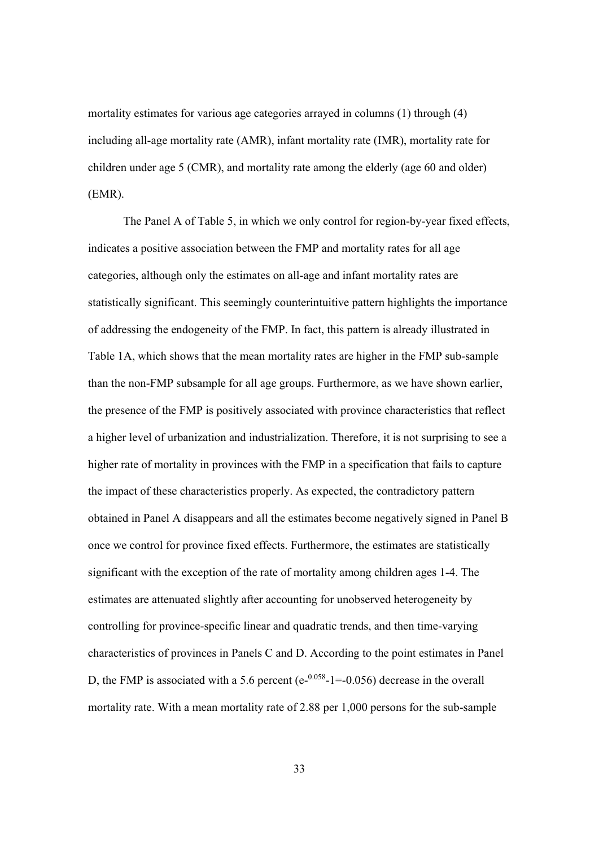mortality estimates for various age categories arrayed in columns (1) through (4) including all-age mortality rate (AMR), infant mortality rate (IMR), mortality rate for children under age 5 (CMR), and mortality rate among the elderly (age 60 and older) (EMR).

 The Panel A of Table 5, in which we only control for region-by-year fixed effects, indicates a positive association between the FMP and mortality rates for all age categories, although only the estimates on all-age and infant mortality rates are statistically significant. This seemingly counterintuitive pattern highlights the importance of addressing the endogeneity of the FMP. In fact, this pattern is already illustrated in Table 1A, which shows that the mean mortality rates are higher in the FMP sub-sample than the non-FMP subsample for all age groups. Furthermore, as we have shown earlier, the presence of the FMP is positively associated with province characteristics that reflect a higher level of urbanization and industrialization. Therefore, it is not surprising to see a higher rate of mortality in provinces with the FMP in a specification that fails to capture the impact of these characteristics properly. As expected, the contradictory pattern obtained in Panel A disappears and all the estimates become negatively signed in Panel B once we control for province fixed effects. Furthermore, the estimates are statistically significant with the exception of the rate of mortality among children ages 1-4. The estimates are attenuated slightly after accounting for unobserved heterogeneity by controlling for province-specific linear and quadratic trends, and then time-varying characteristics of provinces in Panels C and D. According to the point estimates in Panel D, the FMP is associated with a 5.6 percent (e- $0.058$ -1=-0.056) decrease in the overall mortality rate. With a mean mortality rate of 2.88 per 1,000 persons for the sub-sample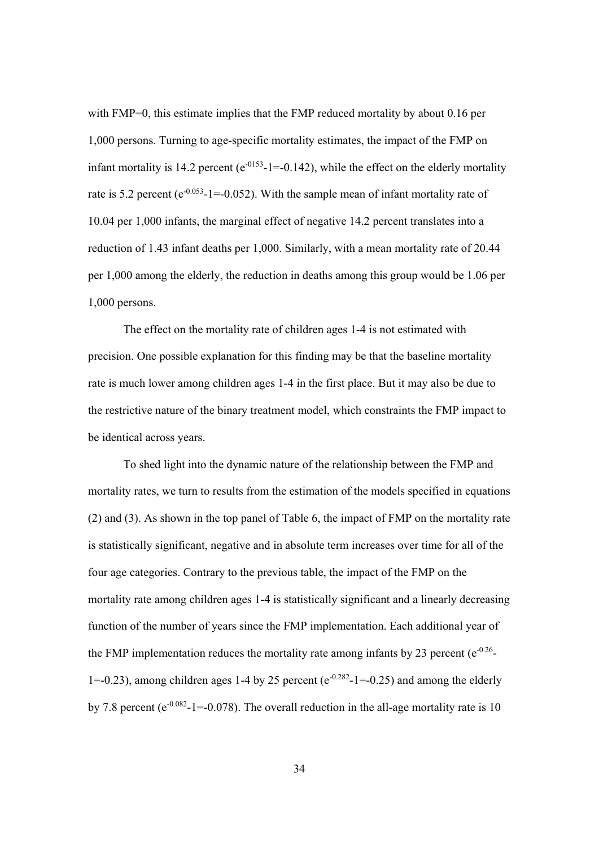with FMP=0, this estimate implies that the FMP reduced mortality by about 0.16 per 1,000 persons. Turning to age-specific mortality estimates, the impact of the FMP on infant mortality is 14.2 percent ( $e^{-0.153}$ -1=-0.142), while the effect on the elderly mortality rate is 5.2 percent ( $e^{-0.053}$ -1=-0.052). With the sample mean of infant mortality rate of 10.04 per 1,000 infants, the marginal effect of negative 14.2 percent translates into a reduction of 1.43 infant deaths per 1,000. Similarly, with a mean mortality rate of 20.44 per 1,000 among the elderly, the reduction in deaths among this group would be 1.06 per 1,000 persons.

The effect on the mortality rate of children ages 1-4 is not estimated with precision. One possible explanation for this finding may be that the baseline mortality rate is much lower among children ages 1-4 in the first place. But it may also be due to the restrictive nature of the binary treatment model, which constraints the FMP impact to be identical across years.

 To shed light into the dynamic nature of the relationship between the FMP and mortality rates, we turn to results from the estimation of the models specified in equations (2) and (3). As shown in the top panel of Table 6, the impact of FMP on the mortality rate is statistically significant, negative and in absolute term increases over time for all of the four age categories. Contrary to the previous table, the impact of the FMP on the mortality rate among children ages 1-4 is statistically significant and a linearly decreasing function of the number of years since the FMP implementation. Each additional year of the FMP implementation reduces the mortality rate among infants by 23 percent ( $e^{-0.26}$ -1=-0.23), among children ages 1-4 by 25 percent ( $e^{-0.282}$ -1=-0.25) and among the elderly by 7.8 percent ( $e^{-0.082}$ -1=-0.078). The overall reduction in the all-age mortality rate is 10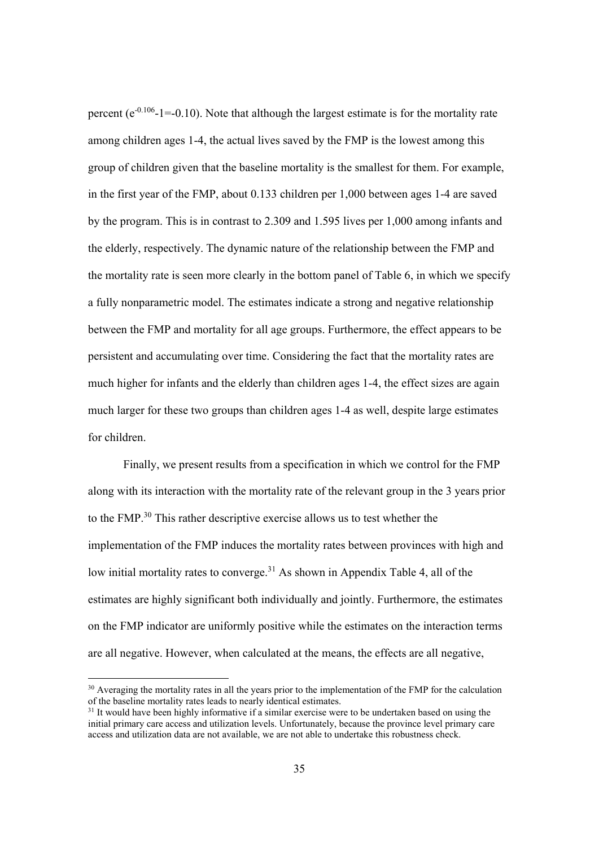percent ( $e^{-0.106}$ -1=-0.10). Note that although the largest estimate is for the mortality rate among children ages 1-4, the actual lives saved by the FMP is the lowest among this group of children given that the baseline mortality is the smallest for them. For example, in the first year of the FMP, about 0.133 children per 1,000 between ages 1-4 are saved by the program. This is in contrast to 2.309 and 1.595 lives per 1,000 among infants and the elderly, respectively. The dynamic nature of the relationship between the FMP and the mortality rate is seen more clearly in the bottom panel of Table 6, in which we specify a fully nonparametric model. The estimates indicate a strong and negative relationship between the FMP and mortality for all age groups. Furthermore, the effect appears to be persistent and accumulating over time. Considering the fact that the mortality rates are much higher for infants and the elderly than children ages 1-4, the effect sizes are again much larger for these two groups than children ages 1-4 as well, despite large estimates for children.

 Finally, we present results from a specification in which we control for the FMP along with its interaction with the mortality rate of the relevant group in the 3 years prior to the FMP.30 This rather descriptive exercise allows us to test whether the implementation of the FMP induces the mortality rates between provinces with high and low initial mortality rates to converge.<sup>31</sup> As shown in Appendix Table 4, all of the estimates are highly significant both individually and jointly. Furthermore, the estimates on the FMP indicator are uniformly positive while the estimates on the interaction terms are all negative. However, when calculated at the means, the effects are all negative,

<sup>&</sup>lt;sup>30</sup> Averaging the mortality rates in all the years prior to the implementation of the FMP for the calculation of the baseline mortality rates leads to nearly identical estimates.

<sup>&</sup>lt;sup>31</sup> It would have been highly informative if a similar exercise were to be undertaken based on using the initial primary care access and utilization levels. Unfortunately, because the province level primary care access and utilization data are not available, we are not able to undertake this robustness check.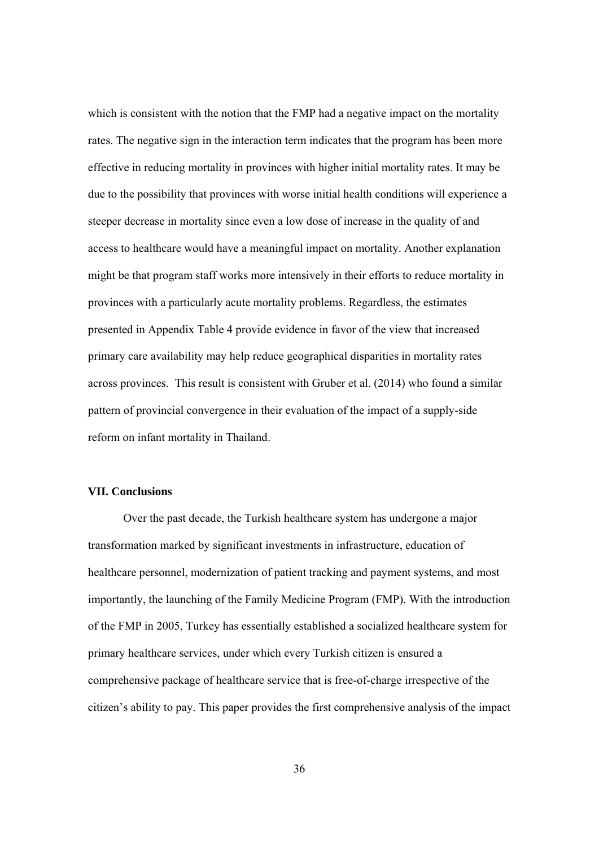which is consistent with the notion that the FMP had a negative impact on the mortality rates. The negative sign in the interaction term indicates that the program has been more effective in reducing mortality in provinces with higher initial mortality rates. It may be due to the possibility that provinces with worse initial health conditions will experience a steeper decrease in mortality since even a low dose of increase in the quality of and access to healthcare would have a meaningful impact on mortality. Another explanation might be that program staff works more intensively in their efforts to reduce mortality in provinces with a particularly acute mortality problems. Regardless, the estimates presented in Appendix Table 4 provide evidence in favor of the view that increased primary care availability may help reduce geographical disparities in mortality rates across provinces. This result is consistent with Gruber et al. (2014) who found a similar pattern of provincial convergence in their evaluation of the impact of a supply-side reform on infant mortality in Thailand.

#### **VII. Conclusions**

Over the past decade, the Turkish healthcare system has undergone a major transformation marked by significant investments in infrastructure, education of healthcare personnel, modernization of patient tracking and payment systems, and most importantly, the launching of the Family Medicine Program (FMP). With the introduction of the FMP in 2005, Turkey has essentially established a socialized healthcare system for primary healthcare services, under which every Turkish citizen is ensured a comprehensive package of healthcare service that is free-of-charge irrespective of the citizen's ability to pay. This paper provides the first comprehensive analysis of the impact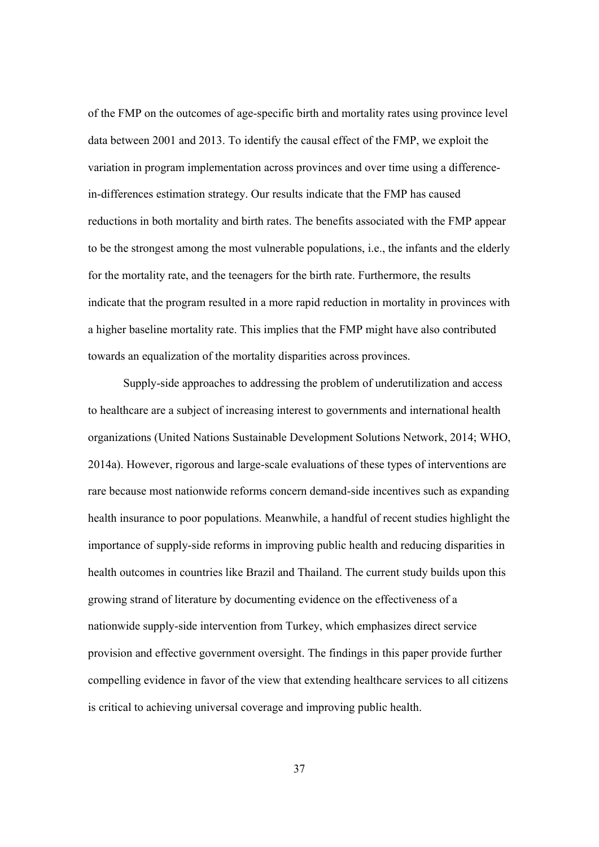of the FMP on the outcomes of age-specific birth and mortality rates using province level data between 2001 and 2013. To identify the causal effect of the FMP, we exploit the variation in program implementation across provinces and over time using a differencein-differences estimation strategy. Our results indicate that the FMP has caused reductions in both mortality and birth rates. The benefits associated with the FMP appear to be the strongest among the most vulnerable populations, i.e., the infants and the elderly for the mortality rate, and the teenagers for the birth rate. Furthermore, the results indicate that the program resulted in a more rapid reduction in mortality in provinces with a higher baseline mortality rate. This implies that the FMP might have also contributed towards an equalization of the mortality disparities across provinces.

Supply-side approaches to addressing the problem of underutilization and access to healthcare are a subject of increasing interest to governments and international health organizations (United Nations Sustainable Development Solutions Network, 2014; WHO, 2014a). However, rigorous and large-scale evaluations of these types of interventions are rare because most nationwide reforms concern demand-side incentives such as expanding health insurance to poor populations. Meanwhile, a handful of recent studies highlight the importance of supply-side reforms in improving public health and reducing disparities in health outcomes in countries like Brazil and Thailand. The current study builds upon this growing strand of literature by documenting evidence on the effectiveness of a nationwide supply-side intervention from Turkey, which emphasizes direct service provision and effective government oversight. The findings in this paper provide further compelling evidence in favor of the view that extending healthcare services to all citizens is critical to achieving universal coverage and improving public health.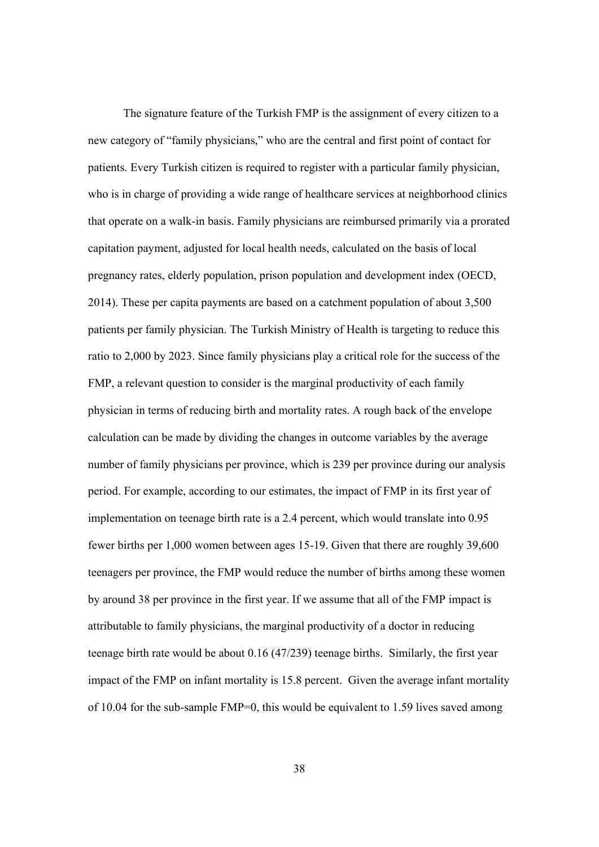The signature feature of the Turkish FMP is the assignment of every citizen to a new category of "family physicians," who are the central and first point of contact for patients. Every Turkish citizen is required to register with a particular family physician, who is in charge of providing a wide range of healthcare services at neighborhood clinics that operate on a walk-in basis. Family physicians are reimbursed primarily via a prorated capitation payment, adjusted for local health needs, calculated on the basis of local pregnancy rates, elderly population, prison population and development index (OECD, 2014). These per capita payments are based on a catchment population of about 3,500 patients per family physician. The Turkish Ministry of Health is targeting to reduce this ratio to 2,000 by 2023. Since family physicians play a critical role for the success of the FMP, a relevant question to consider is the marginal productivity of each family physician in terms of reducing birth and mortality rates. A rough back of the envelope calculation can be made by dividing the changes in outcome variables by the average number of family physicians per province, which is 239 per province during our analysis period. For example, according to our estimates, the impact of FMP in its first year of implementation on teenage birth rate is a 2.4 percent, which would translate into 0.95 fewer births per 1,000 women between ages 15-19. Given that there are roughly 39,600 teenagers per province, the FMP would reduce the number of births among these women by around 38 per province in the first year. If we assume that all of the FMP impact is attributable to family physicians, the marginal productivity of a doctor in reducing teenage birth rate would be about 0.16 (47/239) teenage births. Similarly, the first year impact of the FMP on infant mortality is 15.8 percent. Given the average infant mortality of 10.04 for the sub-sample FMP=0, this would be equivalent to 1.59 lives saved among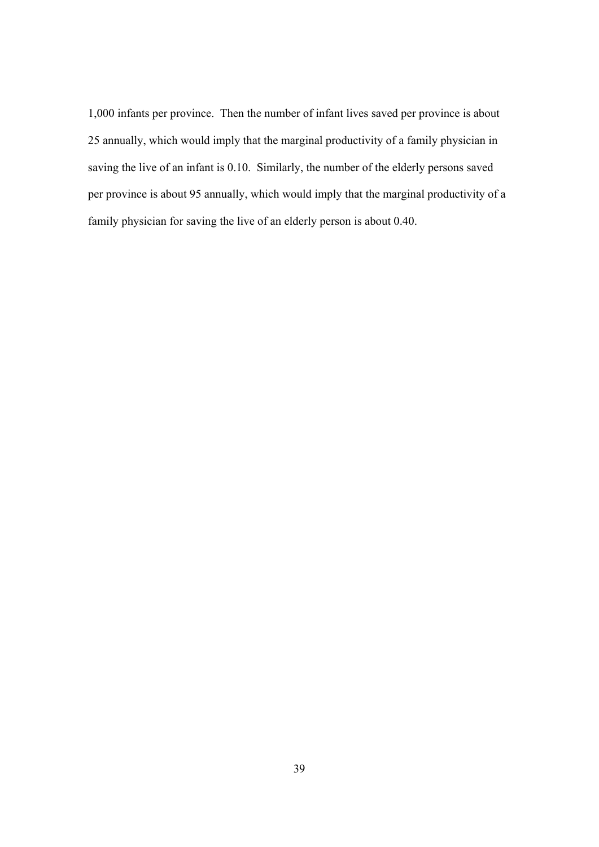1,000 infants per province. Then the number of infant lives saved per province is about 25 annually, which would imply that the marginal productivity of a family physician in saving the live of an infant is 0.10. Similarly, the number of the elderly persons saved per province is about 95 annually, which would imply that the marginal productivity of a family physician for saving the live of an elderly person is about 0.40.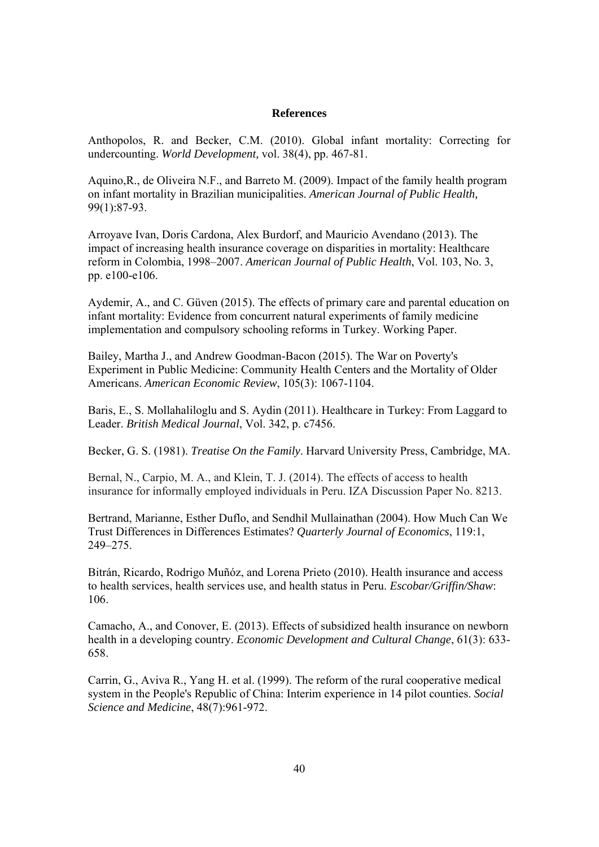#### **References**

Anthopolos, R. and Becker, C.M. (2010). Global infant mortality: Correcting for undercounting. *World Development,* vol. 38(4), pp. 467-81.

Aquino,R., de Oliveira N.F., and Barreto M. (2009). Impact of the family health program on infant mortality in Brazilian municipalities. *American Journal of Public Health,* 99(1):87-93.

Arroyave Ivan, Doris Cardona, Alex Burdorf, and Mauricio Avendano (2013). The impact of increasing health insurance coverage on disparities in mortality: Healthcare reform in Colombia, 1998–2007. *American Journal of Public Health*, Vol. 103, No. 3, pp. e100-e106.

Aydemir, A., and C. Güven (2015). The effects of primary care and parental education on infant mortality: Evidence from concurrent natural experiments of family medicine implementation and compulsory schooling reforms in Turkey. Working Paper.

Bailey, Martha J., and Andrew Goodman-Bacon (2015). The War on Poverty's Experiment in Public Medicine: Community Health Centers and the Mortality of Older Americans. *American Economic Review*, 105(3): 1067-1104.

Baris, E., S. Mollahaliloglu and S. Aydin (2011). Healthcare in Turkey: From Laggard to Leader. *British Medical Journal*, Vol. 342, p. c7456.

Becker, G. S. (1981). *Treatise On the Family*. Harvard University Press, Cambridge, MA.

Bernal, N., Carpio, M. A., and Klein, T. J. (2014). The effects of access to health insurance for informally employed individuals in Peru. IZA Discussion Paper No. 8213.

Bertrand, Marianne, Esther Duflo, and Sendhil Mullainathan (2004). How Much Can We Trust Differences in Differences Estimates? *Quarterly Journal of Economics*, 119:1, 249–275.

Bitrán, Ricardo, Rodrigo Muñóz, and Lorena Prieto (2010). Health insurance and access to health services, health services use, and health status in Peru. *Escobar/Griffin/Shaw*: 106.

Camacho, A., and Conover, E. (2013). Effects of subsidized health insurance on newborn health in a developing country. *Economic Development and Cultural Change*, 61(3): 633- 658.

Carrin, G., Aviva R., Yang H. et al. (1999). The reform of the rural cooperative medical system in the People's Republic of China: Interim experience in 14 pilot counties. *Social Science and Medicine*, 48(7):961-972.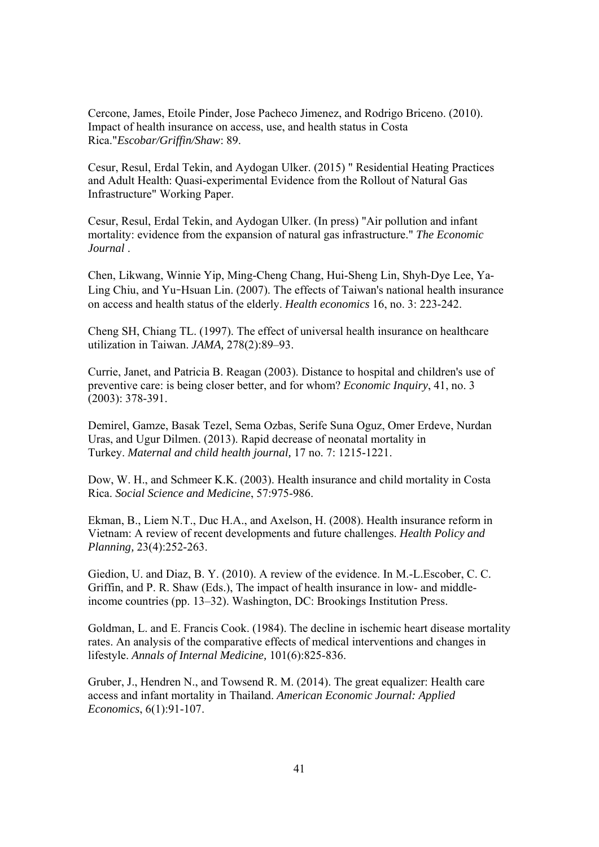Cercone, James, Etoile Pinder, Jose Pacheco Jimenez, and Rodrigo Briceno. (2010). Impact of health insurance on access, use, and health status in Costa Rica."*Escobar/Griffin/Shaw*: 89.

Cesur, Resul, Erdal Tekin, and Aydogan Ulker. (2015) " Residential Heating Practices and Adult Health: Quasi-experimental Evidence from the Rollout of Natural Gas Infrastructure" Working Paper.

Cesur, Resul, Erdal Tekin, and Aydogan Ulker. (In press) "Air pollution and infant mortality: evidence from the expansion of natural gas infrastructure." *The Economic Journal* .

Chen, Likwang, Winnie Yip, Ming-Cheng Chang, Hui-Sheng Lin, Shyh-Dye Lee, Ya-Ling Chiu, and Yu-Hsuan Lin. (2007). The effects of Taiwan's national health insurance on access and health status of the elderly. *Health economics* 16, no. 3: 223-242.

Cheng SH, Chiang TL. (1997). The effect of universal health insurance on healthcare utilization in Taiwan. *JAMA,* 278(2):89–93.

Currie, Janet, and Patricia B. Reagan (2003). Distance to hospital and children's use of preventive care: is being closer better, and for whom? *Economic Inquiry*, 41, no. 3 (2003): 378-391.

Demirel, Gamze, Basak Tezel, Sema Ozbas, Serife Suna Oguz, Omer Erdeve, Nurdan Uras, and Ugur Dilmen. (2013). Rapid decrease of neonatal mortality in Turkey. *Maternal and child health journal,* 17 no. 7: 1215-1221.

Dow, W. H., and Schmeer K.K. (2003). Health insurance and child mortality in Costa Rica. *Social Science and Medicine*, 57:975-986.

Ekman, B., Liem N.T., Duc H.A., and Axelson, H. (2008). Health insurance reform in Vietnam: A review of recent developments and future challenges. *Health Policy and Planning,* 23(4):252-263.

Giedion, U. and Diaz, B. Y. (2010). A review of the evidence. In M.-L.Escober, C. C. Griffin, and P. R. Shaw (Eds.), The impact of health insurance in low- and middleincome countries (pp. 13–32). Washington, DC: Brookings Institution Press.

Goldman, L. and E. Francis Cook. (1984). The decline in ischemic heart disease mortality rates. An analysis of the comparative effects of medical interventions and changes in lifestyle. *Annals of Internal Medicine,* 101(6):825-836.

Gruber, J., Hendren N., and Towsend R. M. (2014). The great equalizer: Health care access and infant mortality in Thailand. *American Economic Journal: Applied Economics*, 6(1):91-107.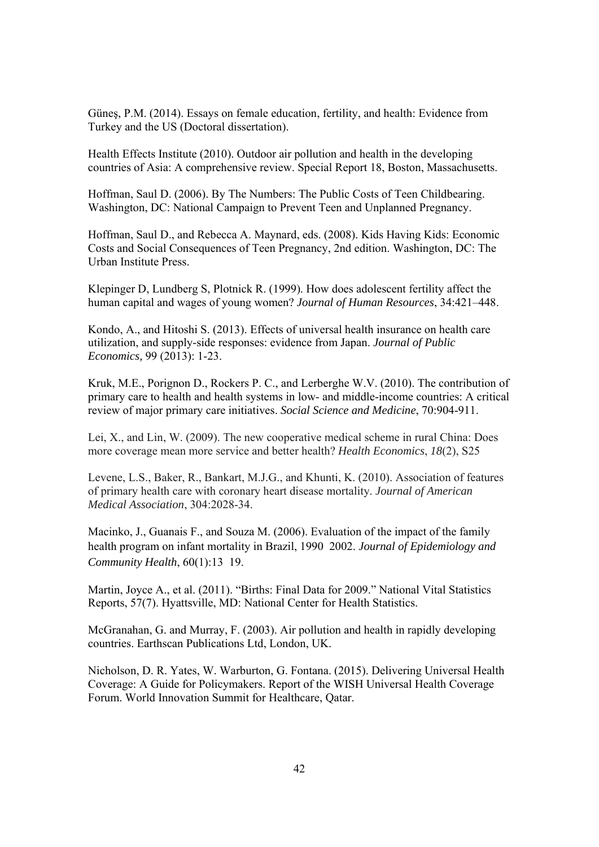Güneş, P.M. (2014). Essays on female education, fertility, and health: Evidence from Turkey and the US (Doctoral dissertation).

Health Effects Institute (2010). Outdoor air pollution and health in the developing countries of Asia: A comprehensive review. Special Report 18, Boston, Massachusetts.

Hoffman, Saul D. (2006). By The Numbers: The Public Costs of Teen Childbearing. Washington, DC: National Campaign to Prevent Teen and Unplanned Pregnancy.

Hoffman, Saul D., and Rebecca A. Maynard, eds. (2008). Kids Having Kids: Economic Costs and Social Consequences of Teen Pregnancy, 2nd edition. Washington, DC: The Urban Institute Press.

Klepinger D, Lundberg S, Plotnick R. (1999). How does adolescent fertility affect the human capital and wages of young women? *Journal of Human Resources*, 34:421–448.

Kondo, A., and Hitoshi S. (2013). Effects of universal health insurance on health care utilization, and supply-side responses: evidence from Japan. *Journal of Public Economics,* 99 (2013): 1-23.

Kruk, M.E., Porignon D., Rockers P. C., and Lerberghe W.V. (2010). The contribution of primary care to health and health systems in low- and middle-income countries: A critical review of major primary care initiatives. *Social Science and Medicine*, 70:904-911.

Lei, X., and Lin, W. (2009). The new cooperative medical scheme in rural China: Does more coverage mean more service and better health? *Health Economics*, *18*(2), S25

Levene, L.S., Baker, R., Bankart, M.J.G., and Khunti, K. (2010). Association of features of primary health care with coronary heart disease mortality. *Journal of American Medical Association*, 304:2028-34.

Macinko, J., Guanais F., and Souza M. (2006). Evaluation of the impact of the family health program on infant mortality in Brazil, 1990 2002. *Journal of Epidemiology and Community Health*, 60(1):13 19.

Martin, Joyce A., et al. (2011). "Births: Final Data for 2009." National Vital Statistics Reports, 57(7). Hyattsville, MD: National Center for Health Statistics.

McGranahan, G. and Murray, F. (2003). Air pollution and health in rapidly developing countries. Earthscan Publications Ltd, London, UK.

Nicholson, D. R. Yates, W. Warburton, G. Fontana. (2015). Delivering Universal Health Coverage: A Guide for Policymakers. Report of the WISH Universal Health Coverage Forum. World Innovation Summit for Healthcare, Qatar.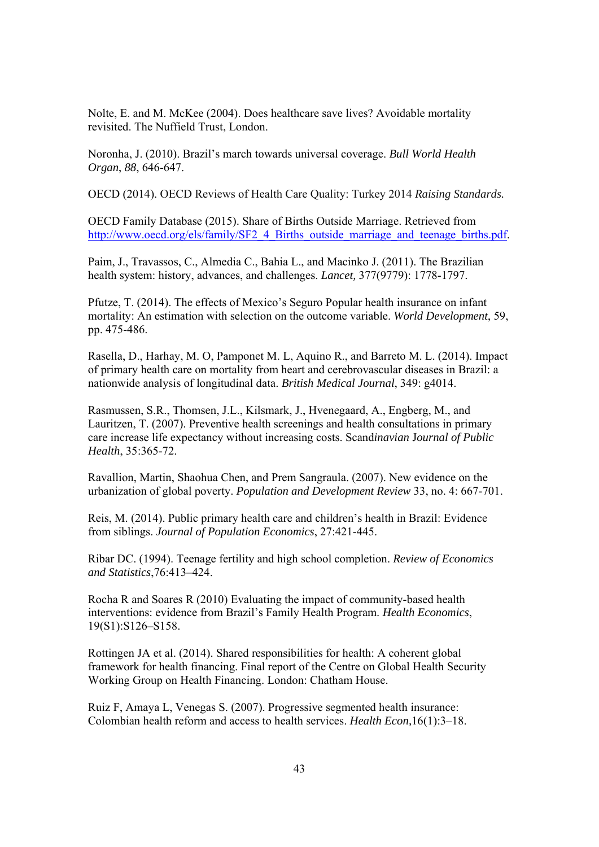Nolte, E. and M. McKee (2004). Does healthcare save lives? Avoidable mortality revisited. The Nuffield Trust, London.

Noronha, J. (2010). Brazil's march towards universal coverage. *Bull World Health Organ*, *88*, 646-647.

OECD (2014). OECD Reviews of Health Care Quality: Turkey 2014 *Raising Standards.*

OECD Family Database (2015). Share of Births Outside Marriage. Retrieved from http://www.oecd.org/els/family/SF2\_4\_Births\_outside\_marriage\_and\_teenage\_births.pdf.

Paim, J., Travassos, C., Almedia C., Bahia L., and Macinko J. (2011). The Brazilian health system: history, advances, and challenges. *Lancet,* 377(9779): 1778-1797.

Pfutze, T. (2014). The effects of Mexico's Seguro Popular health insurance on infant mortality: An estimation with selection on the outcome variable. *World Development*, 59, pp. 475-486.

Rasella, D., Harhay, M. O, Pamponet M. L, Aquino R., and Barreto M. L. (2014). Impact of primary health care on mortality from heart and cerebrovascular diseases in Brazil: a nationwide analysis of longitudinal data. *British Medical Journal*, 349: g4014.

Rasmussen, S.R., Thomsen, J.L., Kilsmark, J., Hvenegaard, A., Engberg, M., and Lauritzen, T. (2007). Preventive health screenings and health consultations in primary care increase life expectancy without increasing costs. Scand*inavian* J*ournal of Public Health*, 35:365-72.

Ravallion, Martin, Shaohua Chen, and Prem Sangraula. (2007). New evidence on the urbanization of global poverty. *Population and Development Review* 33, no. 4: 667-701.

Reis, M. (2014). Public primary health care and children's health in Brazil: Evidence from siblings. *Journal of Population Economics*, 27:421-445.

Ribar DC. (1994). Teenage fertility and high school completion. *Review of Economics and Statistics*,76:413–424.

Rocha R and Soares R (2010) Evaluating the impact of community-based health interventions: evidence from Brazil's Family Health Program. *Health Economics*, 19(S1):S126–S158.

Rottingen JA et al. (2014). Shared responsibilities for health: A coherent global framework for health financing. Final report of the Centre on Global Health Security Working Group on Health Financing. London: Chatham House.

Ruiz F, Amaya L, Venegas S. (2007). Progressive segmented health insurance: Colombian health reform and access to health services. *Health Econ,*16(1):3–18.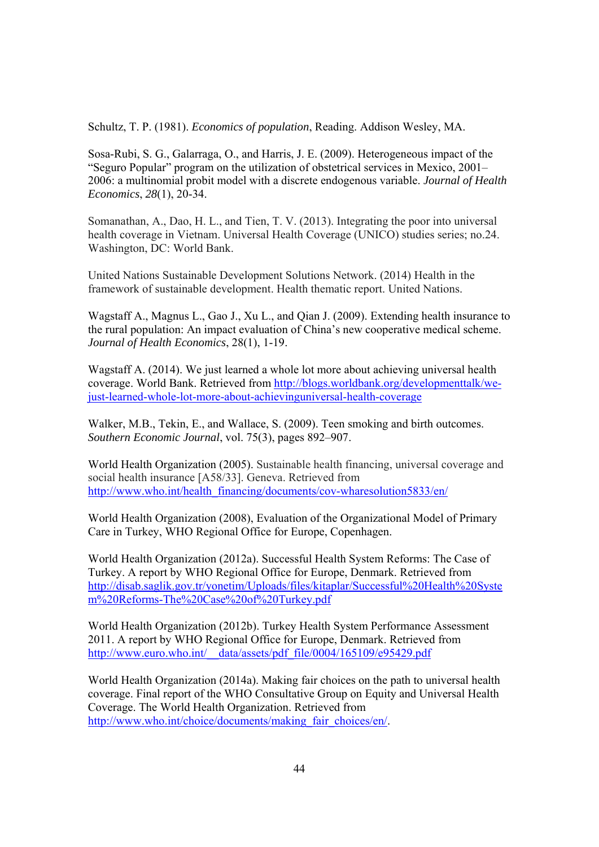Schultz, T. P. (1981). *Economics of population*, Reading. Addison Wesley, MA.

Sosa-Rubi, S. G., Galarraga, O., and Harris, J. E. (2009). Heterogeneous impact of the "Seguro Popular" program on the utilization of obstetrical services in Mexico, 2001– 2006: a multinomial probit model with a discrete endogenous variable. *Journal of Health Economics*, *28*(1), 20-34.

Somanathan, A., Dao, H. L., and Tien, T. V. (2013). Integrating the poor into universal health coverage in Vietnam. Universal Health Coverage (UNICO) studies series; no.24. Washington, DC: World Bank.

United Nations Sustainable Development Solutions Network. (2014) Health in the framework of sustainable development. Health thematic report. United Nations.

Wagstaff A., Magnus L., Gao J., Xu L., and Qian J. (2009). Extending health insurance to the rural population: An impact evaluation of China's new cooperative medical scheme. *Journal of Health Economics*, 28(1), 1-19.

Wagstaff A. (2014). We just learned a whole lot more about achieving universal health coverage. World Bank. Retrieved from http://blogs.worldbank.org/developmenttalk/wejust-learned-whole-lot-more-about-achievinguniversal-health-coverage

Walker, M.B., Tekin, E., and Wallace, S. (2009). Teen smoking and birth outcomes. *Southern Economic Journal*, vol. 75(3), pages 892–907.

World Health Organization (2005). Sustainable health financing, universal coverage and social health insurance [A58/33]. Geneva. Retrieved from http://www.who.int/health\_financing/documents/cov-wharesolution5833/en/

World Health Organization (2008), Evaluation of the Organizational Model of Primary Care in Turkey, WHO Regional Office for Europe, Copenhagen.

World Health Organization (2012a). Successful Health System Reforms: The Case of Turkey. A report by WHO Regional Office for Europe, Denmark. Retrieved from http://disab.saglik.gov.tr/yonetim/Uploads/files/kitaplar/Successful%20Health%20Syste m%20Reforms-The%20Case%20of%20Turkey.pdf

World Health Organization (2012b). Turkey Health System Performance Assessment 2011. A report by WHO Regional Office for Europe, Denmark. Retrieved from http://www.euro.who.int/ data/assets/pdf\_file/0004/165109/e95429.pdf

World Health Organization (2014a). Making fair choices on the path to universal health coverage. Final report of the WHO Consultative Group on Equity and Universal Health Coverage. The World Health Organization. Retrieved from http://www.who.int/choice/documents/making\_fair\_choices/en/.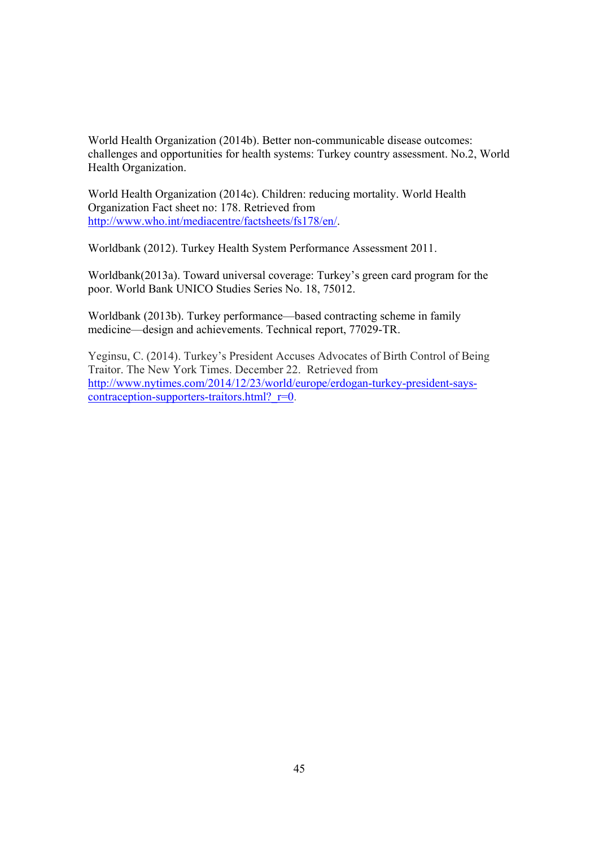World Health Organization (2014b). Better non-communicable disease outcomes: challenges and opportunities for health systems: Turkey country assessment. No.2, World Health Organization.

World Health Organization (2014c). Children: reducing mortality. World Health Organization Fact sheet no: 178. Retrieved from http://www.who.int/mediacentre/factsheets/fs178/en/.

Worldbank (2012). Turkey Health System Performance Assessment 2011.

Worldbank(2013a). Toward universal coverage: Turkey's green card program for the poor. World Bank UNICO Studies Series No. 18, 75012.

Worldbank (2013b). Turkey performance—based contracting scheme in family medicine—design and achievements. Technical report, 77029-TR.

Yeginsu, C. (2014). Turkey's President Accuses Advocates of Birth Control of Being Traitor. The New York Times. December 22. Retrieved from http://www.nytimes.com/2014/12/23/world/europe/erdogan-turkey-president-sayscontraception-supporters-traitors.html? $r=0$ .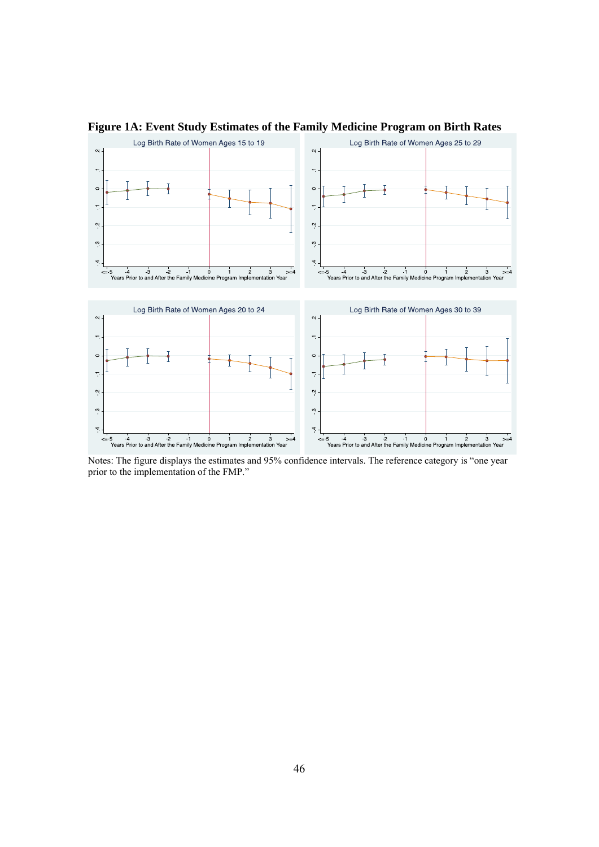

**Figure 1A: Event Study Estimates of the Family Medicine Program on Birth Rates** 

Notes: The figure displays the estimates and 95% confidence intervals. The reference category is "one year prior to the implementation of the FMP."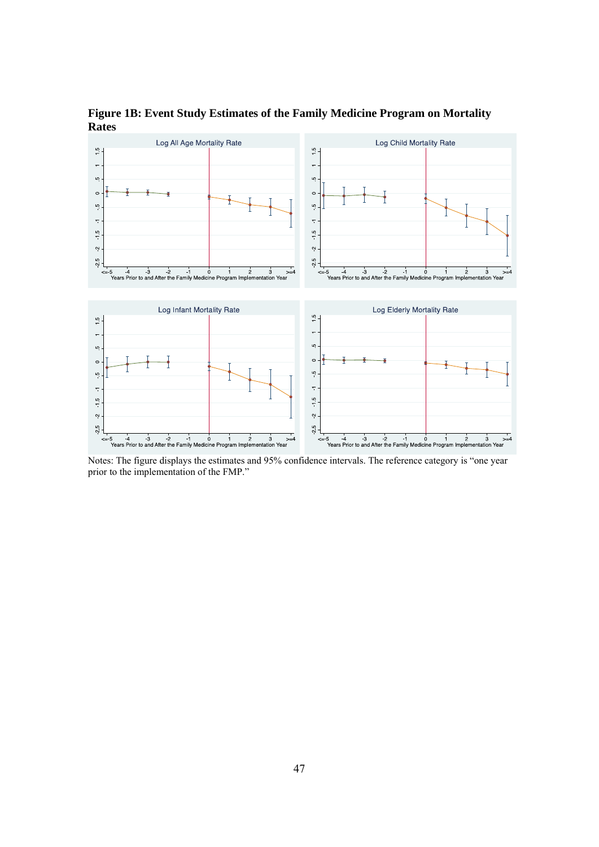**Figure 1B: Event Study Estimates of the Family Medicine Program on Mortality Rates** 



Notes: The figure displays the estimates and 95% confidence intervals. The reference category is "one year prior to the implementation of the FMP."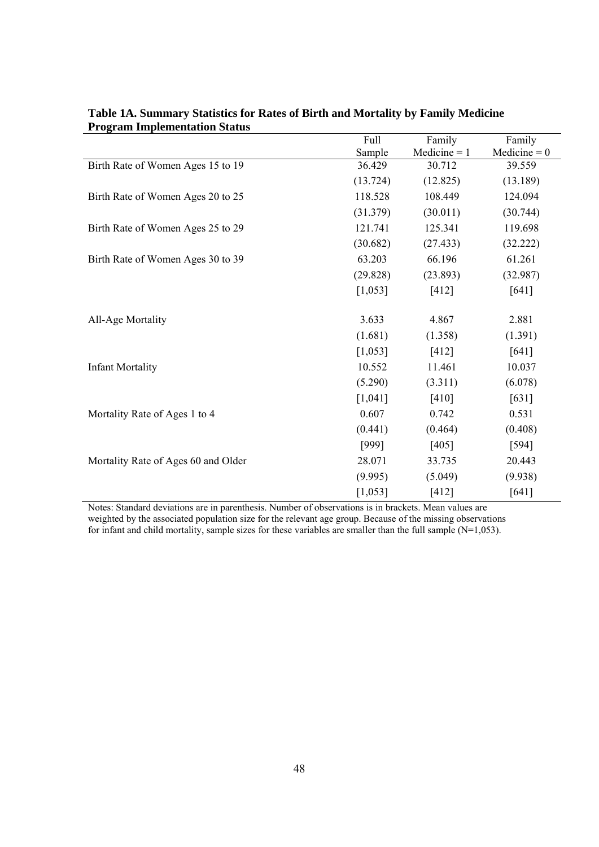|                                     | Full     | Family         | Family         |
|-------------------------------------|----------|----------------|----------------|
|                                     | Sample   | $Medicine = 1$ | Medicine = $0$ |
| Birth Rate of Women Ages 15 to 19   | 36.429   | 30.712         | 39.559         |
|                                     | (13.724) | (12.825)       | (13.189)       |
| Birth Rate of Women Ages 20 to 25   | 118.528  | 108.449        | 124.094        |
|                                     | (31.379) | (30.011)       | (30.744)       |
| Birth Rate of Women Ages 25 to 29   | 121.741  | 125.341        | 119.698        |
|                                     | (30.682) | (27.433)       | (32.222)       |
| Birth Rate of Women Ages 30 to 39   | 63.203   | 66.196         | 61.261         |
|                                     | (29.828) | (23.893)       | (32.987)       |
|                                     | [1,053]  | $[412]$        | $[641]$        |
| All-Age Mortality                   | 3.633    | 4.867          | 2.881          |
|                                     | (1.681)  | (1.358)        | (1.391)        |
|                                     | [1,053]  | $[412]$        | [641]          |
| <b>Infant Mortality</b>             | 10.552   | 11.461         | 10.037         |
|                                     | (5.290)  | (3.311)        | (6.078)        |
|                                     | [1,041]  | $[410]$        | $[631]$        |
| Mortality Rate of Ages 1 to 4       | 0.607    | 0.742          | 0.531          |
|                                     | (0.441)  | (0.464)        | (0.408)        |
|                                     | [999]    | [405]          | $[594]$        |
| Mortality Rate of Ages 60 and Older | 28.071   | 33.735         | 20.443         |
|                                     | (9.995)  | (5.049)        | (9.938)        |
|                                     | [1,053]  | $[412]$        | $[641]$        |

**Table 1A. Summary Statistics for Rates of Birth and Mortality by Family Medicine Program Implementation Status** 

Notes: Standard deviations are in parenthesis. Number of observations is in brackets. Mean values are weighted by the associated population size for the relevant age group. Because of the missing observations for infant and child mortality, sample sizes for these variables are smaller than the full sample  $(N=1,053)$ .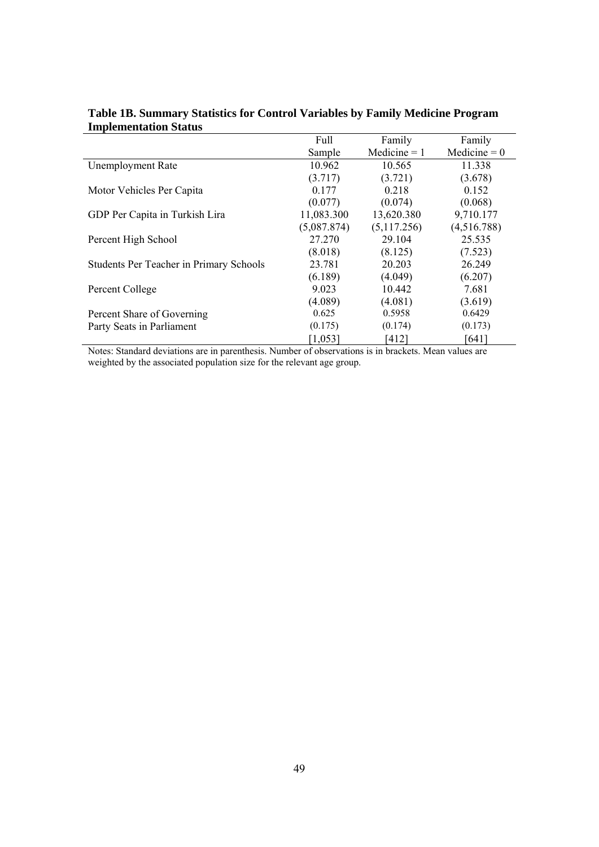|                                         | Full        | Family         | Family         |
|-----------------------------------------|-------------|----------------|----------------|
|                                         | Sample      | Medicine $= 1$ | Medicine = $0$ |
| <b>Unemployment Rate</b>                | 10.962      | 10.565         | 11.338         |
|                                         | (3.717)     | (3.721)        | (3.678)        |
| Motor Vehicles Per Capita               | 0.177       | 0.218          | 0.152          |
|                                         | (0.077)     | (0.074)        | (0.068)        |
| GDP Per Capita in Turkish Lira          | 11,083.300  | 13,620.380     | 9,710.177      |
|                                         | (5,087.874) | (5,117.256)    | (4,516.788)    |
| Percent High School                     | 27.270      | 29.104         | 25.535         |
|                                         | (8.018)     | (8.125)        | (7.523)        |
| Students Per Teacher in Primary Schools | 23.781      | 20.203         | 26.249         |
|                                         | (6.189)     | (4.049)        | (6.207)        |
| Percent College                         | 9.023       | 10.442         | 7.681          |
|                                         | (4.089)     | (4.081)        | (3.619)        |
| Percent Share of Governing              | 0.625       | 0.5958         | 0.6429         |
| Party Seats in Parliament               | (0.175)     | (0.174)        | (0.173)        |
|                                         | [1,053]     | [412]          | [641]          |

# **Table 1B. Summary Statistics for Control Variables by Family Medicine Program Implementation Status**

Notes: Standard deviations are in parenthesis. Number of observations is in brackets. Mean values are weighted by the associated population size for the relevant age group.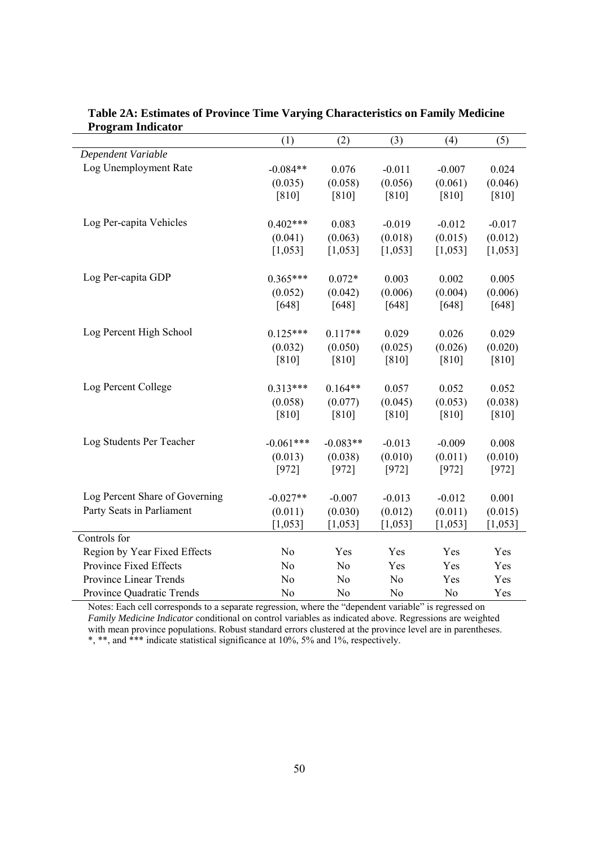|                                | (1)                | (2)              | (3)              | (4)                 | (5)              |
|--------------------------------|--------------------|------------------|------------------|---------------------|------------------|
| Dependent Variable             |                    |                  |                  |                     |                  |
| Log Unemployment Rate          | $-0.084**$         | 0.076            | $-0.011$         | $-0.007$            | 0.024            |
|                                | (0.035)            | (0.058)          | (0.056)          | (0.061)             | (0.046)          |
|                                | $[810]$            | $[810]$          | $[810]$          | $[810]$             | $[810]$          |
|                                |                    |                  |                  |                     |                  |
| Log Per-capita Vehicles        | $0.402***$         | 0.083            | $-0.019$         | $-0.012$            | $-0.017$         |
|                                | (0.041)            | (0.063)          | (0.018)          | (0.015)             | (0.012)          |
|                                | [1,053]            | [1,053]          | [1,053]          | [1,053]             | [1,053]          |
|                                |                    |                  |                  |                     |                  |
| Log Per-capita GDP             | $0.365***$         | $0.072*$         | 0.003            | 0.002               | 0.005            |
|                                | (0.052)            | (0.042)          | (0.006)          | (0.004)             | (0.006)          |
|                                | $[648]$            | $[648]$          | $[648]$          | $[648]$             | $[648]$          |
|                                |                    |                  |                  |                     |                  |
| Log Percent High School        | $0.125***$         | $0.117**$        | 0.029            | 0.026               | 0.029            |
|                                | (0.032)            | (0.050)          | (0.025)          | (0.026)             | (0.020)          |
|                                | $[810]$            | $[810]$          | $[810]$          | $[810]$             | $[810]$          |
|                                |                    |                  |                  |                     |                  |
| Log Percent College            | $0.313***$         | $0.164**$        | 0.057            | 0.052               | 0.052            |
|                                | (0.058)            | (0.077)          | (0.045)          | (0.053)             | (0.038)          |
|                                | $[810]$            | $[810]$          | $[810]$          | $[810]$             | $[810]$          |
| Log Students Per Teacher       |                    |                  |                  |                     |                  |
|                                | $-0.061***$        | $-0.083**$       | $-0.013$         | $-0.009$<br>(0.011) | 0.008<br>(0.010) |
|                                | (0.013)<br>$[972]$ | (0.038)<br>[972] | (0.010)<br>[972] | [972]               | $[972]$          |
|                                |                    |                  |                  |                     |                  |
| Log Percent Share of Governing | $-0.027**$         | $-0.007$         | $-0.013$         | $-0.012$            | 0.001            |
| Party Seats in Parliament      | (0.011)            | (0.030)          | (0.012)          | (0.011)             | (0.015)          |
|                                | [1,053]            | [1,053]          | [1,053]          | [1,053]             | [1,053]          |
| Controls for                   |                    |                  |                  |                     |                  |
| Region by Year Fixed Effects   | N <sub>o</sub>     | Yes              | Yes              | Yes                 | Yes              |
| Province Fixed Effects         | No                 | No               | Yes              | Yes                 | Yes              |
| Province Linear Trends         | No                 | No               | N <sub>o</sub>   | Yes                 | Yes              |
| Province Quadratic Trends      | No                 | N <sub>0</sub>   | N <sub>o</sub>   | No                  | Yes              |

**Table 2A: Estimates of Province Time Varying Characteristics on Family Medicine Program Indicator** 

÷

Notes: Each cell corresponds to a separate regression, where the "dependent variable" is regressed on *Family Medicine Indicator* conditional on control variables as indicated above. Regressions are weighted with mean province populations. Robust standard errors clustered at the province level are in parentheses. \*, \*\*, and \*\*\* indicate statistical significance at 10%, 5% and 1%, respectively.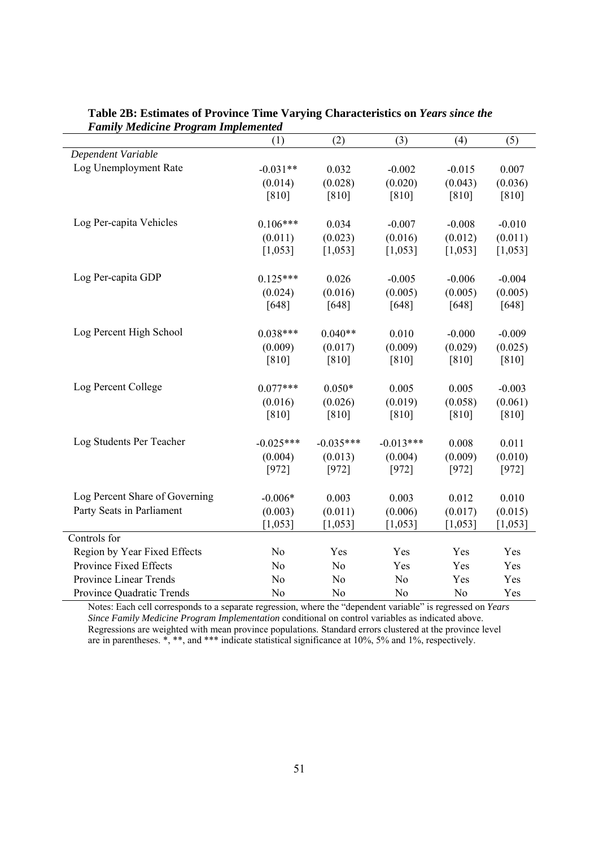| $\frac{1}{2}$                  | (1)            | (2)            | (3)            | (4)      | (5)      |
|--------------------------------|----------------|----------------|----------------|----------|----------|
| Dependent Variable             |                |                |                |          |          |
| Log Unemployment Rate          | $-0.031**$     | 0.032          | $-0.002$       | $-0.015$ | 0.007    |
|                                | (0.014)        | (0.028)        | (0.020)        | (0.043)  | (0.036)  |
|                                | $[810]$        | $[810]$        | $[810]$        | $[810]$  | $[810]$  |
|                                |                |                |                |          |          |
| Log Per-capita Vehicles        | $0.106***$     | 0.034          | $-0.007$       | $-0.008$ | $-0.010$ |
|                                | (0.011)        | (0.023)        | (0.016)        | (0.012)  | (0.011)  |
|                                | [1,053]        | [1,053]        | [1,053]        | [1,053]  | [1,053]  |
|                                |                |                |                |          |          |
| Log Per-capita GDP             | $0.125***$     | 0.026          | $-0.005$       | $-0.006$ | $-0.004$ |
|                                | (0.024)        | (0.016)        | (0.005)        | (0.005)  | (0.005)  |
|                                | $[648]$        | $[648]$        | $[648]$        | $[648]$  | $[648]$  |
|                                |                |                |                |          |          |
| Log Percent High School        | $0.038***$     | $0.040**$      | 0.010          | $-0.000$ | $-0.009$ |
|                                | (0.009)        | (0.017)        | (0.009)        | (0.029)  | (0.025)  |
|                                | $[810]$        | $[810]$        | $[810]$        | $[810]$  | $[810]$  |
|                                |                |                |                |          |          |
| Log Percent College            | $0.077***$     | $0.050*$       | 0.005          | 0.005    | $-0.003$ |
|                                | (0.016)        | (0.026)        | (0.019)        | (0.058)  | (0.061)  |
|                                | $[810]$        | $[810]$        | $[810]$        | $[810]$  | $[810]$  |
|                                |                |                |                |          |          |
| Log Students Per Teacher       | $-0.025***$    | $-0.035***$    | $-0.013***$    | 0.008    | 0.011    |
|                                | (0.004)        | (0.013)        | (0.004)        | (0.009)  | (0.010)  |
|                                | [972]          | [972]          | [972]          | [972]    | [972]    |
|                                |                |                |                |          |          |
| Log Percent Share of Governing | $-0.006*$      | 0.003          | 0.003          | 0.012    | 0.010    |
| Party Seats in Parliament      | (0.003)        | (0.011)        | (0.006)        | (0.017)  | (0.015)  |
|                                | [1,053]        | [1,053]        | [1,053]        | [1,053]  | [1,053]  |
| Controls for                   |                |                |                |          |          |
| Region by Year Fixed Effects   | N <sub>o</sub> | Yes            | Yes            | Yes      | Yes      |
| Province Fixed Effects         | N <sub>o</sub> | No             | Yes            | Yes      | Yes      |
| Province Linear Trends         | N <sub>o</sub> | No             | N <sub>o</sub> | Yes      | Yes      |
| Province Quadratic Trends      | N <sub>o</sub> | N <sub>0</sub> | N <sub>0</sub> | No       | Yes      |

#### **Table 2B: Estimates of Province Time Varying Characteristics on** *Years since the Family Medicine Program Implemented*

> Notes: Each cell corresponds to a separate regression, where the "dependent variable" is regressed on *Years Since Family Medicine Program Implementation* conditional on control variables as indicated above. Regressions are weighted with mean province populations. Standard errors clustered at the province level are in parentheses. \*, \*\*, and \*\*\* indicate statistical significance at 10%, 5% and 1%, respectively.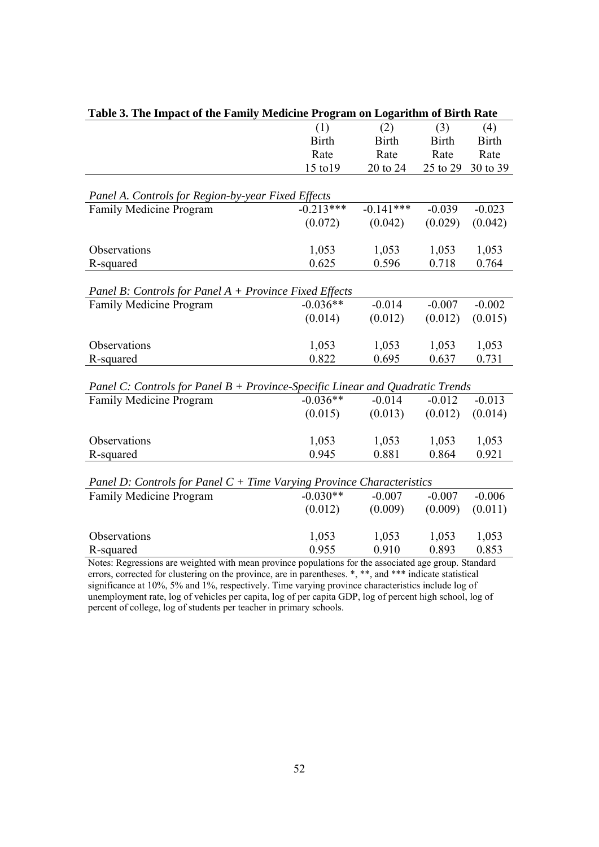| Table 3. The Impact of the Family Medicine Program on Logarithm of Birth Rate                         |              |              |              |              |  |  |  |
|-------------------------------------------------------------------------------------------------------|--------------|--------------|--------------|--------------|--|--|--|
|                                                                                                       | (1)          | (2)          | (3)          | (4)          |  |  |  |
|                                                                                                       | <b>Birth</b> | <b>Birth</b> | <b>Birth</b> | <b>Birth</b> |  |  |  |
|                                                                                                       | Rate         | Rate         | Rate         | Rate         |  |  |  |
|                                                                                                       | 15 to 19     | 20 to 24     | 25 to 29     | 30 to 39     |  |  |  |
|                                                                                                       |              |              |              |              |  |  |  |
| Panel A. Controls for Region-by-year Fixed Effects                                                    |              |              |              |              |  |  |  |
| Family Medicine Program                                                                               | $-0.213***$  | $-0.141***$  | $-0.039$     | $-0.023$     |  |  |  |
|                                                                                                       | (0.072)      | (0.042)      | (0.029)      | (0.042)      |  |  |  |
|                                                                                                       |              |              |              |              |  |  |  |
| Observations                                                                                          | 1,053        | 1,053        | 1,053        | 1,053        |  |  |  |
| R-squared                                                                                             | 0.625        | 0.596        | 0.718        | 0.764        |  |  |  |
|                                                                                                       |              |              |              |              |  |  |  |
| Panel B: Controls for Panel A + Province Fixed Effects                                                |              |              |              |              |  |  |  |
| Family Medicine Program                                                                               | $-0.036**$   | $-0.014$     | $-0.007$     | $-0.002$     |  |  |  |
|                                                                                                       | (0.014)      | (0.012)      | (0.012)      | (0.015)      |  |  |  |
|                                                                                                       |              |              |              |              |  |  |  |
| Observations                                                                                          | 1,053        | 1,053        | 1,053        | 1,053        |  |  |  |
| R-squared                                                                                             | 0.822        | 0.695        | 0.637        | 0.731        |  |  |  |
|                                                                                                       |              |              |              |              |  |  |  |
| Panel C: Controls for Panel B + Province-Specific Linear and Quadratic Trends                         |              |              |              |              |  |  |  |
| Family Medicine Program                                                                               | $-0.036**$   | $-0.014$     | $-0.012$     | $-0.013$     |  |  |  |
|                                                                                                       | (0.015)      | (0.013)      | (0.012)      | (0.014)      |  |  |  |
|                                                                                                       |              |              |              |              |  |  |  |
| Observations                                                                                          | 1,053        | 1,053        | 1,053        | 1,053        |  |  |  |
| R-squared                                                                                             | 0.945        | 0.881        | 0.864        | 0.921        |  |  |  |
|                                                                                                       |              |              |              |              |  |  |  |
| Panel D: Controls for Panel $C +$ Time Varying Province Characteristics<br>Family Medicine Program    | $-0.030**$   | $-0.007$     | $-0.007$     | $-0.006$     |  |  |  |
|                                                                                                       |              | (0.009)      | (0.009)      |              |  |  |  |
|                                                                                                       | (0.012)      |              |              | (0.011)      |  |  |  |
| Observations                                                                                          | 1,053        | 1,053        | 1,053        | 1,053        |  |  |  |
| R-squared                                                                                             | 0.955        | 0.910        | 0.893        | 0.853        |  |  |  |
| Notes: Regressions are weighted with mean province populations for the associated age group. Standard |              |              |              |              |  |  |  |
|                                                                                                       |              |              |              |              |  |  |  |

| Table 3. The Impact of the Family Medicine Program on Logarithm of Birth Rate |       |                 |             |  |
|-------------------------------------------------------------------------------|-------|-----------------|-------------|--|
|                                                                               |       | (1) (2) (3) (4) |             |  |
|                                                                               | Birth | Birth           | Birth Birth |  |

errors, corrected for clustering on the province, are in parentheses.  $*,$  \*\*, and \*\*\* indicate statistical significance at 10%, 5% and 1%, respectively. Time varying province characteristics include log of unemployment rate, log of vehicles per capita, log of per capita GDP, log of percent high school, log of percent of college, log of students per teacher in primary schools.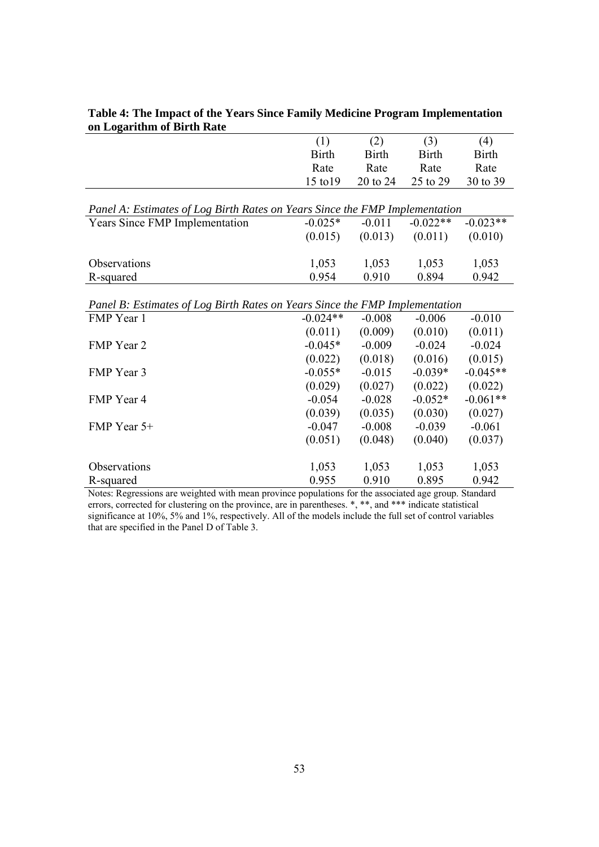|                                                                             | (1)          | (2)          | (3)          | (4)          |  |  |  |
|-----------------------------------------------------------------------------|--------------|--------------|--------------|--------------|--|--|--|
|                                                                             | <b>Birth</b> | <b>Birth</b> | <b>Birth</b> | <b>Birth</b> |  |  |  |
|                                                                             | Rate         | Rate         | Rate         | Rate         |  |  |  |
|                                                                             | 15 to 19     | 20 to 24     | 25 to 29     | 30 to 39     |  |  |  |
|                                                                             |              |              |              |              |  |  |  |
| Panel A: Estimates of Log Birth Rates on Years Since the FMP Implementation |              |              |              |              |  |  |  |
| <b>Years Since FMP Implementation</b>                                       | $-0.025*$    | $-0.011$     | $-0.022**$   | $-0.023**$   |  |  |  |
|                                                                             | (0.015)      | (0.013)      | (0.011)      | (0.010)      |  |  |  |
|                                                                             |              |              |              |              |  |  |  |
| Observations                                                                | 1,053        | 1,053        | 1,053        | 1,053        |  |  |  |
| R-squared                                                                   | 0.954        | 0.910        | 0.894        | 0.942        |  |  |  |
|                                                                             |              |              |              |              |  |  |  |
| Panel B: Estimates of Log Birth Rates on Years Since the FMP Implementation |              |              |              |              |  |  |  |
| FMP Year 1                                                                  | $-0.024**$   | $-0.008$     | $-0.006$     | $-0.010$     |  |  |  |
|                                                                             | (0.011)      | (0.009)      | (0.010)      | (0.011)      |  |  |  |
| FMP Year 2                                                                  | $-0.045*$    | $-0.009$     | $-0.024$     | $-0.024$     |  |  |  |
|                                                                             | (0.022)      | (0.018)      | (0.016)      | (0.015)      |  |  |  |
| FMP Year 3                                                                  | $-0.055*$    | $-0.015$     | $-0.039*$    | $-0.045**$   |  |  |  |
|                                                                             | (0.029)      | (0.027)      | (0.022)      | (0.022)      |  |  |  |
| FMP Year 4                                                                  | $-0.054$     | $-0.028$     | $-0.052*$    | $-0.061**$   |  |  |  |
|                                                                             | (0.039)      | (0.035)      | (0.030)      | (0.027)      |  |  |  |
| FMP Year 5+                                                                 | $-0.047$     | $-0.008$     | $-0.039$     | $-0.061$     |  |  |  |
|                                                                             | (0.051)      | (0.048)      | (0.040)      | (0.037)      |  |  |  |
| Observations                                                                | 1,053        | 1,053        | 1,053        | 1,053        |  |  |  |
| R-squared                                                                   | 0.955        | 0.910        | 0.895        | 0.942        |  |  |  |
|                                                                             |              |              |              |              |  |  |  |

### **Table 4: The Impact of the Years Since Family Medicine Program Implementation on Logarithm of Birth Rate**

Notes: Regressions are weighted with mean province populations for the associated age group. Standard errors, corrected for clustering on the province, are in parentheses. \*, \*\*, and \*\*\* indicate statistical significance at 10%, 5% and 1%, respectively. All of the models include the full set of control variables that are specified in the Panel D of Table 3.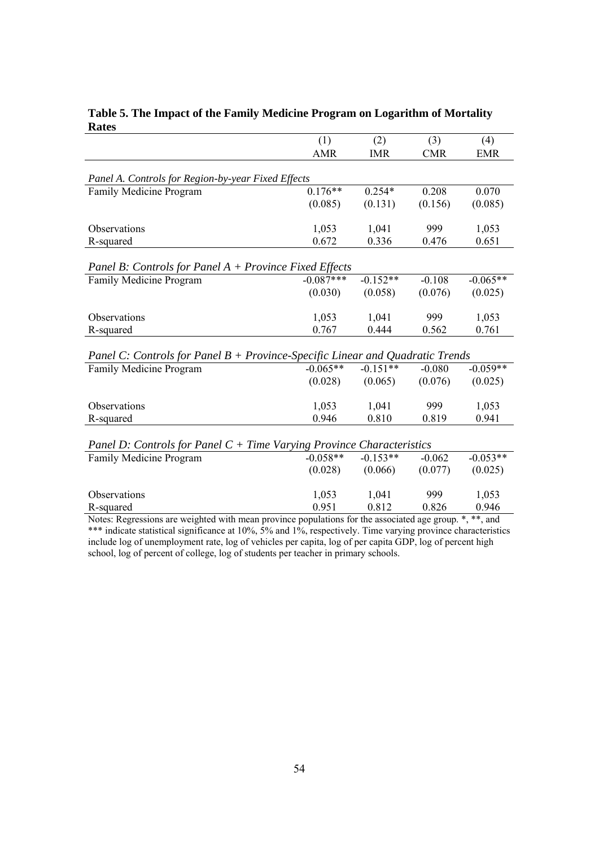|                                                                                                            | (1)<br>(2)  |            | (3)        | (4)        |  |  |
|------------------------------------------------------------------------------------------------------------|-------------|------------|------------|------------|--|--|
|                                                                                                            | <b>AMR</b>  | <b>IMR</b> | <b>CMR</b> | <b>EMR</b> |  |  |
|                                                                                                            |             |            |            |            |  |  |
| Panel A. Controls for Region-by-year Fixed Effects                                                         |             |            |            |            |  |  |
| Family Medicine Program                                                                                    | $0.176**$   | $0.254*$   | 0.208      | 0.070      |  |  |
|                                                                                                            | (0.085)     | (0.131)    | (0.156)    | (0.085)    |  |  |
| Observations                                                                                               | 1,053       | 1,041      | 999        | 1,053      |  |  |
|                                                                                                            | 0.672       | 0.336      | 0.476      | 0.651      |  |  |
| R-squared                                                                                                  |             |            |            |            |  |  |
| Panel B: Controls for Panel A + Province Fixed Effects                                                     |             |            |            |            |  |  |
| Family Medicine Program                                                                                    | $-0.087***$ | $-0.152**$ | $-0.108$   | $-0.065**$ |  |  |
|                                                                                                            |             |            |            |            |  |  |
|                                                                                                            | (0.030)     | (0.058)    | (0.076)    | (0.025)    |  |  |
| Observations                                                                                               | 1,053       | 1,041      | 999        | 1,053      |  |  |
| R-squared                                                                                                  | 0.767       | 0.444      | 0.562      | 0.761      |  |  |
|                                                                                                            |             |            |            |            |  |  |
| Panel C: Controls for Panel B + Province-Specific Linear and Quadratic Trends                              |             |            |            |            |  |  |
| Family Medicine Program                                                                                    | $-0.065**$  | $-0.151**$ | $-0.080$   | $-0.059**$ |  |  |
|                                                                                                            | (0.028)     | (0.065)    | (0.076)    | (0.025)    |  |  |
|                                                                                                            |             |            |            |            |  |  |
| Observations                                                                                               | 1,053       | 1,041      | 999        | 1,053      |  |  |
| R-squared                                                                                                  | 0.946       | 0.810      | 0.819      | 0.941      |  |  |
|                                                                                                            |             |            |            |            |  |  |
| Panel D: Controls for Panel $C +$ Time Varying Province Characteristics                                    |             |            |            |            |  |  |
| Family Medicine Program                                                                                    | $-0.058**$  | $-0.153**$ | $-0.062$   | $-0.053**$ |  |  |
|                                                                                                            | (0.028)     | (0.066)    | (0.077)    | (0.025)    |  |  |
|                                                                                                            |             |            |            |            |  |  |
| Observations                                                                                               | 1,053       | 1,041      | 999        | 1,053      |  |  |
| R-squared                                                                                                  | 0.951       | 0.812      | 0.826      | 0.946      |  |  |
| *, **, and<br>Notes: Regressions are weighted with mean province populations for the associated age group. |             |            |            |            |  |  |

### **Table 5. The Impact of the Family Medicine Program on Logarithm of Mortality Rates**

\*\*\* indicate statistical significance at 10%, 5% and 1%, respectively. Time varying province characteristics include log of unemployment rate, log of vehicles per capita, log of per capita GDP, log of percent high school, log of percent of college, log of students per teacher in primary schools.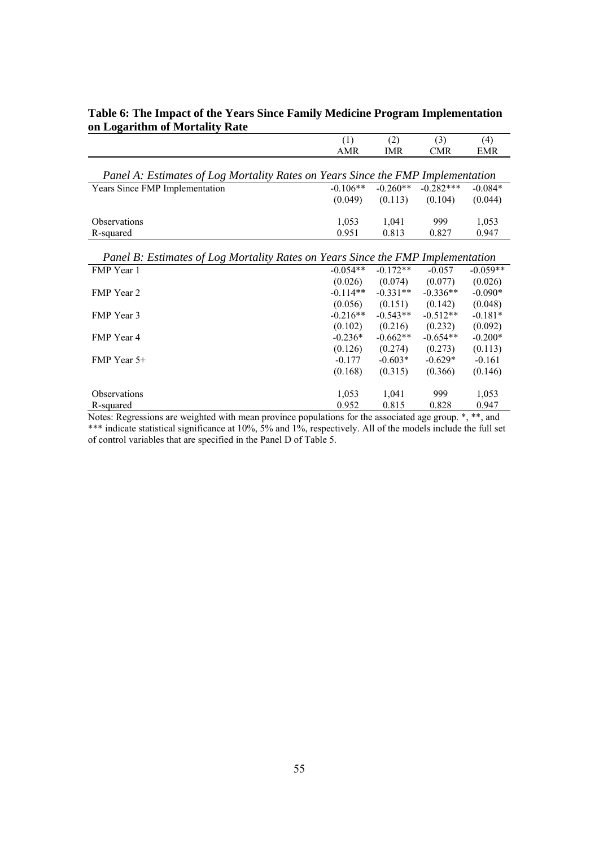|                                                                                 | (1)                                          | (2)        | (3)         | (4)             |
|---------------------------------------------------------------------------------|----------------------------------------------|------------|-------------|-----------------|
|                                                                                 | <b>AMR</b>                                   | <b>IMR</b> | <b>CMR</b>  | <b>EMR</b>      |
|                                                                                 |                                              |            |             |                 |
| Panel A: Estimates of Log Mortality Rates on Years Since the FMP Implementation |                                              |            |             |                 |
| Years Since FMP Implementation                                                  | $-0.106**$                                   | $-0.260**$ | $-0.282***$ | $-0.084*$       |
|                                                                                 | (0.049)                                      | (0.113)    | (0.104)     | (0.044)         |
|                                                                                 |                                              |            |             |                 |
| <b>Observations</b>                                                             | 1,053                                        | 1,041      | 999         | 1,053           |
| R-squared                                                                       | 0.951                                        | 0.813      | 0.827       | 0.947           |
|                                                                                 |                                              |            |             |                 |
| Panel B: Estimates of Log Mortality Rates on Years Since the FMP Implementation |                                              |            |             |                 |
| FMP Year 1                                                                      | $-0.054**$                                   | $-0.172**$ | $-0.057$    | $-0.059**$      |
|                                                                                 | (0.026)                                      | (0.074)    | (0.077)     | (0.026)         |
| <b>FMP</b> Year 2                                                               | $-0.114**$                                   | $-0.331**$ | $-0.336**$  | $-0.090*$       |
|                                                                                 | (0.056)                                      | (0.151)    | (0.142)     | (0.048)         |
| <b>FMP</b> Year 3                                                               | $-0.216**$                                   | $-0.543**$ | $-0.512**$  | $-0.181*$       |
|                                                                                 | (0.102)                                      | (0.216)    | (0.232)     | (0.092)         |
| FMP Year 4                                                                      | $-0.236*$                                    | $-0.662**$ | $-0.654**$  | $-0.200*$       |
|                                                                                 | (0.126)                                      | (0.274)    | (0.273)     | (0.113)         |
| FMP Year 5+                                                                     | $-0.177$                                     | $-0.603*$  | $-0.629*$   | $-0.161$        |
|                                                                                 | (0.168)                                      | (0.315)    | (0.366)     | (0.146)         |
|                                                                                 |                                              |            |             |                 |
| <b>Observations</b>                                                             | 1,053                                        | 1,041      | 999         | 1,053           |
| R-squared<br>$\cdot$<br>ar, n                                                   | 0.952<br>1.11<br>$\mathcal{C}$ $\mathcal{A}$ | 0.815      | 0.828       | 0.947<br>اسل سل |

## **Table 6: The Impact of the Years Since Family Medicine Program Implementation on Logarithm of Mortality Rate**

Notes: Regressions are weighted with mean province populations for the associated age group. \*, \*\*, and \*\*\* indicate statistical significance at 10%, 5% and 1%, respectively. All of the models include the full set of control variables that are specified in the Panel D of Table 5.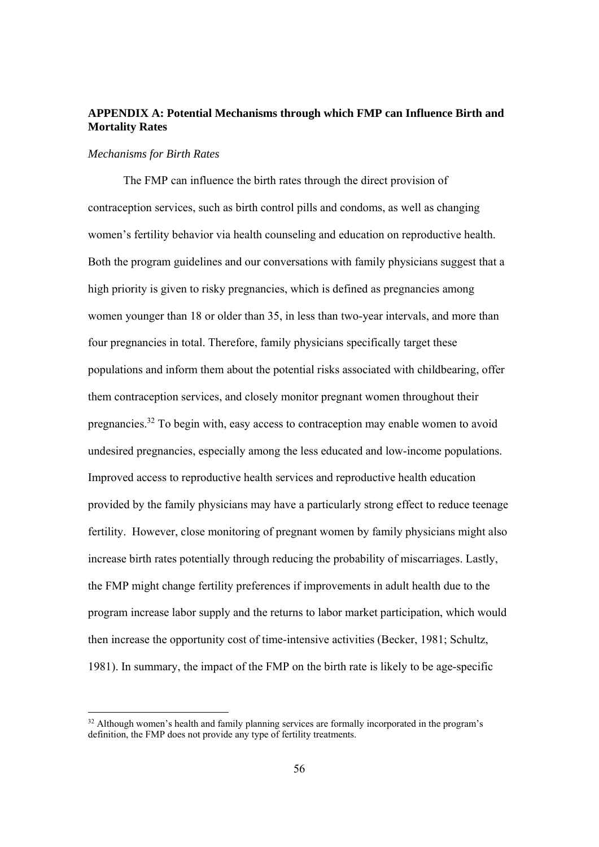## **APPENDIX A: Potential Mechanisms through which FMP can Influence Birth and Mortality Rates**

#### *Mechanisms for Birth Rates*

The FMP can influence the birth rates through the direct provision of contraception services, such as birth control pills and condoms, as well as changing women's fertility behavior via health counseling and education on reproductive health. Both the program guidelines and our conversations with family physicians suggest that a high priority is given to risky pregnancies, which is defined as pregnancies among women younger than 18 or older than 35, in less than two-year intervals, and more than four pregnancies in total. Therefore, family physicians specifically target these populations and inform them about the potential risks associated with childbearing, offer them contraception services, and closely monitor pregnant women throughout their pregnancies.32 To begin with, easy access to contraception may enable women to avoid undesired pregnancies, especially among the less educated and low-income populations. Improved access to reproductive health services and reproductive health education provided by the family physicians may have a particularly strong effect to reduce teenage fertility. However, close monitoring of pregnant women by family physicians might also increase birth rates potentially through reducing the probability of miscarriages. Lastly, the FMP might change fertility preferences if improvements in adult health due to the program increase labor supply and the returns to labor market participation, which would then increase the opportunity cost of time-intensive activities (Becker, 1981; Schultz, 1981). In summary, the impact of the FMP on the birth rate is likely to be age-specific

<sup>&</sup>lt;sup>32</sup> Although women's health and family planning services are formally incorporated in the program's definition, the FMP does not provide any type of fertility treatments.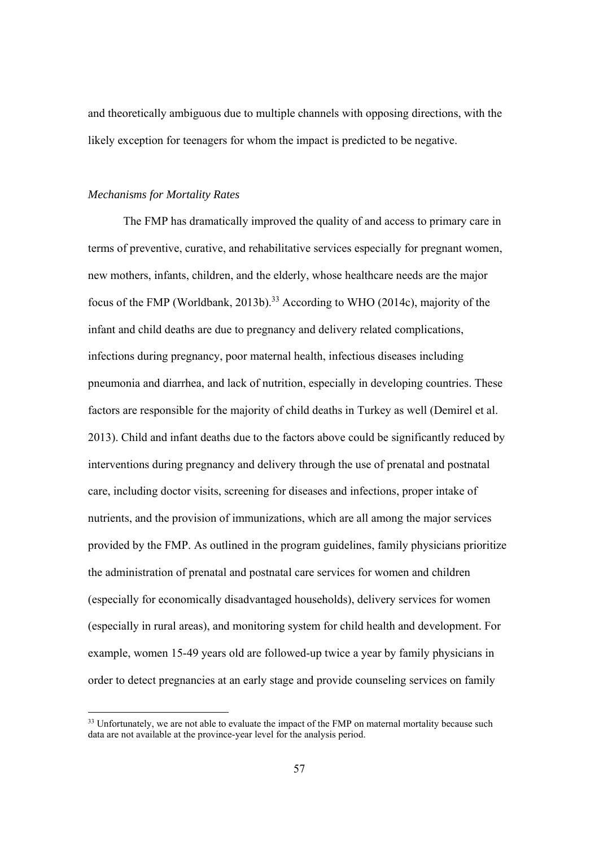and theoretically ambiguous due to multiple channels with opposing directions, with the likely exception for teenagers for whom the impact is predicted to be negative.

#### *Mechanisms for Mortality Rates*

The FMP has dramatically improved the quality of and access to primary care in terms of preventive, curative, and rehabilitative services especially for pregnant women, new mothers, infants, children, and the elderly, whose healthcare needs are the major focus of the FMP (Worldbank, 2013b).<sup>33</sup> According to WHO (2014c), majority of the infant and child deaths are due to pregnancy and delivery related complications, infections during pregnancy, poor maternal health, infectious diseases including pneumonia and diarrhea, and lack of nutrition, especially in developing countries. These factors are responsible for the majority of child deaths in Turkey as well (Demirel et al. 2013). Child and infant deaths due to the factors above could be significantly reduced by interventions during pregnancy and delivery through the use of prenatal and postnatal care, including doctor visits, screening for diseases and infections, proper intake of nutrients, and the provision of immunizations, which are all among the major services provided by the FMP. As outlined in the program guidelines, family physicians prioritize the administration of prenatal and postnatal care services for women and children (especially for economically disadvantaged households), delivery services for women (especially in rural areas), and monitoring system for child health and development. For example, women 15-49 years old are followed-up twice a year by family physicians in order to detect pregnancies at an early stage and provide counseling services on family

<sup>&</sup>lt;sup>33</sup> Unfortunately, we are not able to evaluate the impact of the FMP on maternal mortality because such data are not available at the province-year level for the analysis period.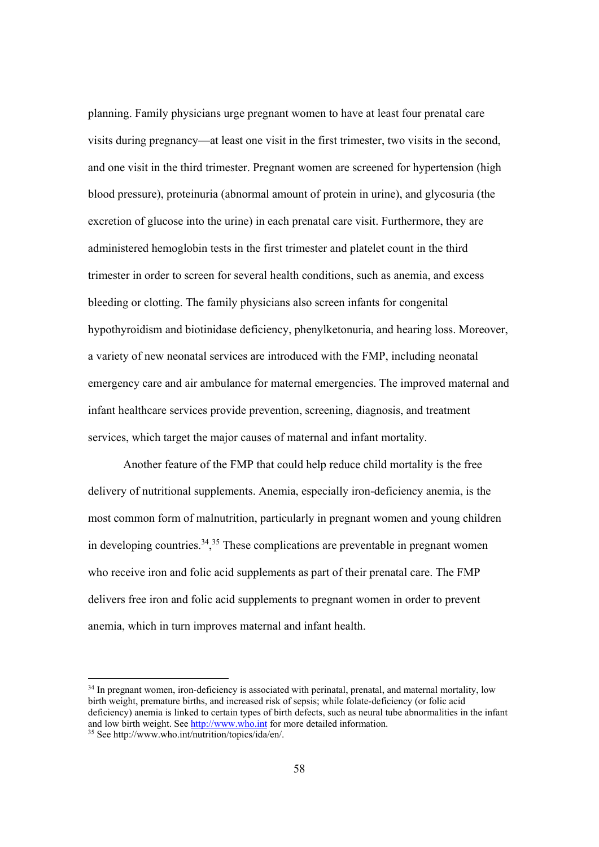planning. Family physicians urge pregnant women to have at least four prenatal care visits during pregnancy—at least one visit in the first trimester, two visits in the second, and one visit in the third trimester. Pregnant women are screened for hypertension (high blood pressure), proteinuria (abnormal amount of protein in urine), and glycosuria (the excretion of glucose into the urine) in each prenatal care visit. Furthermore, they are administered hemoglobin tests in the first trimester and platelet count in the third trimester in order to screen for several health conditions, such as anemia, and excess bleeding or clotting. The family physicians also screen infants for congenital hypothyroidism and biotinidase deficiency, phenylketonuria, and hearing loss. Moreover, a variety of new neonatal services are introduced with the FMP, including neonatal emergency care and air ambulance for maternal emergencies. The improved maternal and infant healthcare services provide prevention, screening, diagnosis, and treatment services, which target the major causes of maternal and infant mortality.

Another feature of the FMP that could help reduce child mortality is the free delivery of nutritional supplements. Anemia, especially iron-deficiency anemia, is the most common form of malnutrition, particularly in pregnant women and young children in developing countries.<sup>34</sup>,<sup>35</sup> These complications are preventable in pregnant women who receive iron and folic acid supplements as part of their prenatal care. The FMP delivers free iron and folic acid supplements to pregnant women in order to prevent anemia, which in turn improves maternal and infant health.

<sup>&</sup>lt;sup>34</sup> In pregnant women, iron-deficiency is associated with perinatal, prenatal, and maternal mortality, low birth weight, premature births, and increased risk of sepsis; while folate-deficiency (or folic acid deficiency) anemia is linked to certain types of birth defects, such as neural tube abnormalities in the infant and low birth weight. See <u>http://www.who.int</u> for more detailed information.<br><sup>35</sup> See http://www.who.int/nutrition/topics/ida/en/.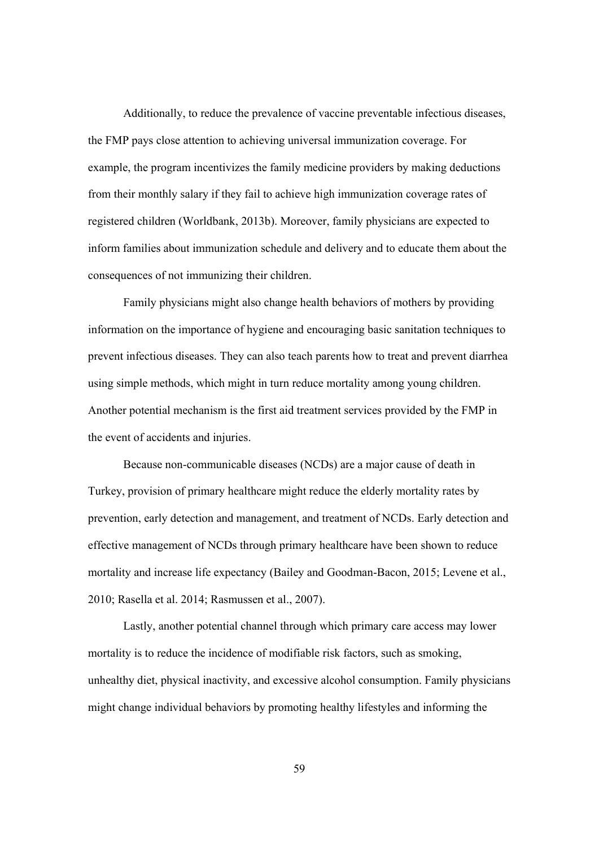Additionally, to reduce the prevalence of vaccine preventable infectious diseases, the FMP pays close attention to achieving universal immunization coverage. For example, the program incentivizes the family medicine providers by making deductions from their monthly salary if they fail to achieve high immunization coverage rates of registered children (Worldbank, 2013b). Moreover, family physicians are expected to inform families about immunization schedule and delivery and to educate them about the consequences of not immunizing their children.

Family physicians might also change health behaviors of mothers by providing information on the importance of hygiene and encouraging basic sanitation techniques to prevent infectious diseases. They can also teach parents how to treat and prevent diarrhea using simple methods, which might in turn reduce mortality among young children. Another potential mechanism is the first aid treatment services provided by the FMP in the event of accidents and injuries.

Because non-communicable diseases (NCDs) are a major cause of death in Turkey, provision of primary healthcare might reduce the elderly mortality rates by prevention, early detection and management, and treatment of NCDs. Early detection and effective management of NCDs through primary healthcare have been shown to reduce mortality and increase life expectancy (Bailey and Goodman-Bacon, 2015; Levene et al., 2010; Rasella et al. 2014; Rasmussen et al., 2007).

Lastly, another potential channel through which primary care access may lower mortality is to reduce the incidence of modifiable risk factors, such as smoking, unhealthy diet, physical inactivity, and excessive alcohol consumption. Family physicians might change individual behaviors by promoting healthy lifestyles and informing the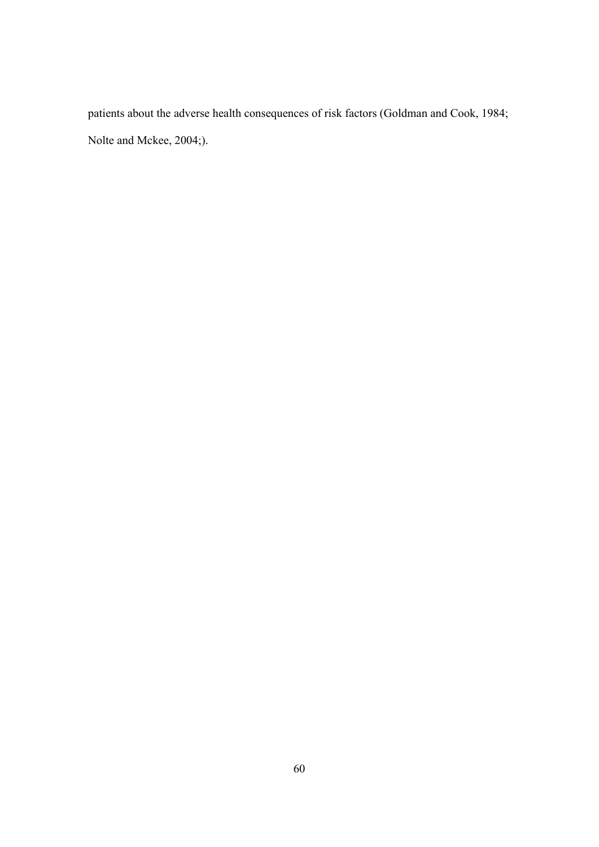patients about the adverse health consequences of risk factors (Goldman and Cook, 1984; Nolte and Mckee, 2004;).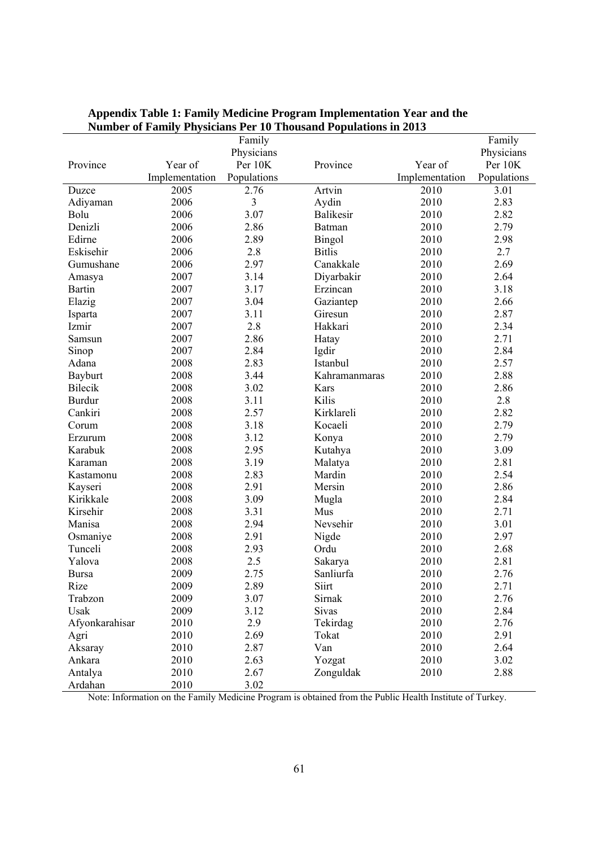|                |                |             | Tumber of Pannly I hysicians I et To Thousand I opulations in 2015 |                |             |
|----------------|----------------|-------------|--------------------------------------------------------------------|----------------|-------------|
|                |                | Family      |                                                                    |                | Family      |
|                |                | Physicians  |                                                                    | Year of        | Physicians  |
| Province       | Year of        | Per 10K     | Province                                                           |                | Per 10K     |
|                | Implementation | Populations |                                                                    | Implementation | Populations |
| Duzce          | 2005           | 2.76        | Artvin                                                             | 2010           | 3.01        |
| Adiyaman       | 2006           | 3           | Aydin                                                              | 2010           | 2.83        |
| Bolu           | 2006           | 3.07        | <b>Balikesir</b>                                                   | 2010           | 2.82        |
| Denizli        | 2006           | 2.86        | Batman                                                             | 2010           | 2.79        |
| Edirne         | 2006           | 2.89        | <b>Bingol</b>                                                      | 2010           | 2.98        |
| Eskisehir      | 2006           | 2.8         | <b>Bitlis</b>                                                      | 2010           | 2.7         |
| Gumushane      | 2006           | 2.97        | Canakkale                                                          | 2010           | 2.69        |
| Amasya         | 2007           | 3.14        | Diyarbakir                                                         | 2010           | 2.64        |
| <b>Bartin</b>  | 2007           | 3.17        | Erzincan                                                           | 2010           | 3.18        |
| Elazig         | 2007           | 3.04        | Gaziantep                                                          | 2010           | 2.66        |
| Isparta        | 2007           | 3.11        | Giresun                                                            | 2010           | 2.87        |
| Izmir          | 2007           | 2.8         | Hakkari                                                            | 2010           | 2.34        |
| Samsun         | 2007           | 2.86        | Hatay                                                              | 2010           | 2.71        |
| Sinop          | 2007           | 2.84        | Igdir                                                              | 2010           | 2.84        |
| Adana          | 2008           | 2.83        | Istanbul                                                           | 2010           | 2.57        |
| Bayburt        | 2008           | 3.44        | Kahramanmaras                                                      | 2010           | 2.88        |
| Bilecik        | 2008           | 3.02        | Kars                                                               | 2010           | 2.86        |
| <b>Burdur</b>  | 2008           | 3.11        | Kilis                                                              | 2010           | 2.8         |
| Cankiri        | 2008           | 2.57        | Kirklareli                                                         | 2010           | 2.82        |
| Corum          | 2008           | 3.18        | Kocaeli                                                            | 2010           | 2.79        |
| Erzurum        | 2008           | 3.12        | Konya                                                              | 2010           | 2.79        |
| Karabuk        | 2008           | 2.95        | Kutahya                                                            | 2010           | 3.09        |
| Karaman        | 2008           | 3.19        | Malatya                                                            | 2010           | 2.81        |
| Kastamonu      | 2008           | 2.83        | Mardin                                                             | 2010           | 2.54        |
| Kayseri        | 2008           | 2.91        | Mersin                                                             | 2010           | 2.86        |
| Kirikkale      | 2008           | 3.09        | Mugla                                                              | 2010           | 2.84        |
| Kirsehir       | 2008           | 3.31        | Mus                                                                | 2010           | 2.71        |
| Manisa         | 2008           | 2.94        | Nevsehir                                                           | 2010           | 3.01        |
| Osmaniye       | 2008           | 2.91        | Nigde                                                              | 2010           | 2.97        |
| Tunceli        | 2008           | 2.93        | Ordu                                                               | 2010           | 2.68        |
| Yalova         | 2008           | 2.5         | Sakarya                                                            | 2010           | 2.81        |
| <b>Bursa</b>   | 2009           | 2.75        | Sanliurfa                                                          | 2010           | 2.76        |
| Rize           | 2009           | 2.89        | Siirt                                                              | 2010           | 2.71        |
| Trabzon        | 2009           | 3.07        | Sirnak                                                             | 2010           | 2.76        |
| Usak           | 2009           | 3.12        | Sivas                                                              | 2010           | 2.84        |
| Afyonkarahisar | 2010           | 2.9         | Tekirdag                                                           | 2010           | 2.76        |
| Agri           | 2010           | 2.69        | Tokat                                                              | 2010           | 2.91        |
| Aksaray        | 2010           | 2.87        | Van                                                                | 2010           | 2.64        |
| Ankara         | 2010           | 2.63        | Yozgat                                                             | 2010           | 3.02        |
| Antalya        | 2010           | 2.67        | Zonguldak                                                          | 2010           | 2.88        |
| Ardahan        | 2010           | 3.02        |                                                                    |                |             |
|                |                |             |                                                                    |                |             |

# **Appendix Table 1: Family Medicine Program Implementation Year and the Number of Family Physicians Per 10 Thousand Populations in 2013**

Note: Information on the Family Medicine Program is obtained from the Public Health Institute of Turkey.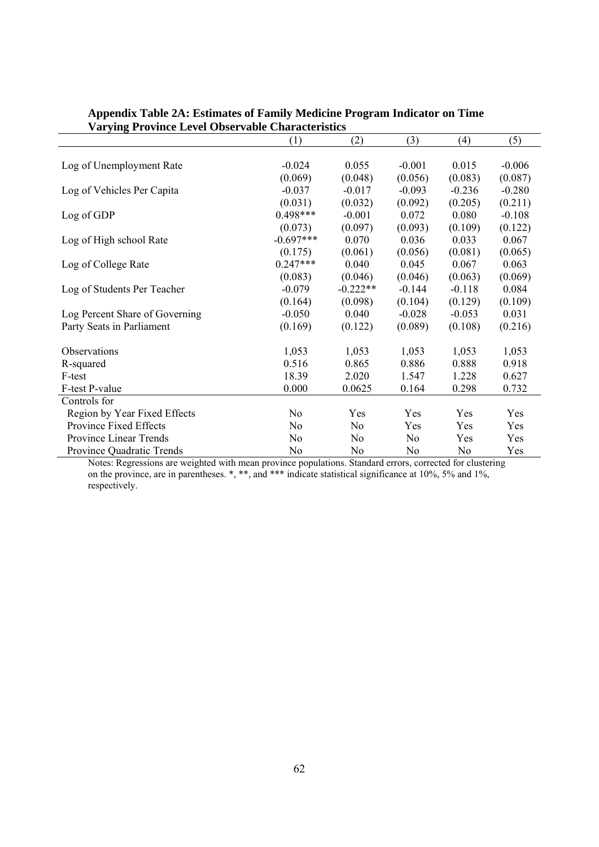|                                | (1)            | (2)            | (3)            | (4)      | (5)      |
|--------------------------------|----------------|----------------|----------------|----------|----------|
|                                |                |                |                |          |          |
| Log of Unemployment Rate       | $-0.024$       | 0.055          | $-0.001$       | 0.015    | $-0.006$ |
|                                | (0.069)        | (0.048)        | (0.056)        | (0.083)  | (0.087)  |
| Log of Vehicles Per Capita     | $-0.037$       | $-0.017$       | $-0.093$       | $-0.236$ | $-0.280$ |
|                                | (0.031)        | (0.032)        | (0.092)        | (0.205)  | (0.211)  |
| Log of GDP                     | $0.498***$     | $-0.001$       | 0.072          | 0.080    | $-0.108$ |
|                                | (0.073)        | (0.097)        | (0.093)        | (0.109)  | (0.122)  |
| Log of High school Rate        | $-0.697***$    | 0.070          | 0.036          | 0.033    | 0.067    |
|                                | (0.175)        | (0.061)        | (0.056)        | (0.081)  | (0.065)  |
| Log of College Rate            | $0.247***$     | 0.040          | 0.045          | 0.067    | 0.063    |
|                                | (0.083)        | (0.046)        | (0.046)        | (0.063)  | (0.069)  |
| Log of Students Per Teacher    | $-0.079$       | $-0.222**$     | $-0.144$       | $-0.118$ | 0.084    |
|                                | (0.164)        | (0.098)        | (0.104)        | (0.129)  | (0.109)  |
| Log Percent Share of Governing | $-0.050$       | 0.040          | $-0.028$       | $-0.053$ | 0.031    |
| Party Seats in Parliament      | (0.169)        | (0.122)        | (0.089)        | (0.108)  | (0.216)  |
| <b>Observations</b>            | 1,053          | 1,053          | 1,053          | 1,053    | 1,053    |
| R-squared                      | 0.516          | 0.865          | 0.886          | 0.888    | 0.918    |
| F-test                         | 18.39          | 2.020          | 1.547          | 1.228    | 0.627    |
| F-test P-value                 | 0.000          | 0.0625         | 0.164          | 0.298    | 0.732    |
| Controls for                   |                |                |                |          |          |
| Region by Year Fixed Effects   | N <sub>0</sub> | Yes            | Yes            | Yes      | Yes      |
| Province Fixed Effects         | N <sub>0</sub> | N <sub>0</sub> | Yes            | Yes      | Yes      |
| Province Linear Trends         | N <sub>0</sub> | N <sub>0</sub> | N <sub>0</sub> | Yes      | Yes      |
| Province Quadratic Trends      | N <sub>0</sub> | N <sub>0</sub> | No             | No       | Yes      |

### **Appendix Table 2A: Estimates of Family Medicine Program Indicator on Time Varying Province Level Observable Characteristics**

Notes: Regressions are weighted with mean province populations. Standard errors, corrected for clustering on the province, are in parentheses. \*, \*\*, and \*\*\* indicate statistical significance at 10%, 5% and 1%, respectively.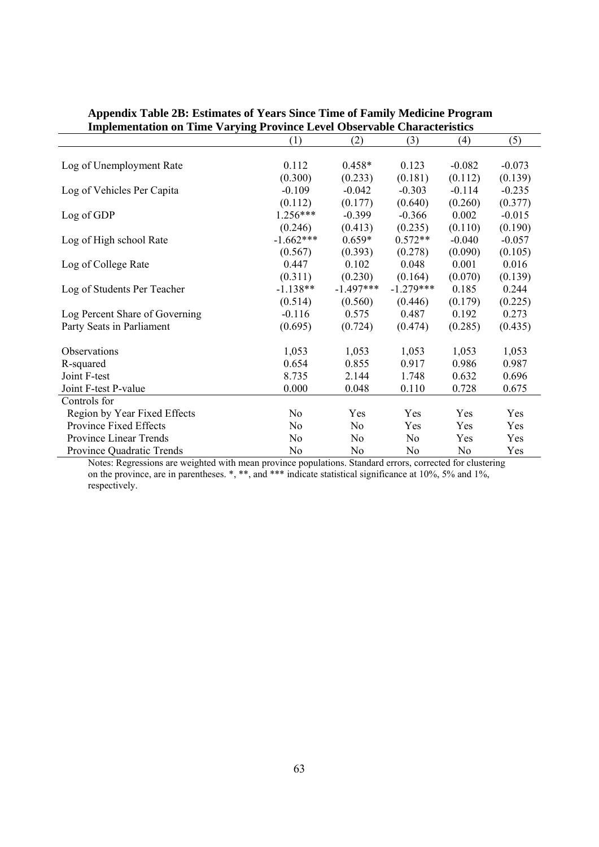| Implementation on Time Varying Province Level Observable Characteristics |                |                |                |          |          |  |
|--------------------------------------------------------------------------|----------------|----------------|----------------|----------|----------|--|
|                                                                          | (1)            | (2)            | (3)            | (4)      | (5)      |  |
|                                                                          |                |                |                |          |          |  |
| Log of Unemployment Rate                                                 | 0.112          | $0.458*$       | 0.123          | $-0.082$ | $-0.073$ |  |
|                                                                          | (0.300)        | (0.233)        | (0.181)        | (0.112)  | (0.139)  |  |
| Log of Vehicles Per Capita                                               | $-0.109$       | $-0.042$       | $-0.303$       | $-0.114$ | $-0.235$ |  |
|                                                                          | (0.112)        | (0.177)        | (0.640)        | (0.260)  | (0.377)  |  |
| Log of GDP                                                               | $1.256***$     | $-0.399$       | $-0.366$       | 0.002    | $-0.015$ |  |
|                                                                          | (0.246)        | (0.413)        | (0.235)        | (0.110)  | (0.190)  |  |
| Log of High school Rate                                                  | $-1.662***$    | $0.659*$       | $0.572**$      | $-0.040$ | $-0.057$ |  |
|                                                                          | (0.567)        | (0.393)        | (0.278)        | (0.090)  | (0.105)  |  |
| Log of College Rate                                                      | 0.447          | 0.102          | 0.048          | 0.001    | 0.016    |  |
|                                                                          | (0.311)        | (0.230)        | (0.164)        | (0.070)  | (0.139)  |  |
| Log of Students Per Teacher                                              | $-1.138**$     | $-1.497***$    | $-1.279***$    | 0.185    | 0.244    |  |
|                                                                          | (0.514)        | (0.560)        | (0.446)        | (0.179)  | (0.225)  |  |
| Log Percent Share of Governing                                           | $-0.116$       | 0.575          | 0.487          | 0.192    | 0.273    |  |
| Party Seats in Parliament                                                | (0.695)        | (0.724)        | (0.474)        | (0.285)  | (0.435)  |  |
| Observations                                                             | 1,053          | 1,053          | 1,053          | 1,053    | 1,053    |  |
| R-squared                                                                | 0.654          | 0.855          | 0.917          | 0.986    | 0.987    |  |
| Joint F-test                                                             | 8.735          | 2.144          | 1.748          | 0.632    | 0.696    |  |
| Joint F-test P-value                                                     | 0.000          | 0.048          | 0.110          | 0.728    | 0.675    |  |
| Controls for                                                             |                |                |                |          |          |  |
| Region by Year Fixed Effects                                             | No             | Yes            | Yes            | Yes      | Yes      |  |
|                                                                          |                |                |                |          |          |  |
| Province Fixed Effects                                                   | N <sub>0</sub> | No             | Yes            | Yes      | Yes      |  |
| Province Linear Trends                                                   | N <sub>0</sub> | N <sub>0</sub> | N <sub>0</sub> | Yes      | Yes      |  |
| Province Quadratic Trends                                                | No             | N <sub>0</sub> | N <sub>0</sub> | No       | Yes      |  |

### **Appendix Table 2B: Estimates of Years Since Time of Family Medicine Program Implementation on Time Varying Province Level Observable Characteristics**

Notes: Regressions are weighted with mean province populations. Standard errors, corrected for clustering on the province, are in parentheses. \*, \*\*, and \*\*\* indicate statistical significance at 10%, 5% and 1%, respectively.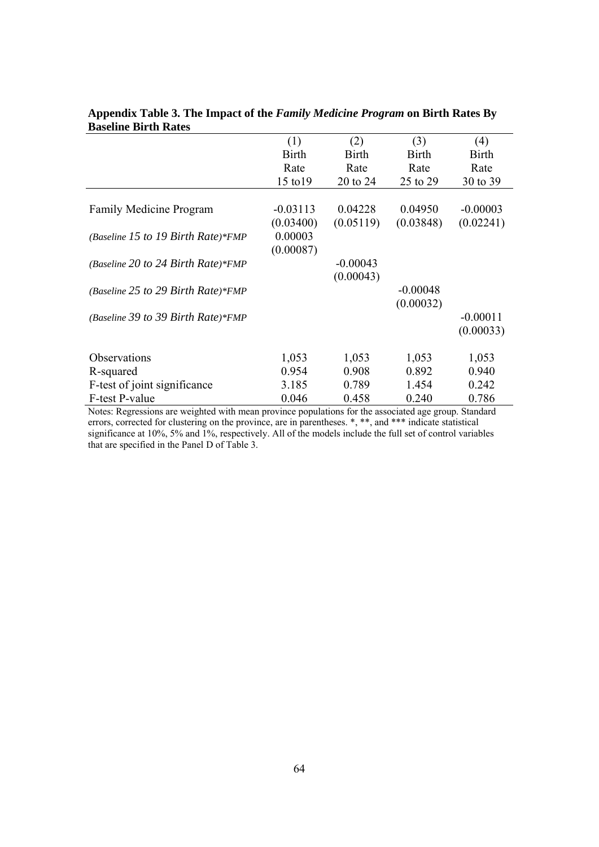| (1)          | (2)        | (3)          | (4)          |
|--------------|------------|--------------|--------------|
| <b>Birth</b> | Birth      | <b>Birth</b> | <b>Birth</b> |
| Rate         | Rate       | Rate         | Rate         |
| 15 to 19     | 20 to 24   | 25 to 29     | 30 to 39     |
|              |            |              |              |
| $-0.03113$   | 0.04228    | 0.04950      | $-0.00003$   |
| (0.03400)    | (0.05119)  | (0.03848)    | (0.02241)    |
| 0.00003      |            |              |              |
| (0.00087)    |            |              |              |
|              | $-0.00043$ |              |              |
|              | (0.00043)  |              |              |
|              |            | $-0.00048$   |              |
|              |            |              |              |
|              |            |              | $-0.00011$   |
|              |            |              | (0.00033)    |
|              |            |              |              |
| 1,053        | 1,053      | 1,053        | 1,053        |
| 0.954        | 0.908      | 0.892        | 0.940        |
| 3.185        | 0.789      | 1.454        | 0.242        |
| 0.046        | 0.458      | 0.240        | 0.786        |
|              |            |              | (0.00032)    |

**Appendix Table 3. The Impact of the** *Family Medicine Program* **on Birth Rates By Baseline Birth Rates** 

Notes: Regressions are weighted with mean province populations for the associated age group. Standard errors, corrected for clustering on the province, are in parentheses.  $*,$  \*\*, and \*\*\* indicate statistical significance at 10%, 5% and 1%, respectively. All of the models include the full set of control variables that are specified in the Panel D of Table 3.